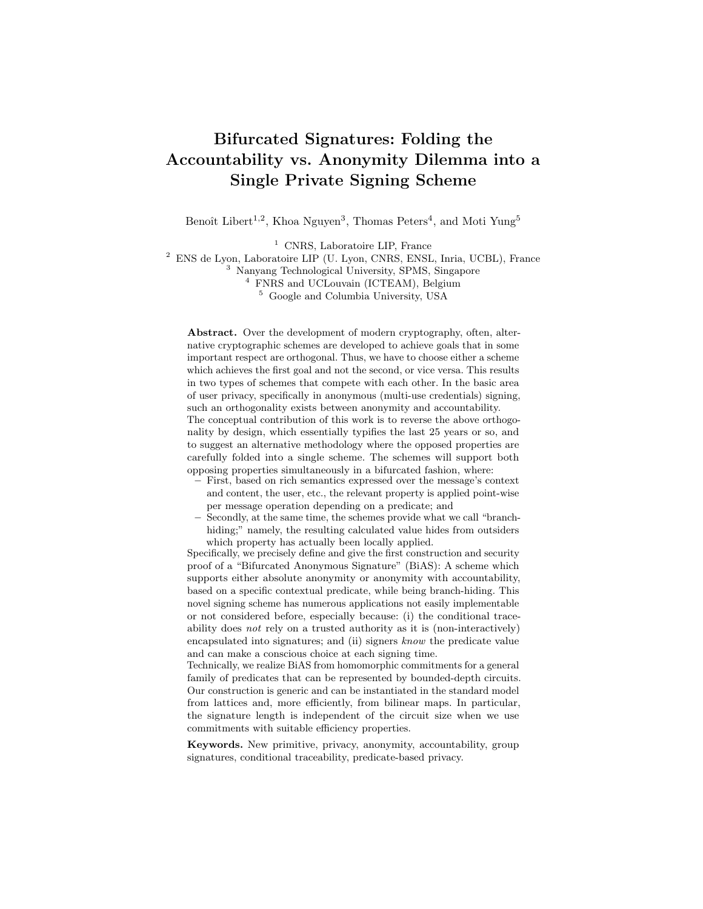## Bifurcated Signatures: Folding the Accountability vs. Anonymity Dilemma into a Single Private Signing Scheme

Benoît Libert<sup>1,2</sup>, Khoa Nguyen<sup>3</sup>, Thomas Peters<sup>4</sup>, and Moti Yung<sup>5</sup>

<sup>1</sup> CNRS, Laboratoire LIP, France

<sup>2</sup> ENS de Lyon, Laboratoire LIP (U. Lyon, CNRS, ENSL, Inria, UCBL), France

<sup>3</sup> Nanyang Technological University, SPMS, Singapore

<sup>4</sup> FNRS and UCLouvain (ICTEAM), Belgium

<sup>5</sup> Google and Columbia University, USA

Abstract. Over the development of modern cryptography, often, alternative cryptographic schemes are developed to achieve goals that in some important respect are orthogonal. Thus, we have to choose either a scheme which achieves the first goal and not the second, or vice versa. This results in two types of schemes that compete with each other. In the basic area of user privacy, specifically in anonymous (multi-use credentials) signing, such an orthogonality exists between anonymity and accountability.

The conceptual contribution of this work is to reverse the above orthogonality by design, which essentially typifies the last 25 years or so, and to suggest an alternative methodology where the opposed properties are carefully folded into a single scheme. The schemes will support both opposing properties simultaneously in a bifurcated fashion, where:

- First, based on rich semantics expressed over the message's context and content, the user, etc., the relevant property is applied point-wise per message operation depending on a predicate; and
- Secondly, at the same time, the schemes provide what we call "branchhiding;" namely, the resulting calculated value hides from outsiders which property has actually been locally applied.

Specifically, we precisely define and give the first construction and security proof of a "Bifurcated Anonymous Signature" (BiAS): A scheme which supports either absolute anonymity or anonymity with accountability, based on a specific contextual predicate, while being branch-hiding. This novel signing scheme has numerous applications not easily implementable or not considered before, especially because: (i) the conditional traceability does not rely on a trusted authority as it is (non-interactively) encapsulated into signatures; and (ii) signers know the predicate value and can make a conscious choice at each signing time.

Technically, we realize BiAS from homomorphic commitments for a general family of predicates that can be represented by bounded-depth circuits. Our construction is generic and can be instantiated in the standard model from lattices and, more efficiently, from bilinear maps. In particular, the signature length is independent of the circuit size when we use commitments with suitable efficiency properties.

Keywords. New primitive, privacy, anonymity, accountability, group signatures, conditional traceability, predicate-based privacy.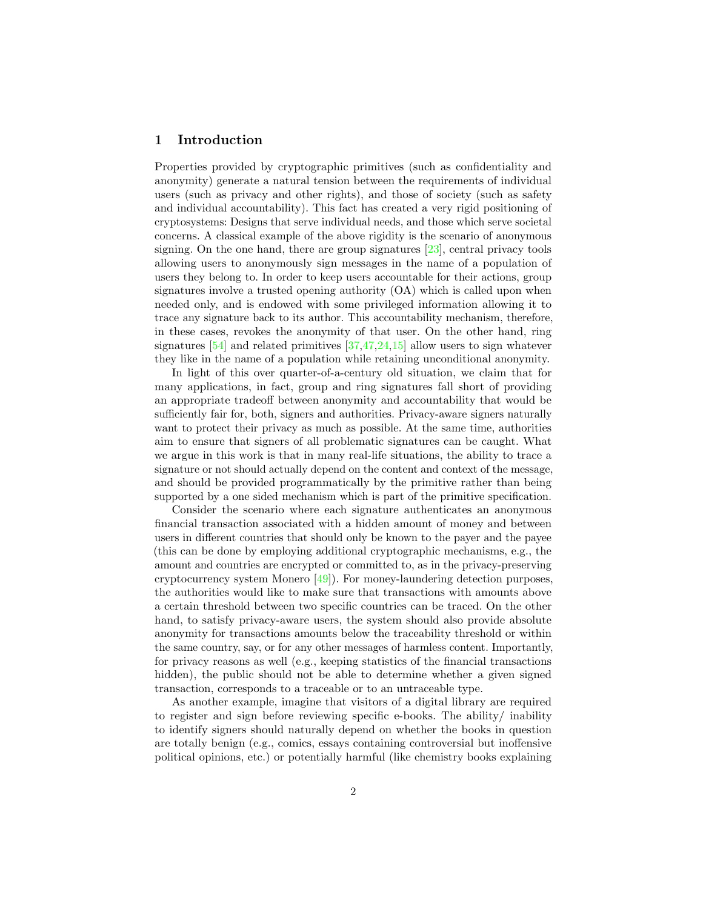### 1 Introduction

Properties provided by cryptographic primitives (such as confidentiality and anonymity) generate a natural tension between the requirements of individual users (such as privacy and other rights), and those of society (such as safety and individual accountability). This fact has created a very rigid positioning of cryptosystems: Designs that serve individual needs, and those which serve societal concerns. A classical example of the above rigidity is the scenario of anonymous signing. On the one hand, there are group signatures [\[23\]](#page-28-0), central privacy tools allowing users to anonymously sign messages in the name of a population of users they belong to. In order to keep users accountable for their actions, group signatures involve a trusted opening authority (OA) which is called upon when needed only, and is endowed with some privileged information allowing it to trace any signature back to its author. This accountability mechanism, therefore, in these cases, revokes the anonymity of that user. On the other hand, ring signatures  $[54]$  and related primitives  $[37,47,24,15]$  $[37,47,24,15]$  $[37,47,24,15]$  $[37,47,24,15]$  allow users to sign whatever they like in the name of a population while retaining unconditional anonymity.

In light of this over quarter-of-a-century old situation, we claim that for many applications, in fact, group and ring signatures fall short of providing an appropriate tradeoff between anonymity and accountability that would be sufficiently fair for, both, signers and authorities. Privacy-aware signers naturally want to protect their privacy as much as possible. At the same time, authorities aim to ensure that signers of all problematic signatures can be caught. What we argue in this work is that in many real-life situations, the ability to trace a signature or not should actually depend on the content and context of the message, and should be provided programmatically by the primitive rather than being supported by a one sided mechanism which is part of the primitive specification.

Consider the scenario where each signature authenticates an anonymous financial transaction associated with a hidden amount of money and between users in different countries that should only be known to the payer and the payee (this can be done by employing additional cryptographic mechanisms, e.g., the amount and countries are encrypted or committed to, as in the privacy-preserving cryptocurrency system Monero  $[49]$ . For money-laundering detection purposes, the authorities would like to make sure that transactions with amounts above a certain threshold between two specific countries can be traced. On the other hand, to satisfy privacy-aware users, the system should also provide absolute anonymity for transactions amounts below the traceability threshold or within the same country, say, or for any other messages of harmless content. Importantly, for privacy reasons as well (e.g., keeping statistics of the financial transactions hidden), the public should not be able to determine whether a given signed transaction, corresponds to a traceable or to an untraceable type.

As another example, imagine that visitors of a digital library are required to register and sign before reviewing specific e-books. The ability/ inability to identify signers should naturally depend on whether the books in question are totally benign (e.g., comics, essays containing controversial but inoffensive political opinions, etc.) or potentially harmful (like chemistry books explaining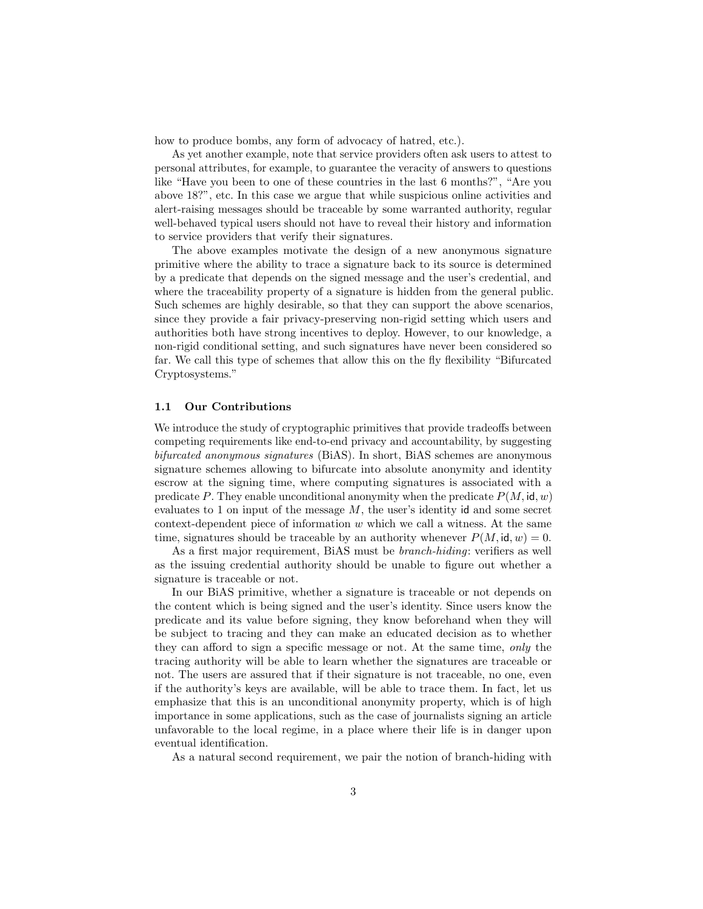how to produce bombs, any form of advocacy of hatred, etc.).

As yet another example, note that service providers often ask users to attest to personal attributes, for example, to guarantee the veracity of answers to questions like "Have you been to one of these countries in the last 6 months?", "Are you above 18?", etc. In this case we argue that while suspicious online activities and alert-raising messages should be traceable by some warranted authority, regular well-behaved typical users should not have to reveal their history and information to service providers that verify their signatures.

The above examples motivate the design of a new anonymous signature primitive where the ability to trace a signature back to its source is determined by a predicate that depends on the signed message and the user's credential, and where the traceability property of a signature is hidden from the general public. Such schemes are highly desirable, so that they can support the above scenarios, since they provide a fair privacy-preserving non-rigid setting which users and authorities both have strong incentives to deploy. However, to our knowledge, a non-rigid conditional setting, and such signatures have never been considered so far. We call this type of schemes that allow this on the fly flexibility "Bifurcated Cryptosystems."

### 1.1 Our Contributions

We introduce the study of cryptographic primitives that provide tradeoffs between competing requirements like end-to-end privacy and accountability, by suggesting bifurcated anonymous signatures (BiAS). In short, BiAS schemes are anonymous signature schemes allowing to bifurcate into absolute anonymity and identity escrow at the signing time, where computing signatures is associated with a predicate P. They enable unconditional anonymity when the predicate  $P(M, id, w)$ evaluates to 1 on input of the message  $M$ , the user's identity id and some secret  $context-dependent$  piece of information  $w$  which we call a witness. At the same time, signatures should be traceable by an authority whenever  $P(M, id, w) = 0$ .

As a first major requirement, BiAS must be branch-hiding: verifiers as well as the issuing credential authority should be unable to figure out whether a signature is traceable or not.

In our BiAS primitive, whether a signature is traceable or not depends on the content which is being signed and the user's identity. Since users know the predicate and its value before signing, they know beforehand when they will be subject to tracing and they can make an educated decision as to whether they can afford to sign a specific message or not. At the same time, only the tracing authority will be able to learn whether the signatures are traceable or not. The users are assured that if their signature is not traceable, no one, even if the authority's keys are available, will be able to trace them. In fact, let us emphasize that this is an unconditional anonymity property, which is of high importance in some applications, such as the case of journalists signing an article unfavorable to the local regime, in a place where their life is in danger upon eventual identification.

As a natural second requirement, we pair the notion of branch-hiding with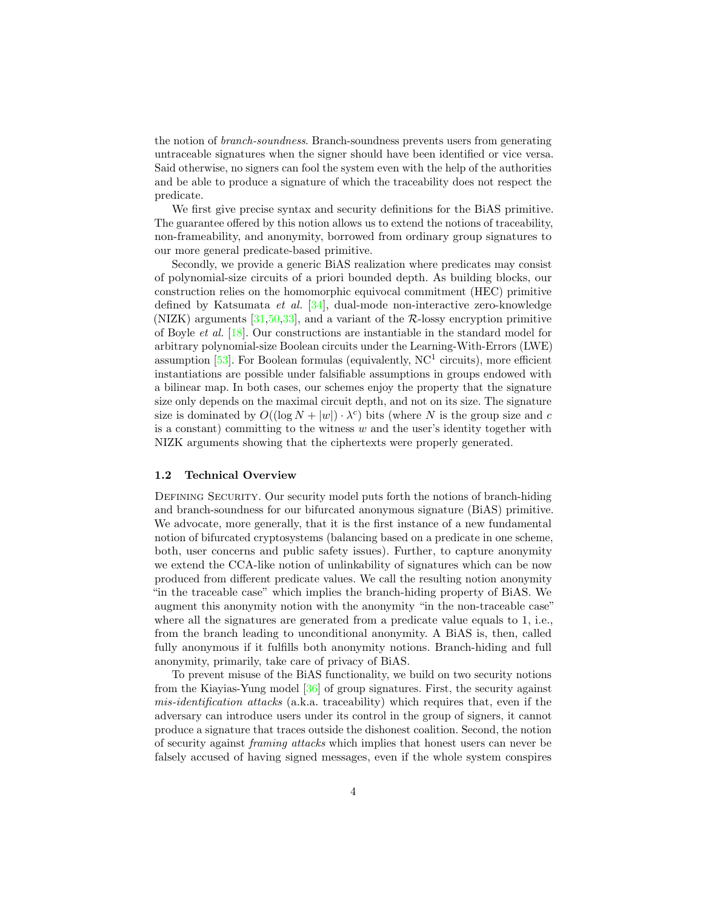the notion of branch-soundness. Branch-soundness prevents users from generating untraceable signatures when the signer should have been identified or vice versa. Said otherwise, no signers can fool the system even with the help of the authorities and be able to produce a signature of which the traceability does not respect the predicate.

We first give precise syntax and security definitions for the BiAS primitive. The guarantee offered by this notion allows us to extend the notions of traceability, non-frameability, and anonymity, borrowed from ordinary group signatures to our more general predicate-based primitive.

Secondly, we provide a generic BiAS realization where predicates may consist of polynomial-size circuits of a priori bounded depth. As building blocks, our construction relies on the homomorphic equivocal commitment (HEC) primitive defined by Katsumata *et al.* [\[34\]](#page-29-4), dual-mode non-interactive zero-knowledge (NIZK) arguments  $[31,50,33]$  $[31,50,33]$  $[31,50,33]$ , and a variant of the R-lossy encryption primitive of Boyle et al. [\[18\]](#page-28-3). Our constructions are instantiable in the standard model for arbitrary polynomial-size Boolean circuits under the Learning-With-Errors (LWE) assumption  $[53]$ . For Boolean formulas (equivalently, NC<sup>1</sup> circuits), more efficient instantiations are possible under falsifiable assumptions in groups endowed with a bilinear map. In both cases, our schemes enjoy the property that the signature size only depends on the maximal circuit depth, and not on its size. The signature size is dominated by  $O((\log N + |w|) \cdot \lambda^c)$  bits (where N is the group size and c is a constant) committing to the witness  $w$  and the user's identity together with NIZK arguments showing that the ciphertexts were properly generated.

### 1.2 Technical Overview

DEFINING SECURITY. Our security model puts forth the notions of branch-hiding and branch-soundness for our bifurcated anonymous signature (BiAS) primitive. We advocate, more generally, that it is the first instance of a new fundamental notion of bifurcated cryptosystems (balancing based on a predicate in one scheme, both, user concerns and public safety issues). Further, to capture anonymity we extend the CCA-like notion of unlinkability of signatures which can be now produced from different predicate values. We call the resulting notion anonymity "in the traceable case" which implies the branch-hiding property of BiAS. We augment this anonymity notion with the anonymity "in the non-traceable case" where all the signatures are generated from a predicate value equals to 1, i.e., from the branch leading to unconditional anonymity. A BiAS is, then, called fully anonymous if it fulfills both anonymity notions. Branch-hiding and full anonymity, primarily, take care of privacy of BiAS.

To prevent misuse of the BiAS functionality, we build on two security notions from the Kiayias-Yung model [\[36\]](#page-29-9) of group signatures. First, the security against mis-identification attacks (a.k.a. traceability) which requires that, even if the adversary can introduce users under its control in the group of signers, it cannot produce a signature that traces outside the dishonest coalition. Second, the notion of security against framing attacks which implies that honest users can never be falsely accused of having signed messages, even if the whole system conspires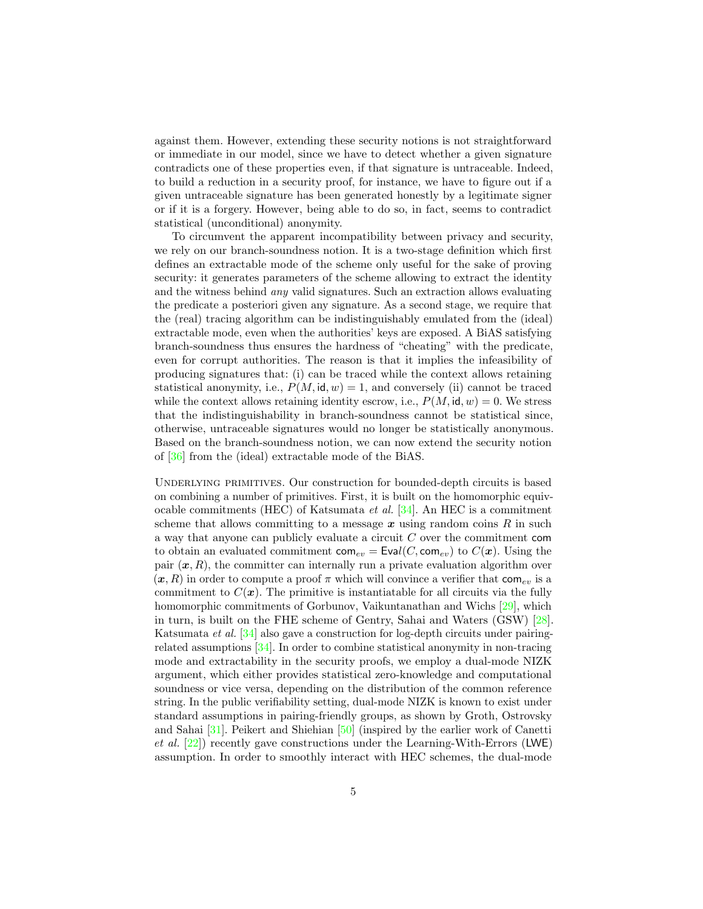against them. However, extending these security notions is not straightforward or immediate in our model, since we have to detect whether a given signature contradicts one of these properties even, if that signature is untraceable. Indeed, to build a reduction in a security proof, for instance, we have to figure out if a given untraceable signature has been generated honestly by a legitimate signer or if it is a forgery. However, being able to do so, in fact, seems to contradict statistical (unconditional) anonymity.

To circumvent the apparent incompatibility between privacy and security, we rely on our branch-soundness notion. It is a two-stage definition which first defines an extractable mode of the scheme only useful for the sake of proving security: it generates parameters of the scheme allowing to extract the identity and the witness behind any valid signatures. Such an extraction allows evaluating the predicate a posteriori given any signature. As a second stage, we require that the (real) tracing algorithm can be indistinguishably emulated from the (ideal) extractable mode, even when the authorities' keys are exposed. A BiAS satisfying branch-soundness thus ensures the hardness of "cheating" with the predicate, even for corrupt authorities. The reason is that it implies the infeasibility of producing signatures that: (i) can be traced while the context allows retaining statistical anonymity, i.e.,  $P(M, id, w) = 1$ , and conversely (ii) cannot be traced while the context allows retaining identity escrow, i.e.,  $P(M, id, w) = 0$ . We stress that the indistinguishability in branch-soundness cannot be statistical since, otherwise, untraceable signatures would no longer be statistically anonymous. Based on the branch-soundness notion, we can now extend the security notion of [\[36\]](#page-29-9) from the (ideal) extractable mode of the BiAS.

Underlying primitives. Our construction for bounded-depth circuits is based on combining a number of primitives. First, it is built on the homomorphic equivocable commitments (HEC) of Katsumata et al. [\[34\]](#page-29-4). An HEC is a commitment scheme that allows committing to a message  $x$  using random coins  $R$  in such a way that anyone can publicly evaluate a circuit C over the commitment com to obtain an evaluated commitment  $com_{ev} = \text{Eval}(C, com_{ev})$  to  $C(\boldsymbol{x})$ . Using the pair  $(x, R)$ , the committer can internally run a private evaluation algorithm over  $(x, R)$  in order to compute a proof  $\pi$  which will convince a verifier that com<sub>ev</sub> is a commitment to  $C(\mathbf{x})$ . The primitive is instantiatable for all circuits via the fully homomorphic commitments of Gorbunov, Vaikuntanathan and Wichs [\[29\]](#page-28-4), which in turn, is built on the FHE scheme of Gentry, Sahai and Waters (GSW) [\[28\]](#page-28-5). Katsumata et al. [\[34\]](#page-29-4) also gave a construction for log-depth circuits under pairingrelated assumptions [\[34\]](#page-29-4). In order to combine statistical anonymity in non-tracing mode and extractability in the security proofs, we employ a dual-mode NIZK argument, which either provides statistical zero-knowledge and computational soundness or vice versa, depending on the distribution of the common reference string. In the public verifiability setting, dual-mode NIZK is known to exist under standard assumptions in pairing-friendly groups, as shown by Groth, Ostrovsky and Sahai [\[31\]](#page-29-5). Peikert and Shiehian [\[50\]](#page-29-6) (inspired by the earlier work of Canetti *et al.*  $[22]$ ) recently gave constructions under the Learning-With-Errors (LWE) assumption. In order to smoothly interact with HEC schemes, the dual-mode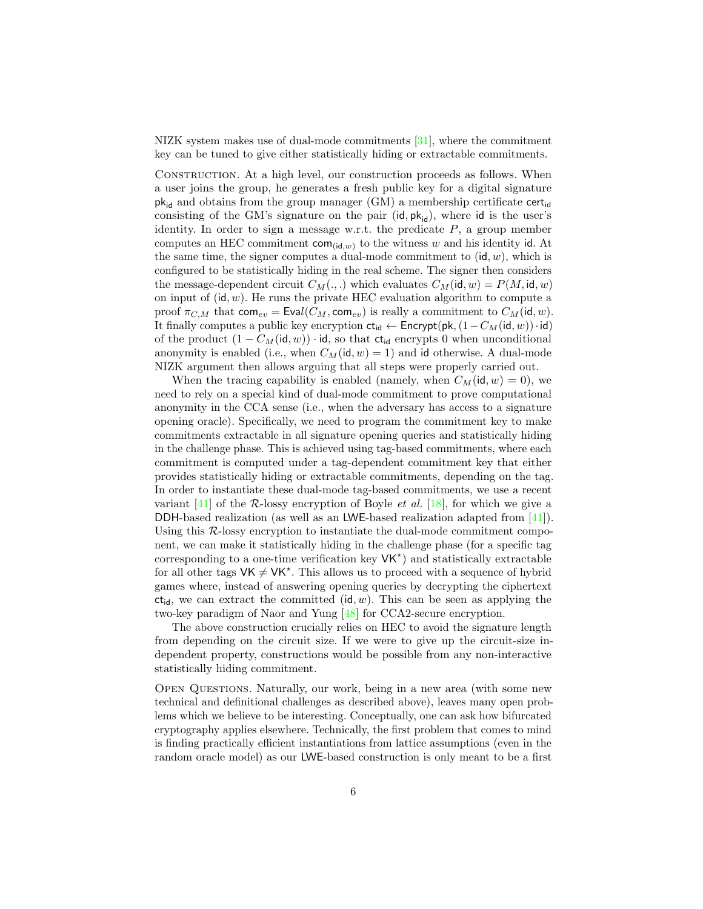NIZK system makes use of dual-mode commitments [\[31\]](#page-29-5), where the commitment key can be tuned to give either statistically hiding or extractable commitments.

Construction. At a high level, our construction proceeds as follows. When a user joins the group, he generates a fresh public key for a digital signature  $pk_{id}$  and obtains from the group manager (GM) a membership certificate cert<sub>id</sub> consisting of the GM's signature on the pair  $(id, pk_{id})$ , where id is the user's identity. In order to sign a message w.r.t. the predicate  $P$ , a group member computes an HEC commitment  $com_{(id,w)}$  to the witness w and his identity id. At the same time, the signer computes a dual-mode commitment to  $(id, w)$ , which is configured to be statistically hiding in the real scheme. The signer then considers the message-dependent circuit  $C_M(.,.)$  which evaluates  $C_M(\mathsf{id}, w) = P(M, \mathsf{id}, w)$ on input of  $(id, w)$ . He runs the private HEC evaluation algorithm to compute a proof  $\pi_{C,M}$  that  $\mathsf{com}_{ev} = \mathsf{Eval}(C_M, \mathsf{com}_{ev})$  is really a commitment to  $C_M(\mathsf{id}, w)$ . It finally computes a public key encryption  $ct_{id}$  ← Encrypt(pk,  $(1-C_M(id, w)) \cdot id$ ) of the product  $(1 - C_M(\mathsf{id}, w)) \cdot \mathsf{id}$ , so that  $ct_{\mathsf{id}}$  encrypts 0 when unconditional anonymity is enabled (i.e., when  $C_M(\mathsf{id}, w) = 1$ ) and id otherwise. A dual-mode NIZK argument then allows arguing that all steps were properly carried out.

When the tracing capability is enabled (namely, when  $C_M(\mathsf{id}, w) = 0$ ), we need to rely on a special kind of dual-mode commitment to prove computational anonymity in the CCA sense (i.e., when the adversary has access to a signature opening oracle). Specifically, we need to program the commitment key to make commitments extractable in all signature opening queries and statistically hiding in the challenge phase. This is achieved using tag-based commitments, where each commitment is computed under a tag-dependent commitment key that either provides statistically hiding or extractable commitments, depending on the tag. In order to instantiate these dual-mode tag-based commitments, we use a recent variant  $[41]$  of the R-lossy encryption of Boyle *et al.* [\[18\]](#page-28-3), for which we give a DDH-based realization (as well as an LWE-based realization adapted from [\[41\]](#page-29-10)). Using this  $\mathcal{R}$ -lossy encryption to instantiate the dual-mode commitment component, we can make it statistically hiding in the challenge phase (for a specific tag corresponding to a one-time verification key  $VK^*$ ) and statistically extractable for all other tags  $VK \neq VK^*$ . This allows us to proceed with a sequence of hybrid games where, instead of answering opening queries by decrypting the ciphertext  $ct_{id}$ , we can extract the committed (id, w). This can be seen as applying the two-key paradigm of Naor and Yung [\[48\]](#page-29-11) for CCA2-secure encryption.

The above construction crucially relies on HEC to avoid the signature length from depending on the circuit size. If we were to give up the circuit-size independent property, constructions would be possible from any non-interactive statistically hiding commitment.

Open Questions. Naturally, our work, being in a new area (with some new technical and definitional challenges as described above), leaves many open problems which we believe to be interesting. Conceptually, one can ask how bifurcated cryptography applies elsewhere. Technically, the first problem that comes to mind is finding practically efficient instantiations from lattice assumptions (even in the random oracle model) as our LWE-based construction is only meant to be a first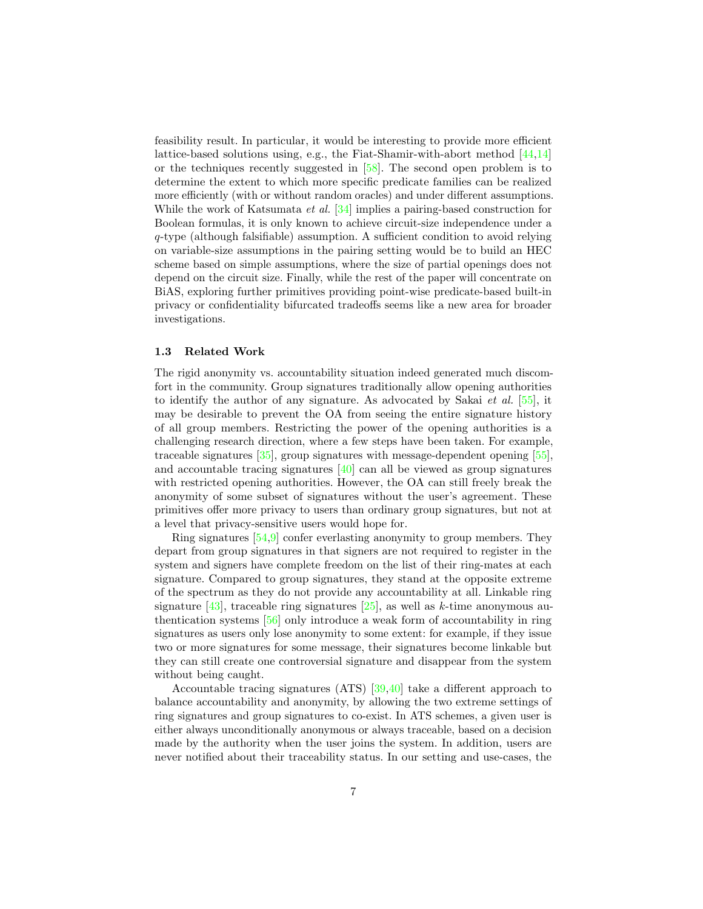feasibility result. In particular, it would be interesting to provide more efficient lattice-based solutions using, e.g., the Fiat-Shamir-with-abort method [\[44,](#page-29-12)[14\]](#page-28-7) or the techniques recently suggested in [\[58\]](#page-29-13). The second open problem is to determine the extent to which more specific predicate families can be realized more efficiently (with or without random oracles) and under different assumptions. While the work of Katsumata *et al.* [\[34\]](#page-29-4) implies a pairing-based construction for Boolean formulas, it is only known to achieve circuit-size independence under a q-type (although falsifiable) assumption. A sufficient condition to avoid relying on variable-size assumptions in the pairing setting would be to build an HEC scheme based on simple assumptions, where the size of partial openings does not depend on the circuit size. Finally, while the rest of the paper will concentrate on BiAS, exploring further primitives providing point-wise predicate-based built-in privacy or confidentiality bifurcated tradeoffs seems like a new area for broader investigations.

### 1.3 Related Work

The rigid anonymity vs. accountability situation indeed generated much discomfort in the community. Group signatures traditionally allow opening authorities to identify the author of any signature. As advocated by Sakai *et al.* [\[55\]](#page-29-14), it may be desirable to prevent the OA from seeing the entire signature history of all group members. Restricting the power of the opening authorities is a challenging research direction, where a few steps have been taken. For example, traceable signatures [\[35\]](#page-29-15), group signatures with message-dependent opening [\[55\]](#page-29-14), and accountable tracing signatures [\[40\]](#page-29-16) can all be viewed as group signatures with restricted opening authorities. However, the OA can still freely break the anonymity of some subset of signatures without the user's agreement. These primitives offer more privacy to users than ordinary group signatures, but not at a level that privacy-sensitive users would hope for.

Ring signatures [\[54,](#page-29-0)[9\]](#page-28-8) confer everlasting anonymity to group members. They depart from group signatures in that signers are not required to register in the system and signers have complete freedom on the list of their ring-mates at each signature. Compared to group signatures, they stand at the opposite extreme of the spectrum as they do not provide any accountability at all. Linkable ring signature [\[43\]](#page-29-17), traceable ring signatures [\[25\]](#page-28-9), as well as k-time anonymous authentication systems [\[56\]](#page-29-18) only introduce a weak form of accountability in ring signatures as users only lose anonymity to some extent: for example, if they issue two or more signatures for some message, their signatures become linkable but they can still create one controversial signature and disappear from the system without being caught.

Accountable tracing signatures (ATS) [\[39,](#page-29-19)[40\]](#page-29-16) take a different approach to balance accountability and anonymity, by allowing the two extreme settings of ring signatures and group signatures to co-exist. In ATS schemes, a given user is either always unconditionally anonymous or always traceable, based on a decision made by the authority when the user joins the system. In addition, users are never notified about their traceability status. In our setting and use-cases, the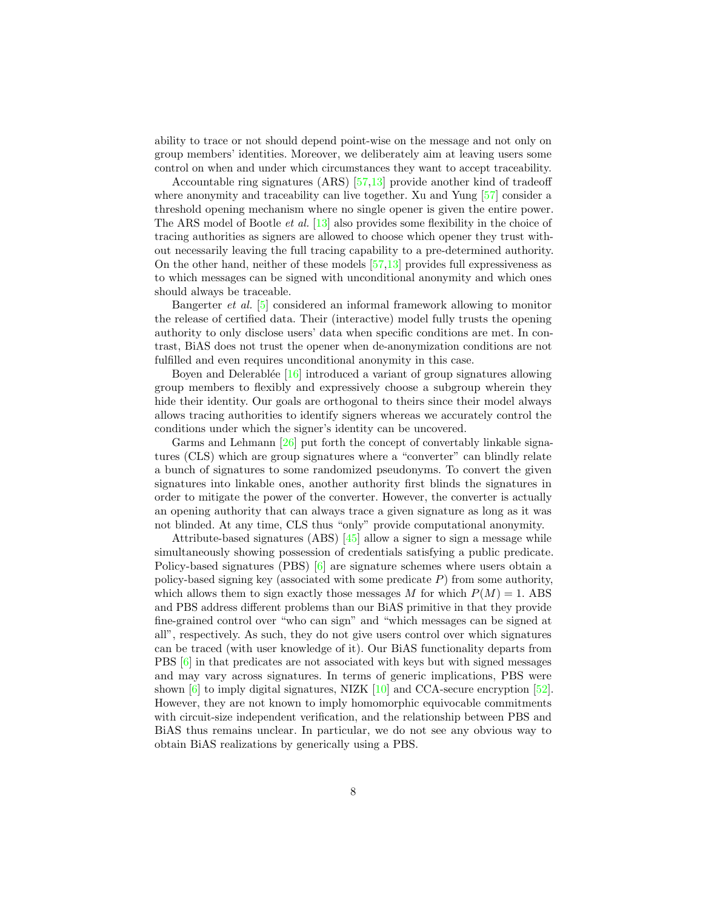ability to trace or not should depend point-wise on the message and not only on group members' identities. Moreover, we deliberately aim at leaving users some control on when and under which circumstances they want to accept traceability.

Accountable ring signatures (ARS) [\[57](#page-29-20)[,13\]](#page-28-10) provide another kind of tradeoff where anonymity and traceability can live together. Xu and Yung [\[57\]](#page-29-20) consider a threshold opening mechanism where no single opener is given the entire power. The ARS model of Bootle *et al.* [\[13\]](#page-28-10) also provides some flexibility in the choice of tracing authorities as signers are allowed to choose which opener they trust without necessarily leaving the full tracing capability to a pre-determined authority. On the other hand, neither of these models [\[57,](#page-29-20)[13\]](#page-28-10) provides full expressiveness as to which messages can be signed with unconditional anonymity and which ones should always be traceable.

Bangerter et al. [\[5\]](#page-28-11) considered an informal framework allowing to monitor the release of certified data. Their (interactive) model fully trusts the opening authority to only disclose users' data when specific conditions are met. In contrast, BiAS does not trust the opener when de-anonymization conditions are not fulfilled and even requires unconditional anonymity in this case.

Boyen and Delerablée  $[16]$  introduced a variant of group signatures allowing group members to flexibly and expressively choose a subgroup wherein they hide their identity. Our goals are orthogonal to theirs since their model always allows tracing authorities to identify signers whereas we accurately control the conditions under which the signer's identity can be uncovered.

Garms and Lehmann [\[26\]](#page-28-13) put forth the concept of convertably linkable signatures (CLS) which are group signatures where a "converter" can blindly relate a bunch of signatures to some randomized pseudonyms. To convert the given signatures into linkable ones, another authority first blinds the signatures in order to mitigate the power of the converter. However, the converter is actually an opening authority that can always trace a given signature as long as it was not blinded. At any time, CLS thus "only" provide computational anonymity.

Attribute-based signatures (ABS)  $[45]$  allow a signer to sign a message while simultaneously showing possession of credentials satisfying a public predicate. Policy-based signatures (PBS) [\[6\]](#page-28-14) are signature schemes where users obtain a policy-based signing key (associated with some predicate  $P$ ) from some authority, which allows them to sign exactly those messages M for which  $P(M) = 1$ . ABS and PBS address different problems than our BiAS primitive in that they provide fine-grained control over "who can sign" and "which messages can be signed at all", respectively. As such, they do not give users control over which signatures can be traced (with user knowledge of it). Our BiAS functionality departs from PBS [\[6\]](#page-28-14) in that predicates are not associated with keys but with signed messages and may vary across signatures. In terms of generic implications, PBS were shown [\[6\]](#page-28-14) to imply digital signatures, NIZK [\[10\]](#page-28-15) and CCA-secure encryption [\[52\]](#page-29-22). However, they are not known to imply homomorphic equivocable commitments with circuit-size independent verification, and the relationship between PBS and BiAS thus remains unclear. In particular, we do not see any obvious way to obtain BiAS realizations by generically using a PBS.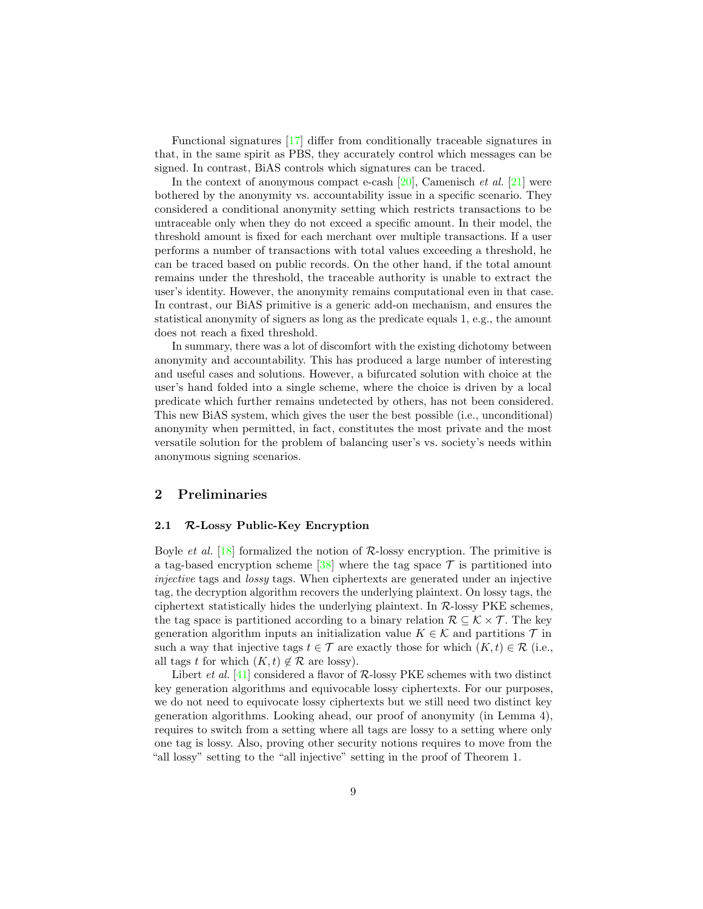Functional signatures [\[17\]](#page-28-16) differ from conditionally traceable signatures in that, in the same spirit as PBS, they accurately control which messages can be signed. In contrast, BiAS controls which signatures can be traced.

In the context of anonymous compact e-cash  $[20]$ , Camenisch *et al.*  $[21]$  were bothered by the anonymity vs. accountability issue in a specific scenario. They considered a conditional anonymity setting which restricts transactions to be untraceable only when they do not exceed a specific amount. In their model, the threshold amount is fixed for each merchant over multiple transactions. If a user performs a number of transactions with total values exceeding a threshold, he can be traced based on public records. On the other hand, if the total amount remains under the threshold, the traceable authority is unable to extract the user's identity. However, the anonymity remains computational even in that case. In contrast, our BiAS primitive is a generic add-on mechanism, and ensures the statistical anonymity of signers as long as the predicate equals 1, e.g., the amount does not reach a fixed threshold.

In summary, there was a lot of discomfort with the existing dichotomy between anonymity and accountability. This has produced a large number of interesting and useful cases and solutions. However, a bifurcated solution with choice at the user's hand folded into a single scheme, where the choice is driven by a local predicate which further remains undetected by others, has not been considered. This new BiAS system, which gives the user the best possible (i.e., unconditional) anonymity when permitted, in fact, constitutes the most private and the most versatile solution for the problem of balancing user's vs. society's needs within anonymous signing scenarios.

### <span id="page-8-0"></span>2 Preliminaries

### 2.1 R-Lossy Public-Key Encryption

Boyle *et al.* [\[18\]](#page-28-3) formalized the notion of  $\mathcal{R}$ -lossy encryption. The primitive is a tag-based encryption scheme  $|38|$  where the tag space  $\mathcal T$  is partitioned into injective tags and lossy tags. When ciphertexts are generated under an injective tag, the decryption algorithm recovers the underlying plaintext. On lossy tags, the ciphertext statistically hides the underlying plaintext. In  $\mathcal{R}\text{-lossy PKE schemes}$ , the tag space is partitioned according to a binary relation  $\mathcal{R} \subseteq \mathcal{K} \times \mathcal{T}$ . The key generation algorithm inputs an initialization value  $K \in \mathcal{K}$  and partitions  $\mathcal{T}$  in such a way that injective tags  $t \in \mathcal{T}$  are exactly those for which  $(K, t) \in \mathcal{R}$  (i.e., all tags t for which  $(K, t) \notin \mathcal{R}$  are lossy).

Libert *et al.* [\[41\]](#page-29-10) considered a flavor of  $\mathcal{R}$ -lossy PKE schemes with two distinct key generation algorithms and equivocable lossy ciphertexts. For our purposes, we do not need to equivocate lossy ciphertexts but we still need two distinct key generation algorithms. Looking ahead, our proof of anonymity (in Lemma [4\)](#page-26-0), requires to switch from a setting where all tags are lossy to a setting where only one tag is lossy. Also, proving other security notions requires to move from the "all lossy" setting to the "all injective" setting in the proof of Theorem [1.](#page-24-0)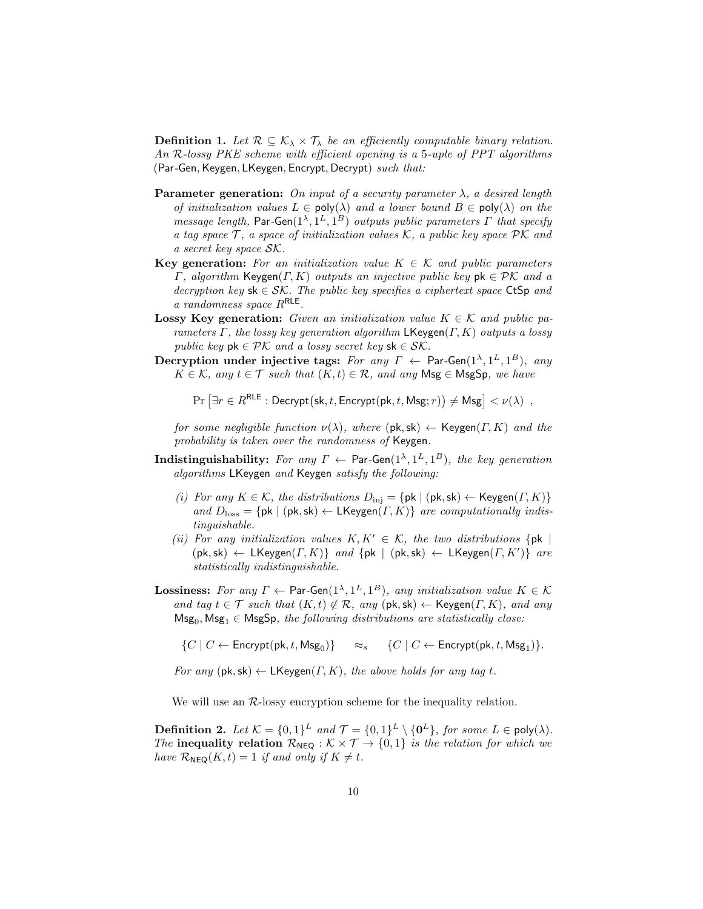**Definition 1.** Let  $\mathcal{R} \subseteq \mathcal{K}_{\lambda} \times \mathcal{T}_{\lambda}$  be an efficiently computable binary relation. An R-lossy PKE scheme with efficient opening is a 5-uple of PPT algorithms (Par-Gen, Keygen, LKeygen, Encrypt, Decrypt) such that:

- **Parameter generation:** On input of a security parameter  $\lambda$ , a desired length of initialization values  $L \in \text{poly}(\lambda)$  and a lower bound  $B \in \text{poly}(\lambda)$  on the message length, Par-Gen $(1^{\lambda}, 1^L, 1^B)$  outputs public parameters  $\Gamma$  that specify a tag space  $\mathcal T$ , a space of initialization values K, a public key space PK and a secret key space SK.
- **Key generation:** For an initialization value  $K \in \mathcal{K}$  and public parameters Γ, algorithm Keygen(Γ, K) outputs an injective public key pk  $\in$  PK and a decryption key  $sk \in \mathcal{SK}$ . The public key specifies a ciphertext space CtSp and a randomness space  $R^{\text{RLE}}$ .
- **Lossy Key generation:** Given an initialization value  $K \in \mathcal{K}$  and public parameters  $\Gamma$ , the lossy key generation algorithm LKeygen( $\Gamma$ , K) outputs a lossy public key  $pk \in PK$  and a lossy secret key  $sk \in SK$ .
- Decryption under injective tags: For any  $\Gamma$   $\leftarrow$  Par-Gen $(1^{\lambda}, 1^L, 1^B)$ , any  $K \in \mathcal{K}$ , any  $t \in \mathcal{T}$  such that  $(K, t) \in \mathcal{R}$ , and any  $Msg \in MsgSp$ , we have

 $\Pr\left[\exists r \in R^{\mathsf{RLE}}: \mathsf{Decrypt}(\mathsf{sk}, t, \mathsf{Encrypt}(\mathsf{pk}, t, \mathsf{Msg}; r)) \neq \mathsf{Msg}\right] < \nu(\lambda)$ ,

for some negligible function  $\nu(\lambda)$ , where (pk, sk)  $\leftarrow$  Keygen( $\Gamma, K$ ) and the probability is taken over the randomness of Keygen.

- Indistinguishability: For any  $\Gamma \leftarrow$  Par-Gen $(1^{\lambda}, 1^L, 1^B)$ , the key generation algorithms LKeygen and Keygen satisfy the following:
	- (i) For any  $K \in \mathcal{K}$ , the distributions  $D_{\text{inj}} = \{\textsf{pk} \mid (\textsf{pk}, \textsf{sk}) \leftarrow \textsf{Keygen}(\Gamma, K)\}$ and  $D_{\text{loss}} = \{\text{pk} \mid (\text{pk}, \text{sk}) \leftarrow \text{LKeygen}(\Gamma, K)\}\$  are computationally indistinguishable.
	- (ii) For any initialization values  $K, K' \in \mathcal{K}$ , the two distributions {pk |  $(\mathsf{pk}, \mathsf{sk}) \leftarrow \mathsf{LKeygen}(\Gamma, K) \}$  and  $\{ \mathsf{pk} \mid (\mathsf{pk}, \mathsf{sk}) \leftarrow \mathsf{LKeygen}(\Gamma, K') \}$  are statistically indistinguishable.
- **Lossiness:** For any  $\Gamma \leftarrow$  Par-Gen $(1^{\lambda}, 1^L, 1^B)$ , any initialization value  $K \in \mathcal{K}$ and tag  $t \in \mathcal{T}$  such that  $(K, t) \notin \mathcal{R}$ , any  $(\mathsf{pk}, \mathsf{sk}) \leftarrow \mathsf{Keygen}(\Gamma, K)$ , and any  $\textsf{Msg}_0, \textsf{Msg}_1 \in \textsf{MsgSp},\ the\ following\ distributions\ are\ statistically\ close:$

 ${C \mid C \leftarrow \mathsf{Encryption}(pk, t, \mathsf{Msg}_0) } \quad \approx_s \quad {C \mid C \leftarrow \mathsf{Encryption}(pk, t, \mathsf{Msg}_1) } .$ 

For any (pk, sk)  $\leftarrow$  LKeygen( $\Gamma$ , K), the above holds for any tag t.

We will use an R-lossy encryption scheme for the inequality relation.

**Definition 2.** Let  $\mathcal{K} = \{0,1\}^L$  and  $\mathcal{T} = \{0,1\}^L \setminus \{\mathbf{0}^L\}$ , for some  $L \in \text{poly}(\lambda)$ . The inequality relation  $\mathcal{R}_{\text{NEQ}} : \mathcal{K} \times \mathcal{T} \to \{0,1\}$  is the relation for which we have  $\mathcal{R}_{\text{NEQ}}(K, t) = 1$  if and only if  $K \neq t$ .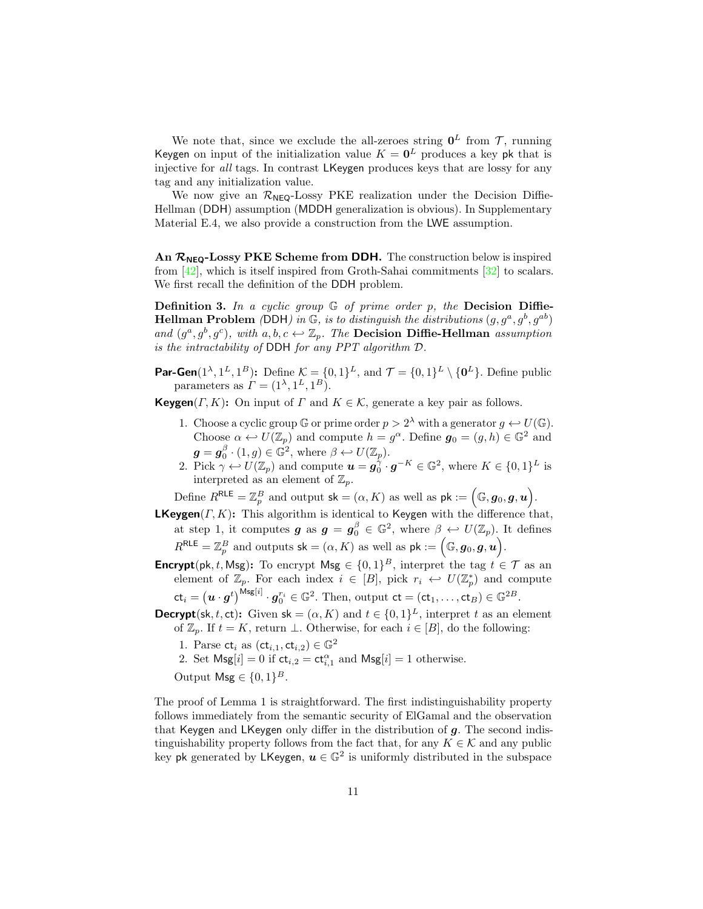We note that, since we exclude the all-zeroes string  $\mathbf{0}^L$  from  $\mathcal{T}$ , running Keygen on input of the initialization value  $K = \mathbf{0}^L$  produces a key pk that is injective for all tags. In contrast LKeygen produces keys that are lossy for any tag and any initialization value.

We now give an  $\mathcal{R}_{\text{NEQ}}$ -Lossy PKE realization under the Decision Diffie-Hellman (DDH) assumption (MDDH generalization is obvious). In Supplementary Material [E.4,](#page-40-0) we also provide a construction from the LWE assumption.

An  $\mathcal{R}_{\text{NFO}}$ -Lossy PKE Scheme from DDH. The construction below is inspired from [\[42\]](#page-29-24), which is itself inspired from Groth-Sahai commitments [\[32\]](#page-29-25) to scalars. We first recall the definition of the DDH problem.

**Definition 3.** In a cyclic group  $G$  of prime order p, the **Decision Diffie-Hellman Problem** (DDH) in G, is to distinguish the distributions  $(g, g^a, g^b, g^{ab})$ and  $(g^a, g^b, g^c)$ , with  $a, b, c \leftrightarrow \mathbb{Z}_p$ . The **Decision Diffie-Hellman** assumption is the intractability of DDH for any PPT algorithm D.

**Par-Gen** $(1^{\lambda}, 1^L, 1^B)$ : Define  $\mathcal{K} = \{0, 1\}^L$ , and  $\mathcal{T} = \{0, 1\}^L \setminus \{0^L\}$ . Define public parameters as  $\Gamma = (1^{\lambda}, 1^L, 1^B)$ .

**Keygen**(*Γ, K*): On input of *Γ* and  $K \in \mathcal{K}$ , generate a key pair as follows.

- 1. Choose a cyclic group G or prime order  $p > 2^{\lambda}$  with a generator  $g \leftrightarrow U(\mathbb{G})$ . Choose  $\alpha \leftrightarrow U(\mathbb{Z}_p)$  and compute  $h = g^{\alpha}$ . Define  $g_0 = (g, h) \in \mathbb{G}^2$  and  $g = g_0^{\beta} \cdot (1, g) \in \mathbb{G}^2$ , where  $\beta \leftarrow U(\mathbb{Z}_p)$ .
- 2. Pick  $\gamma \leftrightarrow U(\mathbb{Z}_p)$  and compute  $\mathbf{u} = g_0^{\gamma'} \cdot g^{-K} \in \mathbb{G}^2$ , where  $K \in \{0,1\}^L$  is interpreted as an element of  $\mathbb{Z}_p$ .

Define  $R^{\text{RLE}} = \mathbb{Z}_p^B$  and output  $\mathsf{sk} = (\alpha, K)$  as well as  $\mathsf{pk} := (\mathbb{G}, g_0, g, u)$ .

- **LKeygen**( $\Gamma$ ,  $K$ ): This algorithm is identical to Keygen with the difference that, at step 1, it computes  $g$  as  $g = g_0^{\beta} \in \mathbb{G}^2$ , where  $\beta \leftrightarrow U(\mathbb{Z}_p)$ . It defines  $R^{\mathsf{RLE}} = \mathbb{Z}_p^B \text{ and outputs } \mathsf{sk} = (\alpha, K) \text{ as well as } \mathsf{pk} := \Big(\mathbb{G}, \bm{g}_0, \bm{g}, \bm{u}\Big).$
- **Encrypt**(pk, t, Msg): To encrypt Msg  $\in \{0,1\}^B$ , interpret the tag  $t \in \mathcal{T}$  as an element of  $\mathbb{Z}_p$ . For each index  $i \in [B]$ , pick  $r_i \leftrightarrow U(\mathbb{Z}_p^*)$  and compute  $\mathsf{ct}_i = \left(\boldsymbol{u}\cdot \boldsymbol{g}^t\right)^{\mathsf{Msg}[i]} \cdot \boldsymbol{g}_0^{r_i} \in \mathbb{G}^2. \ \text{Then, output } \mathsf{ct} = (\mathsf{ct}_1, \dots, \mathsf{ct}_B) \in \mathbb{G}^{2B}.$
- **Decrypt**(sk, t, ct): Given  $sk = (\alpha, K)$  and  $t \in \{0, 1\}^L$ , interpret t as an element of  $\mathbb{Z}_p$ . If  $t = K$ , return  $\bot$ . Otherwise, for each  $i \in [B]$ , do the following:
	- 1. Parse  $ct_i$  as  $(ct_{i,1}, ct_{i,2}) \in \mathbb{G}^2$
	- 2. Set  $\text{Msg}[i] = 0$  if  $\text{ct}_{i,2} = \text{ct}_{i,1}^{\alpha}$  and  $\text{Msg}[i] = 1$  otherwise.

Output  $\mathsf{Msg} \in \{0,1\}^B$ .

The proof of Lemma [1](#page-11-0) is straightforward. The first indistinguishability property follows immediately from the semantic security of ElGamal and the observation that Keygen and LKeygen only differ in the distribution of  $q$ . The second indistinguishability property follows from the fact that, for any  $K \in \mathcal{K}$  and any public key pk generated by LKeygen,  $u \in \mathbb{G}^2$  is uniformly distributed in the subspace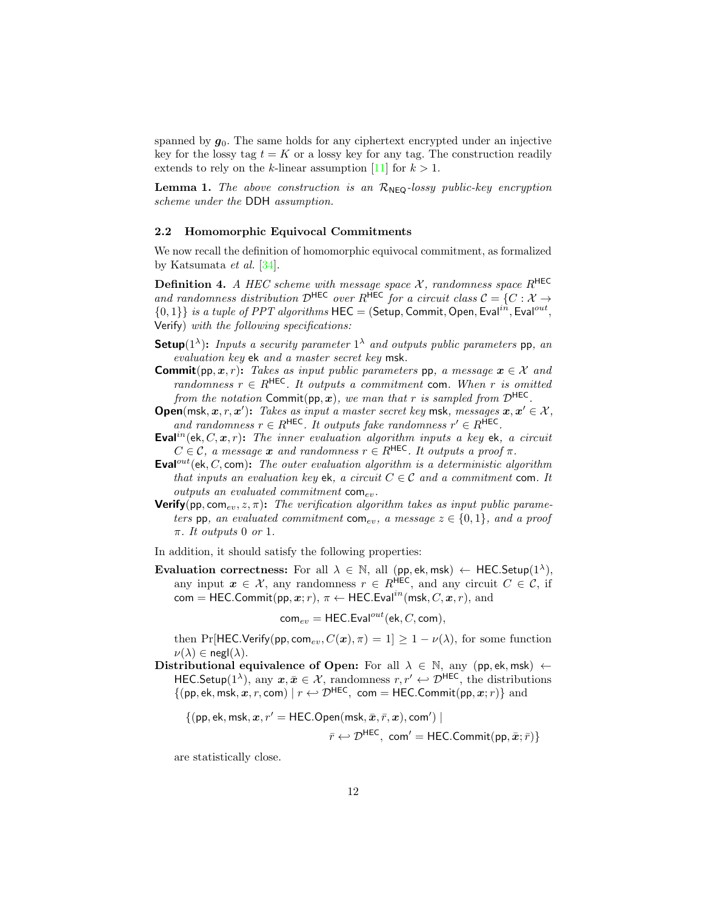spanned by  $g_0$ . The same holds for any ciphertext encrypted under an injective key for the lossy tag  $t = K$  or a lossy key for any tag. The construction readily extends to rely on the k-linear assumption [\[11\]](#page-28-19) for  $k > 1$ .

<span id="page-11-0"></span>**Lemma 1.** The above construction is an  $\mathcal{R}_{\text{NEQ}}$ -lossy public-key encryption scheme under the DDH assumption.

### 2.2 Homomorphic Equivocal Commitments

We now recall the definition of homomorphic equivocal commitment, as formalized by Katsumata et al. [\[34\]](#page-29-4).

**Definition 4.** A HEC scheme with message space  $\mathcal{X}$ , randomness space  $R^{\text{HEC}}$ and randomness distribution  $\mathcal{D}^{\text{HEC}}$  over  $R^{\text{HEC}}$  for a circuit class  $\mathcal{C} = \{C : \mathcal{X} \rightarrow \mathcal{X}\}$  $\{0,1\}$  is a tuple of PPT algorithms HEC = (Setup, Commit, Open, Eval<sup>in</sup>, Eval<sup>out</sup>, Verify) with the following specifications:

- **Setup**(1<sup> $\lambda$ </sup>): Inputs a security parameter 1<sup> $\lambda$ </sup> and outputs public parameters pp, an evaluation key ek and a master secret key msk.
- **Commit**(pp, x, r): Takes as input public parameters pp, a message  $x \in \mathcal{X}$  and randomness  $r \in R^{HEC}$ . It outputs a commitment com. When r is omitted from the notation Commit(pp, x), we man that r is sampled from  $\mathcal{D}^{\text{HEC}}$ .
- **Open**(msk,  $x, r, x'$ ): Takes as input a master secret key msk, messages  $x, x' \in \mathcal{X}$ , and randomness  $r \in R^{HEC}$ . It outputs fake randomness  $r' \in R^{HEC}$ .
- **Eval**<sup>in</sup>(ek, C, x, r): The inner evaluation algorithm inputs a key ek, a circuit  $C \in \mathcal{C}$ , a message x and randomness  $r \in R^{HEC}$ . It outputs a proof  $\pi$ .
- **Eval**<sup>out</sup>(ek, C, com): The outer evaluation algorithm is a deterministic algorithm that inputs an evaluation key ek, a circuit  $C \in \mathcal{C}$  and a commitment com. It outputs an evaluated commitment  $com_{ev}$ .
- **Verify**(pp, com<sub>ev</sub>, z,  $\pi$ ): The verification algorithm takes as input public parameters pp, an evaluated commitment  $com_{ev}$ , a message  $z \in \{0,1\}$ , and a proof π. It outputs 0 or 1.

In addition, it should satisfy the following properties:

Evaluation correctness: For all  $\lambda \in \mathbb{N}$ , all  $(pp, ek, msk) \leftarrow \text{HEC}.\text{Setup}(1^{\lambda}),$ any input  $x \in \mathcal{X}$ , any randomness  $r \in R^{HEC}$ , and any circuit  $C \in \mathcal{C}$ , if com = HEC.Commit(pp,  $x; r$ ),  $\pi \leftarrow$  HEC.Eval<sup>in</sup>(msk, C, x, r), and

$$
\mathsf{com}_{ev} = \mathsf{HEC}.\mathsf{Eval}^{out}(\mathsf{ek}, C, \mathsf{com}),
$$

then Pr[HEC.Verify(pp, com<sub>ev</sub>,  $C(\mathbf{x}), \pi$ ) = 1  $\geq 1 - \nu(\lambda)$ , for some function  $\nu(\lambda) \in \mathsf{negl}(\lambda)$ .

Distributional equivalence of Open: For all  $\lambda \in \mathbb{N}$ , any (pp, ek, msk)  $\leftarrow$ HEC.Setup(1<sup> $\lambda$ </sup>), any  $x, \bar{x} \in \mathcal{X}$ , randomness  $r, r' \leftrightarrow \mathcal{D}^{\text{HEC}}$ , the distributions  $\{(\mathsf{pp},\mathsf{ek},\mathsf{msk},\mathbf{x},r,\mathsf{com}) \mid r \leftarrow \mathcal{D}^{\mathsf{HEC}}, \mathsf{com} = \mathsf{HEC}.\mathsf{Commit}(\mathsf{pp},\mathbf{x};r)\}\$ and

$$
\{(\mathsf{pp},\mathsf{ek},\mathsf{msk},x,r'=\mathsf{HEC}.\mathsf{Open}(\mathsf{msk},\bar{x},\bar{r},x),\mathsf{com}') \mid
$$

$$
\bar{r} \leftarrow \mathcal{D}^{\mathsf{HEC}},\ \mathsf{com}'=\mathsf{HEC}.\mathsf{Commit}(\mathsf{pp},\bar{x};\bar{r})\}
$$

are statistically close.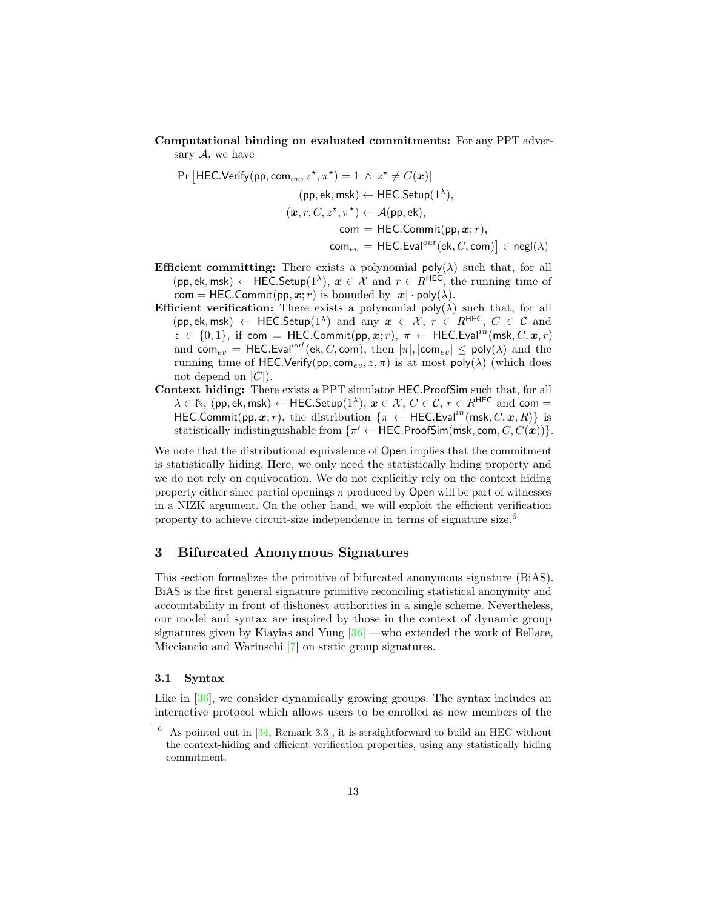Computational binding on evaluated commitments: For any PPT adversary  $A$ , we have

$$
\begin{aligned} \Pr\left[\text{HEC}.\text{Verify}( \text{pp}, \text{com}_{ev}, z^\star, \pi^\star)=1 \ \wedge \ z^\star \neq C(\boldsymbol{x}) \right] \\ (\text{pp}, \text{ek}, \text{msk}) \leftarrow \text{HEC}.\text{Setup}(1^\lambda), \\ (x, r, C, z^\star, \pi^\star) \leftarrow \mathcal{A}(\text{pp}, \text{ek}), \\ \text{com} = \text{HEC}.\text{Commit}(\text{pp}, \boldsymbol{x}; r), \\ \text{com}_{ev}\,=\, \text{HEC}.\text{Eval}^{out}(\text{ek}, C, \text{com}) \right] \in \text{negl}(\lambda) \end{aligned}
$$

- **Efficient committing:** There exists a polynomial  $\text{poly}(\lambda)$  such that, for all  $(pp, ek, msk) \leftarrow \text{HEC}\text{.}$ Setup $(1^{\lambda}), x \in \mathcal{X}$  and  $r \in R^{\text{HEC}},$  the running time of  $com = HEC. Commit(pp, x; r)$  is bounded by  $|x| \cdot poly(\lambda)$ .
- **Efficient verification:** There exists a polynomial  $\text{poly}(\lambda)$  such that, for all  $(pp, ek, msk) \leftarrow \text{HEC}.$ Setup $(1^{\lambda})$  and any  $x \in \mathcal{X}, r \in R^{\text{HEC}}, C \in \mathcal{C}$  and  $z \in \{0, 1\}$ , if com = HEC.Commit(pp, x; r),  $\pi \leftarrow$  HEC.Eval<sup>in</sup>(msk, C, x, r) and  $\text{com}_{ev} = \text{HEC.Eval}^{out}(\text{ek}, C, \text{com}), \text{ then } |\pi|, |\text{com}_{ev}| \le \text{poly}(\lambda)$  and the running time of HEC.Verify(pp,  $\text{com}_{ev}$ ,  $z, \pi$ ) is at most poly( $\lambda$ ) (which does not depend on  $|C|$ ).
- Context hiding: There exists a PPT simulator HEC.ProofSim such that, for all  $\lambda \in \mathbb{N}$ , (pp, ek, msk)  $\leftarrow$  HEC. Setup $(1^{\lambda})$ ,  $x \in \mathcal{X}$ ,  $C \in \mathcal{C}$ ,  $r \in R^{\text{HEC}}$  and com = HEC.Commit(pp, x; r), the distribution  $\{\pi \leftarrow \text{HEC.Eval}^{in}(\text{msk}, C, x, R)\}\$ is statistically indistinguishable from  $\{\pi' \leftarrow \textsf{HEC}.\textsf{ProofSim}(\textsf{msk},\textsf{com},C,C(\boldsymbol{x}))\}.$

We note that the distributional equivalence of **Open** implies that the commitment is statistically hiding. Here, we only need the statistically hiding property and we do not rely on equivocation. We do not explicitly rely on the context hiding property either since partial openings  $\pi$  produced by Open will be part of witnesses in a NIZK argument. On the other hand, we will exploit the efficient verification property to achieve circuit-size independence in terms of signature size.[6](#page-12-0)

### 3 Bifurcated Anonymous Signatures

This section formalizes the primitive of bifurcated anonymous signature (BiAS). BiAS is the first general signature primitive reconciling statistical anonymity and accountability in front of dishonest authorities in a single scheme. Nevertheless, our model and syntax are inspired by those in the context of dynamic group signatures given by Kiayias and Yung [\[36\]](#page-29-9) —who extended the work of Bellare, Micciancio and Warinschi [\[7\]](#page-28-20) on static group signatures.

### 3.1 Syntax

Like in [\[36\]](#page-29-9), we consider dynamically growing groups. The syntax includes an interactive protocol which allows users to be enrolled as new members of the

<span id="page-12-0"></span> $6$  As pointed out in [\[34,](#page-29-4) Remark 3.3], it is straightforward to build an HEC without the context-hiding and efficient verification properties, using any statistically hiding commitment.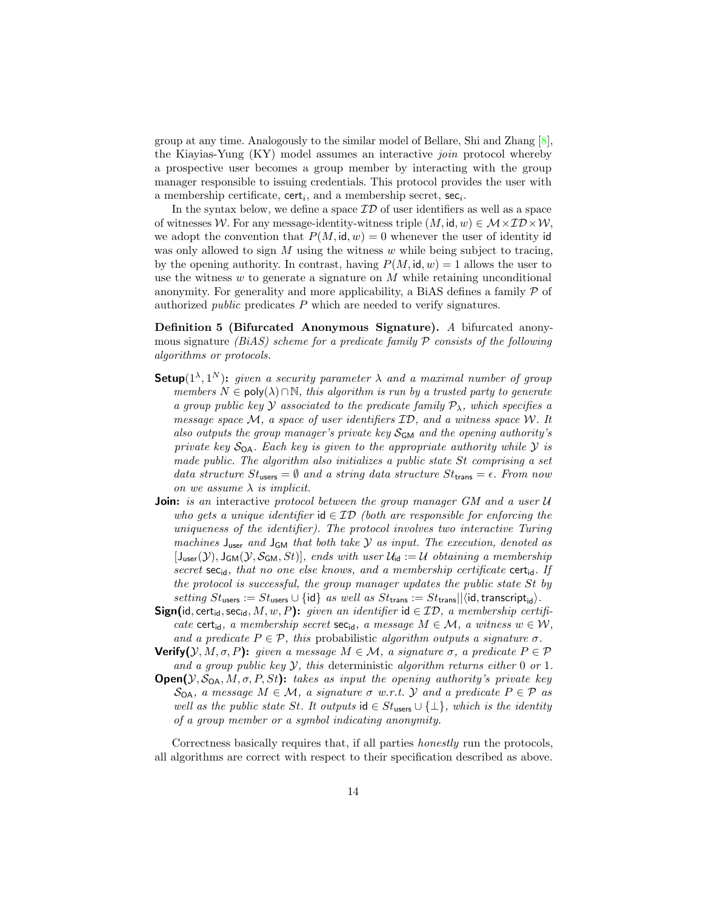group at any time. Analogously to the similar model of Bellare, Shi and Zhang [\[8\]](#page-28-21), the Kiayias-Yung (KY) model assumes an interactive join protocol whereby a prospective user becomes a group member by interacting with the group manager responsible to issuing credentials. This protocol provides the user with a membership certificate,  $\text{cert}_i$ , and a membership secret,  $\text{sec}_i$ .

In the syntax below, we define a space  $\mathcal{ID}$  of user identifiers as well as a space of witnesses W. For any message-identity-witness triple  $(M, id, w) \in \mathcal{M} \times \mathcal{ID} \times \mathcal{W}$ . we adopt the convention that  $P(M, id, w) = 0$  whenever the user of identity id was only allowed to sign  $M$  using the witness  $w$  while being subject to tracing, by the opening authority. In contrast, having  $P(M, id, w) = 1$  allows the user to use the witness  $w$  to generate a signature on  $M$  while retaining unconditional anonymity. For generality and more applicability, a BiAS defines a family  $\mathcal P$  of authorized public predicates P which are needed to verify signatures.

Definition 5 (Bifurcated Anonymous Signature). A bifurcated anonymous signature (BiAS) scheme for a predicate family  $\mathcal P$  consists of the following algorithms or protocols.

- **Setup**( $1^{\lambda}, 1^N$ ): given a security parameter  $\lambda$  and a maximal number of group members  $N \in \text{poly}(\lambda) \cap \mathbb{N}$ , this algorithm is run by a trusted party to generate a group public key Y associated to the predicate family  $P_{\lambda}$ , which specifies a message space  $M$ , a space of user identifiers  $ID$ , and a witness space  $W$ . It also outputs the group manager's private key  $S_{GM}$  and the opening authority's private key  $S_{OA}$ . Each key is given to the appropriate authority while  $\mathcal Y$  is made public. The algorithm also initializes a public state St comprising a set data structure  $St_{\text{users}} = \emptyset$  and a string data structure  $St_{\text{trans}} = \epsilon$ . From now on we assume  $\lambda$  is implicit.
- **Join:** is an interactive protocol between the group manager GM and a user  $U$ who gets a unique identifier id  $\in \mathcal{ID}$  (both are responsible for enforcing the uniqueness of the identifier). The protocol involves two interactive Turing machines  $J_{user}$  and  $J_{GM}$  that both take  $\mathcal Y$  as input. The execution, denoted as  $[J_{user}(\mathcal{Y}), J_{GM}(\mathcal{Y}, \mathcal{S}_{GM}, St)],$  ends with user  $\mathcal{U}_{id} := \mathcal{U}$  obtaining a membership secret  $sec_{id}$ , that no one else knows, and a membership certificate  $c$ ert<sub>id</sub>. If the protocol is successful, the group manager updates the public state St by setting  $St_{\text{users}} := St_{\text{users}} \cup \{\text{id}\}$  as well as  $St_{\text{trans}} := St_{\text{trans}} ||\langle \text{id}, \text{transcript}_{\text{id}} \rangle$ .
- **Sign(id, cert**<sub>id</sub>, sec<sub>id</sub>, M, w, P): given an identifier id  $\in \mathcal{ID}$ , a membership certificate cert<sub>id</sub>, a membership secret sec<sub>id</sub>, a message  $M \in \mathcal{M}$ , a witness  $w \in \mathcal{W}$ , and a predicate  $P \in \mathcal{P}$ , this probabilistic algorithm outputs a signature  $\sigma$ .
- **Verify** $(\mathcal{Y}, M, \sigma, P)$ : given a message  $M \in \mathcal{M}$ , a signature  $\sigma$ , a predicate  $P \in \mathcal{P}$ and a group public key  $\mathcal{Y}$ , this deterministic algorithm returns either 0 or 1.
- **Open(** $\mathcal{Y}, \mathcal{S}_{\mathsf{OA}}, M, \sigma, P, St$ ): takes as input the opening authority's private key  $\mathcal{S}_{\text{OA}}$ , a message  $M \in \mathcal{M}$ , a signature  $\sigma$  w.r.t.  $\mathcal{Y}$  and a predicate  $P \in \mathcal{P}$  as well as the public state St. It outputs  $id \in St_{users} \cup \{\perp\}$ , which is the identity of a group member or a symbol indicating anonymity.

Correctness basically requires that, if all parties honestly run the protocols, all algorithms are correct with respect to their specification described as above.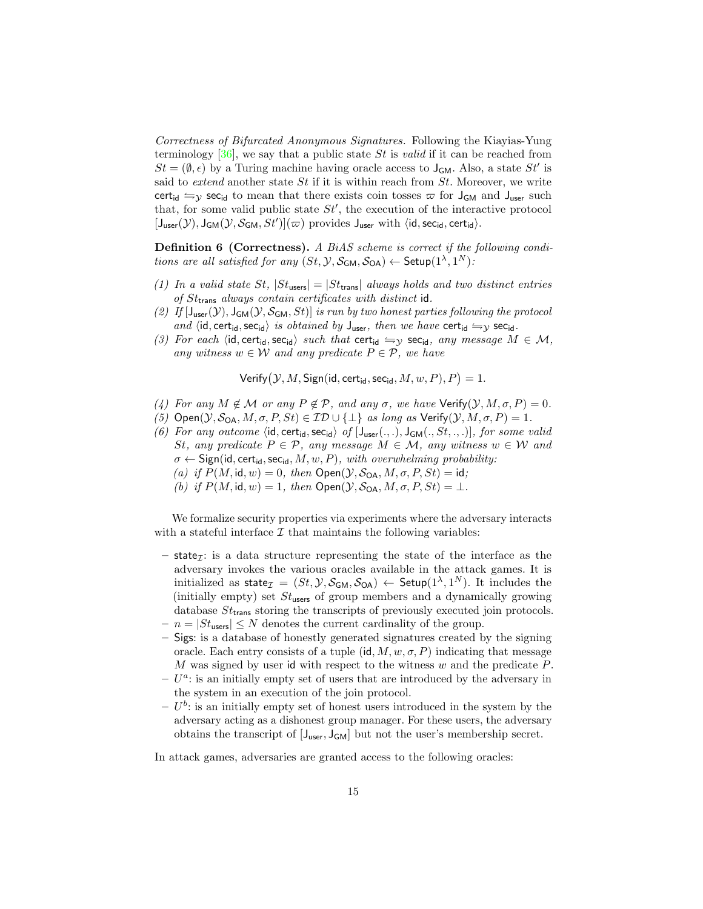Correctness of Bifurcated Anonymous Signatures. Following the Kiayias-Yung terminology  $[36]$ , we say that a public state St is valid if it can be reached from  $St = (\emptyset, \epsilon)$  by a Turing machine having oracle access to  $J_{GM}$ . Also, a state  $St'$  is said to extend another state  $St$  if it is within reach from  $St$ . Moreover, we write cert<sub>id</sub>  $\leftrightharpoons y$  sec<sub>id</sub> to mean that there exists coin tosses  $\varpi$  for J<sub>GM</sub> and J<sub>user</sub> such that, for some valid public state  $St'$ , the execution of the interactive protocol  $[J_{user}(\mathcal{Y}), J_{GM}(\mathcal{Y}, \mathcal{S}_{GM}, St')](\varpi)$  provides  $J_{user}$  with  $\langle id, sec_{id}, cert_{id}\rangle$ .

Definition 6 (Correctness). A BiAS scheme is correct if the following conditions are all satisfied for any  $(St, \mathcal{Y}, \mathcal{S}_{GM}, \mathcal{S}_{OA}) \leftarrow$  Setup $(1^{\lambda}, 1^N)$ :

- (1) In a valid state St,  $|St_{\text{users}}| = |St_{\text{trans}}|$  always holds and two distinct entries of  $St_{\text{trans}}$  always contain certificates with distinct id.
- (2) If  $[J_{user}(\mathcal{Y}), J_{GM}(\mathcal{Y}, \mathcal{S}_{GM}, St)]$  is run by two honest parties following the protocol and  $\langle id, cert_{id}, sec_{id} \rangle$  is obtained by  $J_{user}$ , then we have cert<sub>id</sub>  $\leftrightharpoons y$  sec<sub>id</sub>.
- (3) For each  $\langle id, \text{cert}_{id}, \text{sec}_{id} \rangle$  such that  $\text{cert}_{id} \leftrightharpoons y \text{ sec}_{id}, \text{ any message } M \in \mathcal{M},$ any witness  $w \in \mathcal{W}$  and any predicate  $P \in \mathcal{P}$ , we have

 $\mathsf{Verify}\big(\mathcal{Y}, M, \mathsf{Sign}(\mathsf{id}, \mathsf{cert}_{\mathsf{id}}, \mathsf{sec}_{\mathsf{id}}, M, w, P), P\big) = 1.$ 

- (4) For any  $M \notin \mathcal{M}$  or any  $P \notin \mathcal{P}$ , and any  $\sigma$ , we have Verify( $\mathcal{Y}, M, \sigma, P$ ) = 0.
- (5) Open $(Y, S_{OA}, M, \sigma, P, St) \in \mathcal{ID} \cup \{\perp\}$  as long as Verify $(Y, M, \sigma, P) = 1$ .
- (6) For any outcome  $\langle id, \text{cert}_{id}, \text{sec}_{id} \rangle$  of  $[J_{user}(., .), J_{GM}(., St., .),]$ , for some valid St, any predicate  $P \in \mathcal{P}$ , any message  $M \in \mathcal{M}$ , any witness  $w \in \mathcal{W}$  and  $\sigma \leftarrow$  Sign(id, cert<sub>id</sub>, sec<sub>id</sub>, M, w, P), with overwhelming probability: (a) if  $P(M, id, w) = 0$ , then  $Open(\mathcal{Y}, \mathcal{S}_{OA}, M, \sigma, P, St) = id;$ (b) if  $P(M, id, w) = 1$ , then Open( $\mathcal{Y}, \mathcal{S}_{OA}, M, \sigma, P, St$ ) =  $\perp$ .

We formalize security properties via experiments where the adversary interacts with a stateful interface  $\mathcal I$  that maintains the following variables:

- state<sub> $\tau$ </sub>: is a data structure representing the state of the interface as the adversary invokes the various oracles available in the attack games. It is initialized as  $\mathsf{state}_{\mathcal{I}} = (St, \mathcal{Y}, \mathcal{S}_{\mathsf{GM}}, \mathcal{S}_{\mathsf{OA}}) \leftarrow \mathsf{Setup}(1^\lambda, 1^N).$  It includes the (initially empty) set  $St_{\text{users}}$  of group members and a dynamically growing database  $St_{trans}$  storing the transcripts of previously executed join protocols.
- $n = |St_{\text{users}}| \leq N$  denotes the current cardinality of the group.
- Sigs: is a database of honestly generated signatures created by the signing oracle. Each entry consists of a tuple (id,  $M, w, \sigma, P$ ) indicating that message M was signed by user id with respect to the witness w and the predicate  $P$ .
- $U^a$ : is an initially empty set of users that are introduced by the adversary in the system in an execution of the join protocol.
- $U^b$ : is an initially empty set of honest users introduced in the system by the adversary acting as a dishonest group manager. For these users, the adversary obtains the transcript of  $[J<sub>user</sub>, J<sub>GM</sub>]$  but not the user's membership secret.

In attack games, adversaries are granted access to the following oracles: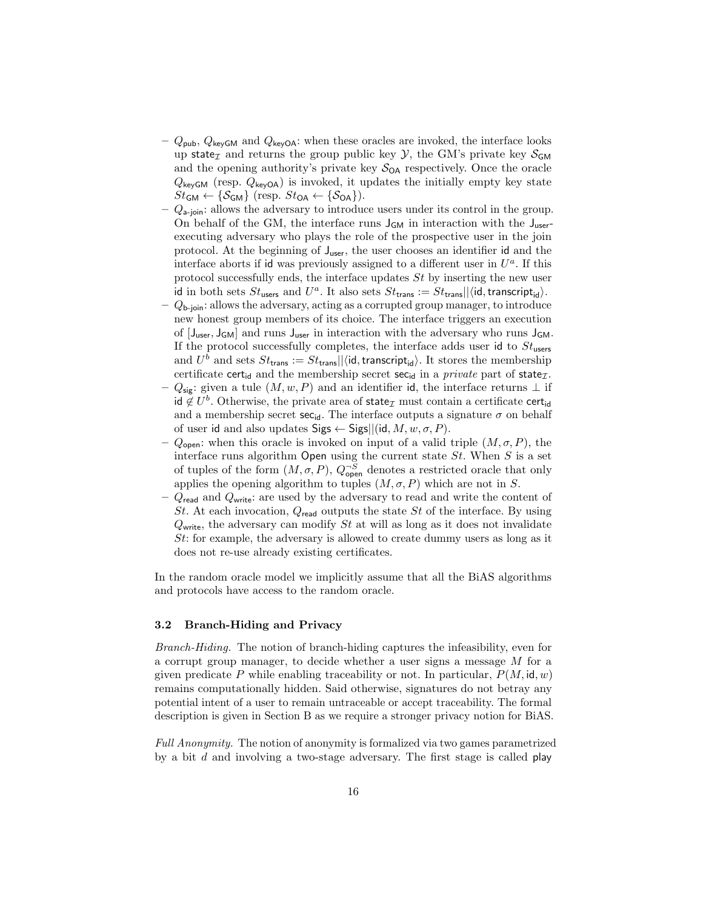- $Q_{\text{pub}}$ ,  $Q_{\text{keyGM}}$  and  $Q_{\text{keyOA}}$ : when these oracles are invoked, the interface looks up state<sub>Z</sub> and returns the group public key  $\mathcal{Y}$ , the GM's private key  $\mathcal{S}_{GM}$ and the opening authority's private key  $S_{OA}$  respectively. Once the oracle  $Q_{\text{keyGM}}$  (resp.  $Q_{\text{keyOA}}$ ) is invoked, it updates the initially empty key state  $St_{GM} \leftarrow \{S_{GM}\}\text{ (resp. }St_{OA} \leftarrow \{S_{OA}\}\text{)}.$
- $-Q_{a-1}$  ion: allows the adversary to introduce users under its control in the group. On behalf of the GM, the interface runs  $J_{GM}$  in interaction with the  $J_{user}$ executing adversary who plays the role of the prospective user in the join protocol. At the beginning of  $J_{user}$ , the user chooses an identifier id and the interface aborts if id was previously assigned to a different user in  $U^a$ . If this protocol successfully ends, the interface updates St by inserting the new user id in both sets  $St_{\text{users}}$  and  $U^a$ . It also sets  $St_{\text{trans}} := St_{\text{trans}} || \langle \text{id}, \text{transcript}_{\text{id}} \rangle$ .
- $Q_{\text{b-ioin}}$ : allows the adversary, acting as a corrupted group manager, to introduce new honest group members of its choice. The interface triggers an execution of  $[J_{user}, J_{GM}]$  and runs  $J_{user}$  in interaction with the adversary who runs  $J_{GM}$ . If the protocol successfully completes, the interface adds user id to  $St<sub>users</sub>$ and  $U^b$  and sets  $St_{\text{trans}} := St_{\text{trans}} || \langle \mathsf{id}, \mathsf{transcript}_{\mathsf{id}} \rangle$ . It stores the membership certificate cert<sub>id</sub> and the membership secret sec<sub>id</sub> in a *private* part of state<sub>Z</sub>.
- $Q_{sig}$ : given a tule  $(M, w, P)$  and an identifier id, the interface returns  $\bot$  if id  $\not\in U^b.$  Otherwise, the private area of state $_\mathcal{I}$  must contain a certificate cert<sub>id</sub> and a membership secret sec<sub>id</sub>. The interface outputs a signature  $\sigma$  on behalf of user id and also updates Sigs  $\leftarrow$  Sigs||(id, M, w,  $\sigma$ , P).
- $Q_{\text{open}}$ : when this oracle is invoked on input of a valid triple  $(M, \sigma, P)$ , the interface runs algorithm Open using the current state  $St$ . When  $S$  is a set of tuples of the form  $(M, \sigma, P)$ ,  $Q_{open}^{-S}$  denotes a restricted oracle that only applies the opening algorithm to tuples  $(M, \sigma, P)$  which are not in S.
- $Q_{\text{read}}$  and  $Q_{\text{write}}$ : are used by the adversary to read and write the content of St. At each invocation,  $Q_{\text{read}}$  outputs the state St of the interface. By using  $Q<sub>write</sub>$ , the adversary can modify  $St$  at will as long as it does not invalidate St: for example, the adversary is allowed to create dummy users as long as it does not re-use already existing certificates.

In the random oracle model we implicitly assume that all the BiAS algorithms and protocols have access to the random oracle.

### 3.2 Branch-Hiding and Privacy

Branch-Hiding. The notion of branch-hiding captures the infeasibility, even for a corrupt group manager, to decide whether a user signs a message M for a given predicate P while enabling traceability or not. In particular,  $P(M, id, w)$ remains computationally hidden. Said otherwise, signatures do not betray any potential intent of a user to remain untraceable or accept traceability. The formal description is given in Section [B](#page-31-0) as we require a stronger privacy notion for BiAS.

Full Anonymity. The notion of anonymity is formalized via two games parametrized by a bit d and involving a two-stage adversary. The first stage is called play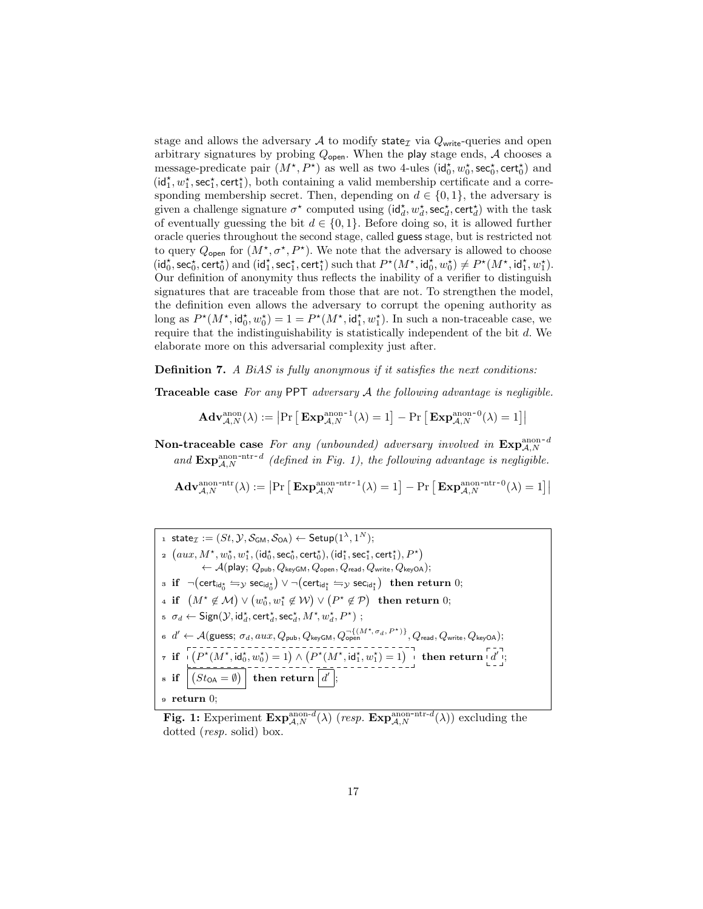stage and allows the adversary A to modify state<sub>I</sub> via  $Q_{\text{write}}$ -queries and open arbitrary signatures by probing  $Q_{open}$ . When the play stage ends, A chooses a message-predicate pair  $(M^*, P^*)$  as well as two 4-ules  $(\text{id}_0^*, w_0^*, \text{sec}_0^*, \text{cert}_0^*)$  and  $(id_1^{\star}, w_1^{\star}, \text{sec}_1^{\star}, \text{cert}_1^{\star}),$  both containing a valid membership certificate and a corresponding membership secret. Then, depending on  $d \in \{0, 1\}$ , the adversary is given a challenge signature  $\sigma^*$  computed using  $(\mathsf{id}_d^{\star}, w_d^{\star}, \mathsf{sec}_d^{\star}, \mathsf{cert}_d^{\star})$  with the task of eventually guessing the bit  $d \in \{0, 1\}$ . Before doing so, it is allowed further oracle queries throughout the second stage, called guess stage, but is restricted not to query  $Q_{open}$  for  $(M^*, \sigma^*, P^*)$ . We note that the adversary is allowed to choose  $(\mathsf{id}_0^{\star}, \mathsf{sec}_0^{\star}, \mathsf{cert}_0^{\star})$  and  $(\mathsf{id}_1^{\star}, \mathsf{sec}_1^{\star}, \mathsf{cert}_1^{\star})$  such that  $P^{\star}(M^{\star}, \mathsf{id}_0^{\star}, w_0^{\star}) \neq P^{\star}(M^{\star}, \mathsf{id}_1^{\star}, w_1^{\star})$ . Our definition of anonymity thus reflects the inability of a verifier to distinguish signatures that are traceable from those that are not. To strengthen the model, the definition even allows the adversary to corrupt the opening authority as long as  $P^{\star}(M^{\star}, \mathrm{id}_0^{\star}, w_0^{\star}) = 1 = P^{\star}(M^{\star}, \mathrm{id}_1^{\star}, w_1^{\star})$ . In such a non-traceable case, we require that the indistinguishability is statistically independent of the bit  $d$ . We elaborate more on this adversarial complexity just after.

<span id="page-16-1"></span>**Definition 7.** A BiAS is fully anonymous if it satisfies the next conditions:

Traceable case For any PPT adversary A the following advantage is negligible.

$$
\mathbf{Adv}_{\mathcal{A},N}^{\text{anon}}(\lambda) := \left| \Pr \left[ \mathbf{Exp}_{\mathcal{A},N}^{\text{anon-1}}(\lambda) = 1 \right] - \Pr \left[ \mathbf{Exp}_{\mathcal{A},N}^{\text{anon-0}}(\lambda) = 1 \right] \right|
$$

Non-traceable case For any (unbounded) adversary involved in  $\mathrm{Exp}_{\mathcal{A},N}^{\mathrm{anon-d}}$ and  $\text{Exp}_{\mathcal{A},N}^{\text{anon-ntr-d}}$  (defined in Fig. [1\)](#page-16-0), the following advantage is negligible.

<span id="page-16-0"></span>
$$
\mathbf{Adv}_{\mathcal{A},N}^{\mathrm{anon-ntr}}(\lambda) := \left|\Pr\left[\ \mathbf{Exp}_{\mathcal{A},N}^{\mathrm{anon-ntr-1}}(\lambda) = 1 \right] - \Pr\left[\ \mathbf{Exp}_{\mathcal{A},N}^{\mathrm{anon-ntr-0}}(\lambda) = 1 \right]\right|
$$



Fig. 1: Experiment  $\text{Exp}_{\mathcal{A},N}^{\text{anon-d}}(\lambda)$  (resp.  $\text{Exp}_{\mathcal{A},N}^{\text{anon-ntr-d}}(\lambda)$ ) excluding the dotted (resp. solid) box.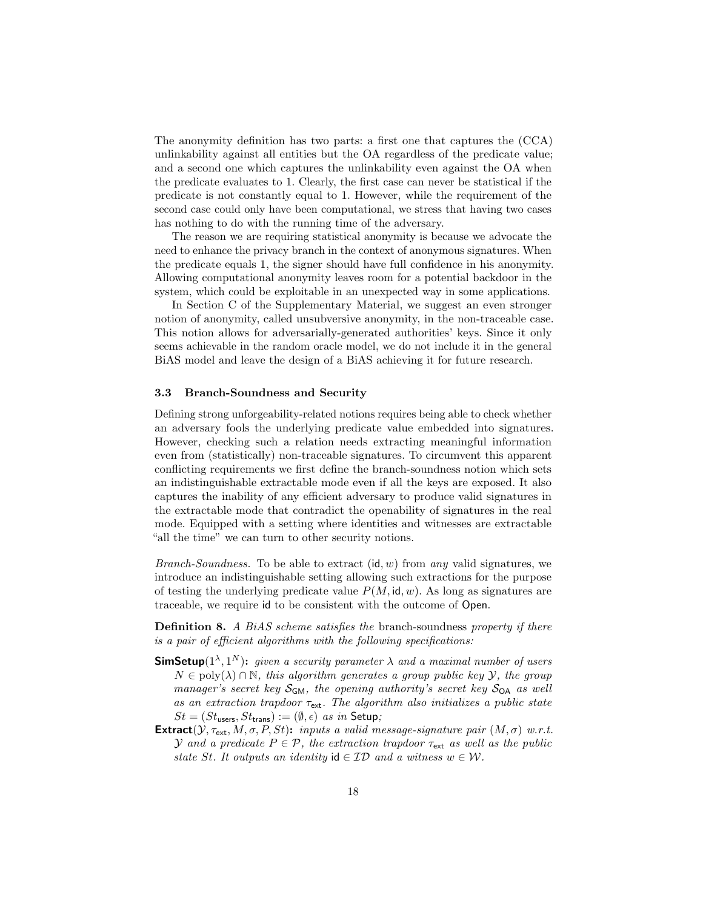The anonymity definition has two parts: a first one that captures the (CCA) unlinkability against all entities but the OA regardless of the predicate value; and a second one which captures the unlinkability even against the OA when the predicate evaluates to 1. Clearly, the first case can never be statistical if the predicate is not constantly equal to 1. However, while the requirement of the second case could only have been computational, we stress that having two cases has nothing to do with the running time of the adversary.

The reason we are requiring statistical anonymity is because we advocate the need to enhance the privacy branch in the context of anonymous signatures. When the predicate equals 1, the signer should have full confidence in his anonymity. Allowing computational anonymity leaves room for a potential backdoor in the system, which could be exploitable in an unexpected way in some applications.

In Section [C](#page-32-0) of the Supplementary Material, we suggest an even stronger notion of anonymity, called unsubversive anonymity, in the non-traceable case. This notion allows for adversarially-generated authorities' keys. Since it only seems achievable in the random oracle model, we do not include it in the general BiAS model and leave the design of a BiAS achieving it for future research.

### 3.3 Branch-Soundness and Security

Defining strong unforgeability-related notions requires being able to check whether an adversary fools the underlying predicate value embedded into signatures. However, checking such a relation needs extracting meaningful information even from (statistically) non-traceable signatures. To circumvent this apparent conflicting requirements we first define the branch-soundness notion which sets an indistinguishable extractable mode even if all the keys are exposed. It also captures the inability of any efficient adversary to produce valid signatures in the extractable mode that contradict the openability of signatures in the real mode. Equipped with a setting where identities and witnesses are extractable "all the time" we can turn to other security notions.

*Branch-Soundness.* To be able to extract  $(id, w)$  from any valid signatures, we introduce an indistinguishable setting allowing such extractions for the purpose of testing the underlying predicate value  $P(M, id, w)$ . As long as signatures are traceable, we require id to be consistent with the outcome of Open.

<span id="page-17-0"></span>**Definition 8.** A BiAS scheme satisfies the branch-soundness property if there is a pair of efficient algorithms with the following specifications:

- **SimSetup**( $1^{\lambda}, 1^N$ ): given a security parameter  $\lambda$  and a maximal number of users  $N \in \text{poly}(\lambda) \cap \mathbb{N}$ , this algorithm generates a group public key  $\mathcal{Y}$ , the group manager's secret key  $S_{GM}$ , the opening authority's secret key  $S_{OA}$  as well as an extraction trapdoor  $\tau_{\text{ext}}$ . The algorithm also initializes a public state  $St = (St<sub>users</sub>, St<sub>trans</sub>) := (\emptyset, \epsilon)$  as in Setup;
- **Extract**( $\mathcal{Y}, \tau_{ext}, M, \sigma, P, St$ ): inputs a valid message-signature pair  $(M, \sigma)$  w.r.t. *Y* and a predicate  $P \in \mathcal{P}$ , the extraction trapdoor  $\tau_{ext}$  as well as the public state St. It outputs an identity id  $\in \mathcal{ID}$  and a witness  $w \in \mathcal{W}$ .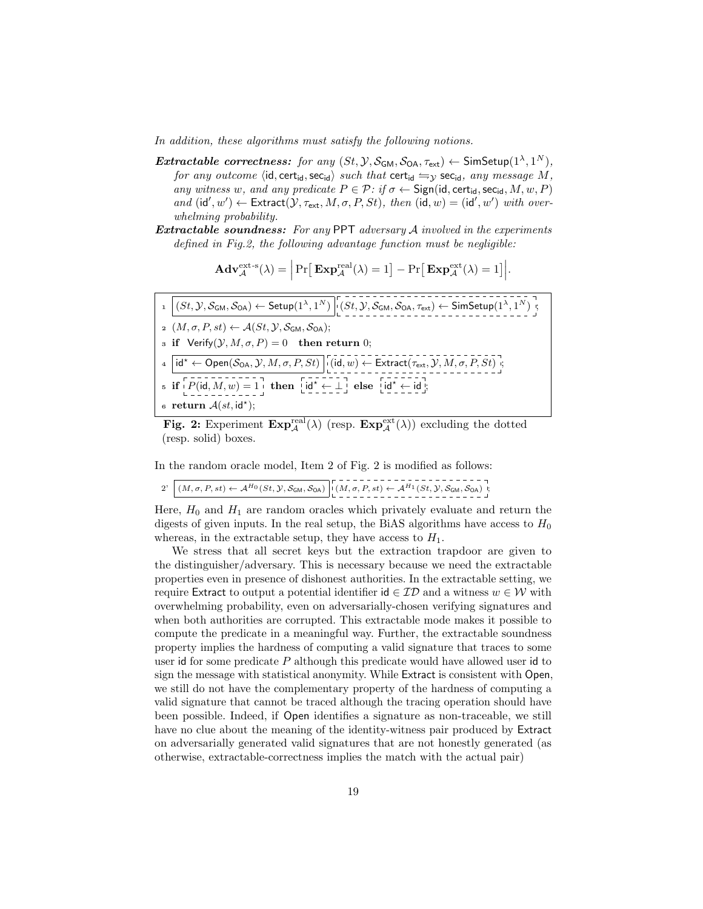In addition, these algorithms must satisfy the following notions.

- Extractable correctness: for any  $(St, \mathcal{Y}, \mathcal{S}_{GM}, \mathcal{S}_{OA}, \tau_{ext}) \leftarrow$  SimSetup $(1^{\lambda}, 1^N)$ , for any outcome  $\langle id, \text{cert}_{id}, \text{sec}_{id} \rangle$  such that  $\text{cert}_{id} \leftrightharpoons y \text{ sec}_{id}, any message M$ , any witness w, and any predicate  $P \in \mathcal{P}: if \sigma \leftarrow \mathsf{Sign}(\mathsf{id}, \mathsf{cert}_{\mathsf{id}}, \mathsf{sec}_{\mathsf{id}}, M, w, P)$ and  $(id', w') \leftarrow \text{Extract}(\mathcal{Y}, \tau_{ext}, M, \sigma, P, St)$ , then  $(id, w) = (id', w')$  with overwhelming probability.
- Extractable soundness: For any PPT adversary A involved in the experiments defined in Fig[.2,](#page-18-0) the following advantage function must be negligible:

$$
\mathbf{Adv}_{\mathcal{A}}^{\text{ext-s}}(\lambda) = \left| \Pr \left[ \mathbf{Exp}_{\mathcal{A}}^{\text{real}}(\lambda) = 1 \right] - \Pr \left[ \mathbf{Exp}_{\mathcal{A}}^{\text{ext}}(\lambda) = 1 \right] \right|.
$$

<span id="page-18-1"></span><span id="page-18-0"></span>

| $\left. \frac{1}{2}\left[\left(St,\mathcal{Y},\mathcal{S}_{\text{GM}},\mathcal{S}_{\text{OA}}\right) \leftarrow \text{Setup}(1^{\lambda},1^N)\right]\right] \left[\left(St,\mathcal{Y},\mathcal{S}_{\text{GM}},\mathcal{S}_{\text{OA}},\tau_{\text{ext}}\right) \leftarrow \text{SimSetup}(1^{\lambda},1^N) \right];$ |
|-----------------------------------------------------------------------------------------------------------------------------------------------------------------------------------------------------------------------------------------------------------------------------------------------------------------------|
| 2 $(M, \sigma, P, st) \leftarrow \mathcal{A}(St, \mathcal{Y}, \mathcal{S}_{GM}, \mathcal{S}_{OA});$                                                                                                                                                                                                                   |
| s if Verify $(Y, M, \sigma, P) = 0$ then return 0;                                                                                                                                                                                                                                                                    |
| $\mathcal{A}$ $\big $ id <sup>*</sup> $\leftarrow$ Open( $\mathcal{S}_{OA}, \mathcal{Y}, M, \sigma, P, St$ ) $\big  \big $ (id, $w$ ) $\leftarrow$ Extract( $\tau_{ext}, \mathcal{Y}, M, \sigma, P, St$ ) $\big $                                                                                                     |
| $\mathbf{a}$ if $P(\mathsf{id}, M, w) = 1$ then $\mathsf{id}^* \leftarrow \mathsf{L}$ else $\mathsf{id}^* \leftarrow \mathsf{id}$ ;                                                                                                                                                                                   |
| 6 return $A(st, id^*)$ ;                                                                                                                                                                                                                                                                                              |



In the random oracle model, Item [2](#page-18-1) of Fig. [2](#page-18-0) is modified as follows:

$$
2' \left[ (M, \sigma, P, st) \leftarrow A^{H_0}(St, \mathcal{Y}, \mathcal{S}_{\mathsf{GM}}, \mathcal{S}_{\mathsf{OA}}) \right] \left[ (M, \sigma, P, st) \leftarrow A^{H_1}(St, \mathcal{Y}, \mathcal{S}_{\mathsf{GM}}, \mathcal{S}_{\mathsf{OA}}) \right];
$$

Here,  $H_0$  and  $H_1$  are random oracles which privately evaluate and return the digests of given inputs. In the real setup, the BiAS algorithms have access to  $H_0$ whereas, in the extractable setup, they have access to  $H_1$ .

We stress that all secret keys but the extraction trapdoor are given to the distinguisher/adversary. This is necessary because we need the extractable properties even in presence of dishonest authorities. In the extractable setting, we require Extract to output a potential identifier  $id \in \mathcal{ID}$  and a witness  $w \in \mathcal{W}$  with overwhelming probability, even on adversarially-chosen verifying signatures and when both authorities are corrupted. This extractable mode makes it possible to compute the predicate in a meaningful way. Further, the extractable soundness property implies the hardness of computing a valid signature that traces to some user id for some predicate  $P$  although this predicate would have allowed user id to sign the message with statistical anonymity. While Extract is consistent with Open, we still do not have the complementary property of the hardness of computing a valid signature that cannot be traced although the tracing operation should have been possible. Indeed, if Open identifies a signature as non-traceable, we still have no clue about the meaning of the identity-witness pair produced by Extract on adversarially generated valid signatures that are not honestly generated (as otherwise, extractable-correctness implies the match with the actual pair)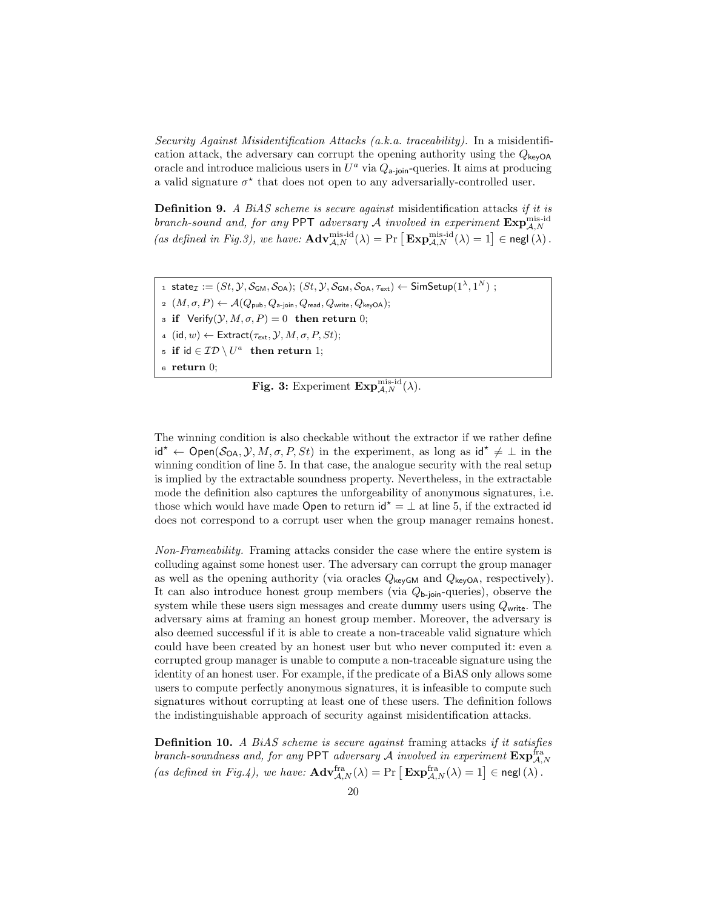Security Against Misidentification Attacks (a.k.a. traceability). In a misidentification attack, the adversary can corrupt the opening authority using the  $Q_{\text{keyOA}}$ oracle and introduce malicious users in  $U^a$  via  $Q_{a-j\text{o}in}$ -queries. It aims at producing a valid signature  $\sigma^*$  that does not open to any adversarially-controlled user.

<span id="page-19-0"></span>Definition 9. A BiAS scheme is secure against misidentification attacks if it is branch-sound and, for any PPT adversary A involved in experiment  $\mathrm{Exp}_{\mathcal{A},N}^{\text{mis-id}}$ (as defined in Fig[.3\)](#page-19-0), we have:  $\mathbf{Adv}_{\mathcal{A},N}^{\text{mis-id}}(\lambda) = \Pr\left[\mathbf{Exp}_{\mathcal{A},N}^{\text{mis-id}}(\lambda) = 1\right] \in \mathsf{negl}(\lambda)$ .

 $\mathcal{A}_1$  state $_\mathcal{I} := (St, \mathcal{Y}, \mathcal{S}_{\mathsf{GM}}, \mathcal{S}_{\mathsf{OA}}); \, (St, \mathcal{Y}, \mathcal{S}_{\mathsf{GM}}, \mathcal{S}_{\mathsf{OA}}, \tau_{\mathsf{ext}}) \gets \mathsf{SimSetup}(1^\lambda,1^N) \;;$ 

2  $(M, \sigma, P) \leftarrow \mathcal{A}(Q_{\mathsf{pub}}, Q_{\mathsf{a}\text{-join}}, Q_{\mathsf{read}}, Q_{\mathsf{write}}, Q_{\mathsf{keyOA}});$ 

3 if  $Verify(Y, M, \sigma, P) = 0$  then return 0;

4 (id,  $w$ )  $\leftarrow$  Extract( $\tau_{ext}$ ,  $\mathcal{Y}$ ,  $M$ ,  $\sigma$ ,  $P$ ,  $St$ );

<span id="page-19-1"></span>5 if id ∈  $ID \setminus U^a$  then return 1;

<sup>6</sup> return 0;

Fig. 3: Experiment  $\mathrm{Exp}_{\mathcal{A},N}^{\text{mis-id}}(\lambda)$ .

The winning condition is also checkable without the extractor if we rather define  $id^* \leftarrow \text{Open}(\mathcal{S}_{OA}, \mathcal{Y}, M, \sigma, P, St)$  in the experiment, as long as  $id^* \neq \bot$  in the winning condition of line 5. In that case, the analogue security with the real setup is implied by the extractable soundness property. Nevertheless, in the extractable mode the definition also captures the unforgeability of anonymous signatures, i.e. those which would have made Open to return  $\mathbf{id}^* = \perp$  at line [5,](#page-19-1) if the extracted id does not correspond to a corrupt user when the group manager remains honest.

Non-Frameability. Framing attacks consider the case where the entire system is colluding against some honest user. The adversary can corrupt the group manager as well as the opening authority (via oracles  $Q_{\text{keyGM}}$  and  $Q_{\text{keyOA}}$ , respectively). It can also introduce honest group members (via  $Q_{\text{b-join}}$ -queries), observe the system while these users sign messages and create dummy users using  $Q_{\text{write}}$ . The adversary aims at framing an honest group member. Moreover, the adversary is also deemed successful if it is able to create a non-traceable valid signature which could have been created by an honest user but who never computed it: even a corrupted group manager is unable to compute a non-traceable signature using the identity of an honest user. For example, if the predicate of a BiAS only allows some users to compute perfectly anonymous signatures, it is infeasible to compute such signatures without corrupting at least one of these users. The definition follows the indistinguishable approach of security against misidentification attacks.

<span id="page-19-2"></span>Definition 10. A BiAS scheme is secure against framing attacks if it satisfies branch-soundness and, for any PPT adversary A involved in experiment  $\mathrm{Exp}^{\mathrm{fra}}_{\mathcal{A},N}$ (as defined in Fig[.4\)](#page-19-2), we have:  $\mathbf{Adv}_{\mathcal{A},N}^{\text{fra}}(\lambda) = \Pr\left[\mathbf{Exp}_{\mathcal{A},N}^{\text{fra}}(\lambda) = 1\right] \in \mathsf{negl}(\lambda)$ .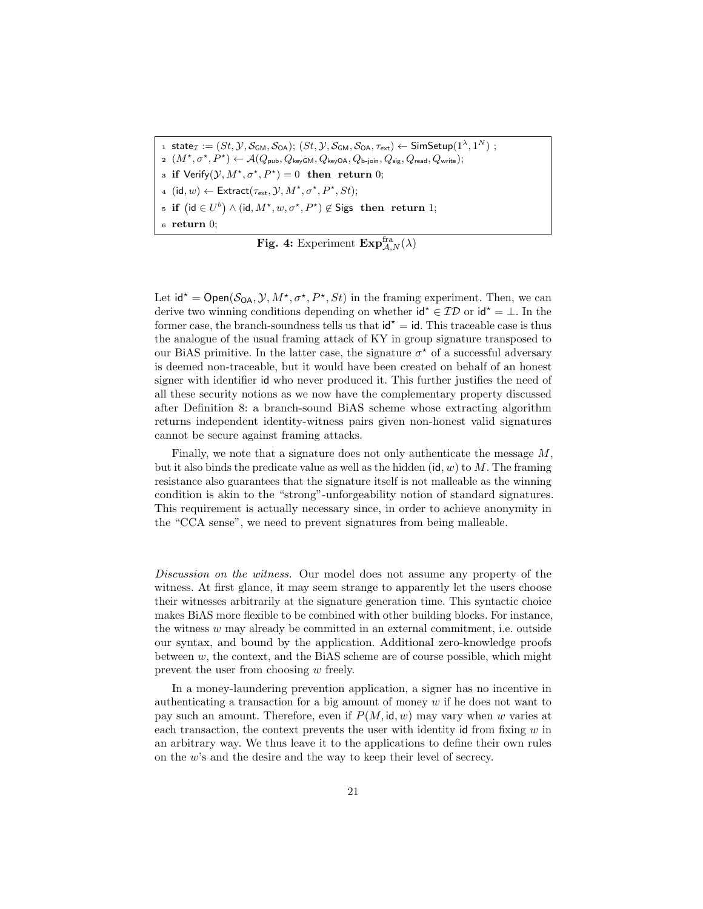$\mathcal{A}_1$  state $_\mathcal{I} := (St, \mathcal{Y}, \mathcal{S}_{\mathsf{GM}}, \mathcal{S}_{\mathsf{OA}}); \, (St, \mathcal{Y}, \mathcal{S}_{\mathsf{GM}}, \mathcal{S}_{\mathsf{OA}}, \tau_{\mathsf{ext}}) \gets \mathsf{SimSetup}(1^\lambda,1^N) \;;$  $_2$   $(M^{\star}, \sigma^{\star}, P^{\star}) \leftarrow \mathcal{A}(Q_{\mathsf{pub}}, Q_{\mathsf{keyGM}}, Q_{\mathsf{keyOA}}, Q_{\mathsf{b}\text{-join}}, Q_{\mathsf{sig}}, Q_{\mathsf{read}}, Q_{\mathsf{write}});$ 3 if Verify $(Y, M^*, \sigma^*, P^*) = 0$  then return 0; 4 (id,  $w$ )  $\leftarrow$  Extract( $\tau_{ext}$ ,  $\mathcal{Y}, M^{\star}, \sigma^{\star}, P^{\star}, St$ );  $\mathfrak s$  if  $(\mathsf{id} \in U^b) \wedge (\mathsf{id}, M^\star, w, \sigma^\star, P^\star) \not\in \mathsf{Sign}$  then return 1; <sup>6</sup> return 0;

|  |  | Fig. 4: Experiment $\mathrm{Exp}_{\mathcal{A},N}^{\mathrm{fra}}(\lambda)$ |  |
|--|--|---------------------------------------------------------------------------|--|
|--|--|---------------------------------------------------------------------------|--|

Let  $\mathsf{id}^* = \mathsf{Open}(\mathcal{S}_{\mathsf{OA}}, \mathcal{Y}, M^*, \sigma^*, P^*, St)$  in the framing experiment. Then, we can derive two winning conditions depending on whether  $\mathsf{id}^* \in \mathcal{ID}$  or  $\mathsf{id}^* = \bot$ . In the former case, the branch-soundness tells us that  $\mathsf{id}^* = \mathsf{id}$ . This traceable case is thus the analogue of the usual framing attack of KY in group signature transposed to our BiAS primitive. In the latter case, the signature  $\sigma^*$  of a successful adversary is deemed non-traceable, but it would have been created on behalf of an honest signer with identifier id who never produced it. This further justifies the need of all these security notions as we now have the complementary property discussed after Definition [8:](#page-17-0) a branch-sound BiAS scheme whose extracting algorithm returns independent identity-witness pairs given non-honest valid signatures cannot be secure against framing attacks.

Finally, we note that a signature does not only authenticate the message  $M$ , but it also binds the predicate value as well as the hidden (id,  $w$ ) to  $M$ . The framing resistance also guarantees that the signature itself is not malleable as the winning condition is akin to the "strong"-unforgeability notion of standard signatures. This requirement is actually necessary since, in order to achieve anonymity in the "CCA sense", we need to prevent signatures from being malleable.

Discussion on the witness. Our model does not assume any property of the witness. At first glance, it may seem strange to apparently let the users choose their witnesses arbitrarily at the signature generation time. This syntactic choice makes BiAS more flexible to be combined with other building blocks. For instance, the witness  $w$  may already be committed in an external commitment, i.e. outside our syntax, and bound by the application. Additional zero-knowledge proofs between  $w$ , the context, and the BiAS scheme are of course possible, which might prevent the user from choosing w freely.

In a money-laundering prevention application, a signer has no incentive in authenticating a transaction for a big amount of money  $w$  if he does not want to pay such an amount. Therefore, even if  $P(M, id, w)$  may vary when w varies at each transaction, the context prevents the user with identity id from fixing  $w$  in an arbitrary way. We thus leave it to the applications to define their own rules on the w's and the desire and the way to keep their level of secrecy.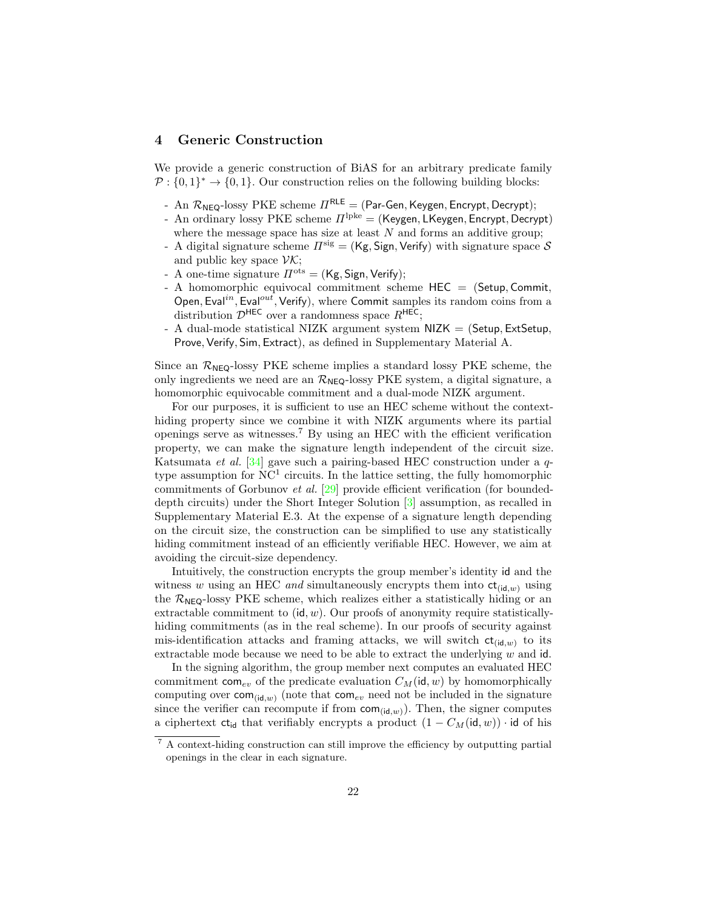## 4 Generic Construction

We provide a generic construction of BiAS for an arbitrary predicate family  $\mathcal{P}: \{0,1\}^* \to \{0,1\}.$  Our construction relies on the following building blocks:

- An  $\mathcal{R}_{NEQ}$ -lossy PKE scheme  $\Pi^{RLE}$  = (Par-Gen, Keygen, Encrypt, Decrypt);
- An ordinary lossy PKE scheme  $\Pi^{\text{lpke}} =$  (Keygen, LKeygen, Encrypt, Decrypt) where the message space has size at least  $N$  and forms an additive group;
- A digital signature scheme  $\Pi^{\text{sig}} = (Kg, \text{Sign}, \text{Verify})$  with signature space S and public key space  $\mathcal{VK};$
- A one-time signature  $\Pi^{\text{ots}} = (Kg, Sign, Verify);$
- A homomorphic equivocal commitment scheme  $HEC =$  (Setup, Commit, Open, Eval<sup>in</sup>, Eval<sup>out</sup>, Verify), where Commit samples its random coins from a distribution  $\mathcal{D}^{\text{HEC}}$  over a randomness space  $R^{\text{HEC}}$ ;
- A dual-mode statistical NIZK argument system  $NIZK = (Setup, ExtSetup,$ Prove, Verify, Sim, Extract), as defined in Supplementary Material [A.](#page-30-0)

Since an  $\mathcal{R}_{\text{NEQ}}$ -lossy PKE scheme implies a standard lossy PKE scheme, the only ingredients we need are an  $\mathcal{R}_{\text{NEO}}$ -lossy PKE system, a digital signature, a homomorphic equivocable commitment and a dual-mode NIZK argument.

For our purposes, it is sufficient to use an HEC scheme without the contexthiding property since we combine it with NIZK arguments where its partial openings serve as witnesses.[7](#page-21-0) By using an HEC with the efficient verification property, we can make the signature length independent of the circuit size. Katsumata et al. [\[34\]](#page-29-4) gave such a pairing-based HEC construction under a qtype assumption for NC<sup>1</sup> circuits. In the lattice setting, the fully homomorphic commitments of Gorbunov et al. [\[29\]](#page-28-4) provide efficient verification (for boundeddepth circuits) under the Short Integer Solution [\[3\]](#page-27-0) assumption, as recalled in Supplementary Material [E.3.](#page-39-0) At the expense of a signature length depending on the circuit size, the construction can be simplified to use any statistically hiding commitment instead of an efficiently verifiable HEC. However, we aim at avoiding the circuit-size dependency.

Intuitively, the construction encrypts the group member's identity id and the witness w using an HEC and simultaneously encrypts them into  $ct_{(id,w)}$  using the  $\mathcal{R}_{NEQ}$ -lossy PKE scheme, which realizes either a statistically hiding or an extractable commitment to  $(id, w)$ . Our proofs of anonymity require statisticallyhiding commitments (as in the real scheme). In our proofs of security against mis-identification attacks and framing attacks, we will switch  $ct_{(id,w)}$  to its extractable mode because we need to be able to extract the underlying  $w$  and id.

In the signing algorithm, the group member next computes an evaluated HEC commitment  $com_{ev}$  of the predicate evaluation  $C_M(\mathsf{id}, w)$  by homomorphically computing over  $com_{(id,w)}$  (note that  $com_{ev}$  need not be included in the signature since the verifier can recompute if from  $com_{(id,w)}$ ). Then, the signer computes a ciphertext  $ct_{id}$  that verifiably encrypts a product  $(1 - C_M(id, w)) \cdot id$  of his

<span id="page-21-0"></span><sup>7</sup> A context-hiding construction can still improve the efficiency by outputting partial openings in the clear in each signature.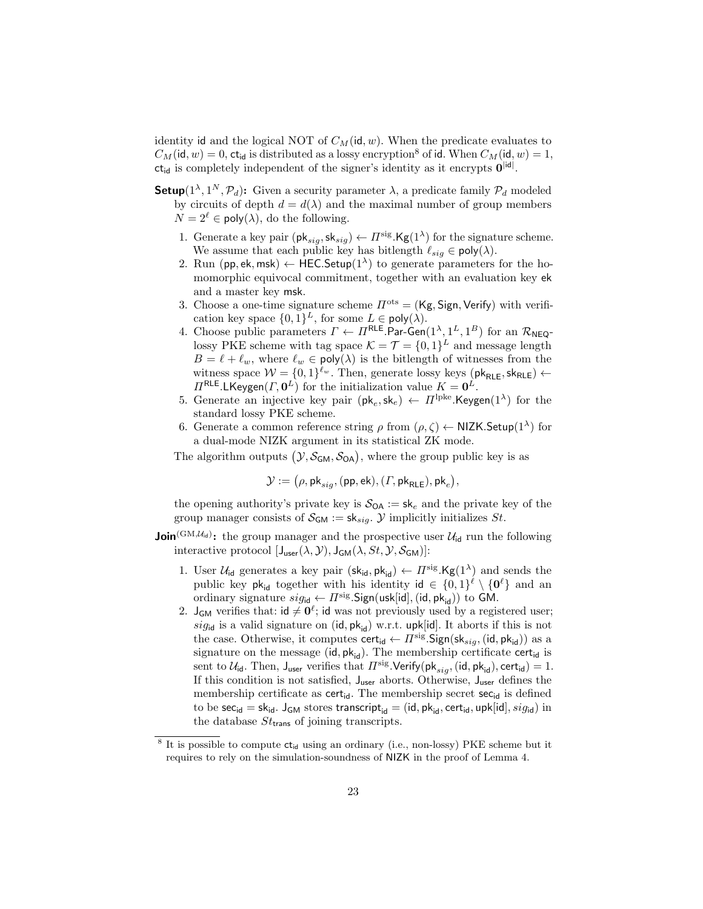identity id and the logical NOT of  $C_M(\mathsf{id}, w)$ . When the predicate evaluates to  $C_M(\mathsf{id}, w) = 0$ ,  $\mathsf{ct}_{\mathsf{id}}$  is distributed as a lossy encryption<sup>[8](#page-22-0)</sup> of id. When  $C_M(\mathsf{id}, w) = 1$ ,  $ct_{id}$  is completely independent of the signer's identity as it encrypts  $0^{||d|}$ .

- **Setup**( $1^{\lambda}, 1^N, \mathcal{P}_d$ ): Given a security parameter  $\lambda$ , a predicate family  $\mathcal{P}_d$  modeled by circuits of depth  $d = d(\lambda)$  and the maximal number of group members  $N = 2^{\ell} \in \text{poly}(\lambda)$ , do the following.
	- 1. Generate a key pair  $(\mathsf{pk}_{sig}, \mathsf{sk}_{sig}) \leftarrow \Pi^{\text{sig}}.\mathsf{Kg}(1^{\lambda})$  for the signature scheme. We assume that each public key has bitlength  $\ell_{sig} \in \text{poly}(\lambda)$ .
	- 2. Run (pp, ek, msk)  $\leftarrow$  HEC. Setup( $1^{\lambda}$ ) to generate parameters for the homomorphic equivocal commitment, together with an evaluation key ek and a master key msk.
	- 3. Choose a one-time signature scheme  $\Pi^{\text{ots}} = (Kg, \text{Sign}, \text{Verify})$  with verification key space  $\{0,1\}^L$ , for some  $L \in \text{poly}(\lambda)$ .
	- 4. Choose public parameters  $\Gamma \leftarrow \Pi^{\text{RLE}}$ . Par-Gen $(1^{\lambda}, 1^L, 1^B)$  for an  $\mathcal{R}_{\text{NEQ}}$ lossy PKE scheme with tag space  $\mathcal{K} = \mathcal{T} = \{0, 1\}^L$  and message length  $B = \ell + \ell_w$ , where  $\ell_w \in \text{poly}(\lambda)$  is the bitlength of witnesses from the witness space  $W = \{0, 1\}^{\ell_w}$ . Then, generate lossy keys  $(\mathsf{pk}_{\mathsf{RLE}}, \mathsf{sk}_{\mathsf{RLE}})$   $\leftarrow$  $\Pi^{\mathsf{RLE}}$ . LKeygen $(\Gamma, \mathbf{0}^L)$  for the initialization value  $K = \mathbf{0}^L$ .
	- 5. Generate an injective key pair  $(\mathsf{pk}_e, \mathsf{sk}_e) \leftarrow \Pi^{\text{lpke}}$ . Keygen $(1^{\lambda})$  for the standard lossy PKE scheme.
	- 6. Generate a common reference string  $\rho$  from  $(\rho, \zeta) \leftarrow \mathsf{NIZK}.\mathsf{Setup}(1^{\lambda})$  for a dual-mode NIZK argument in its statistical ZK mode.

The algorithm outputs  $(\mathcal{Y}, \mathcal{S}_{GM}, \mathcal{S}_{OA})$ , where the group public key is as

$$
\mathcal{Y} := (\rho, \mathsf{pk}_{sig}, (\mathsf{pp}, \mathsf{ek}), (\varGamma, \mathsf{pk}_{\mathsf{RLE}}), \mathsf{pk}_e),
$$

the opening authority's private key is  $S_{OA} := sk_e$  and the private key of the group manager consists of  $S_{GM} := sk_{sig}$ .  $\mathcal{Y}$  implicitly initializes  $St$ .

- **Join**<sup>(GM, $\mathcal{U}_{id}$ ): the group manager and the prospective user  $\mathcal{U}_{id}$  run the following</sup> interactive protocol  $[J_{user}(\lambda, \mathcal{Y}), J_{GM}(\lambda, St, \mathcal{Y}, \mathcal{S}_{GM})]$ :
	- 1. User  $\mathcal{U}_{id}$  generates a key pair  $(\mathsf{sk}_{id}, \mathsf{pk}_{id}) \leftarrow \Pi^{\text{sig}}.\mathsf{Kg}(1^{\lambda})$  and sends the public key  $\mathsf{pk}_{\mathsf{id}}$  together with his identity  $\mathsf{id} \in \{0,1\}^{\ell} \setminus \{\mathbf{0}^{\ell}\}\$  and an ordinary signature  $sig_{\mathsf{id}} \leftarrow \Pi^{\text{sig}}.\mathsf{Sign}(\mathsf{usk}[\mathsf{id}],(\mathsf{id}, \mathsf{pk}_{\mathsf{id}}))$  to  $\mathsf{GM}.$
	- 2. J<sub>GM</sub> verifies that:  $\mathsf{id} \neq \mathbf{0}^{\ell}$ ; id was not previously used by a registered user; sig<sub>id</sub> is a valid signature on (id,  $pk_{id}$ ) w.r.t. upk[id]. It aborts if this is not the case. Otherwise, it computes  $\mathsf{cert}_{\mathsf{id}} \leftarrow \Pi^{\mathsf{sig}}.\mathsf{Sign}(\mathsf{sk}_{sig},(\mathsf{id},\mathsf{pk}_{\mathsf{id}}))$  as a signature on the message (id,  $pk_{id}$ ). The membership certificate cert<sub>id</sub> is sent to  $\mathcal{U}_{\mathsf{id}}$ . Then,  $\mathsf{J}_{\mathsf{user}}$  verifies that  $\varPi^{\rm sig}$ . Verify(p $\mathsf{k}_{sig}$ , (id, p $\mathsf{k}_{\mathsf{id}}$ ), cert $_{\mathsf{id}}$ ) = 1. If this condition is not satisfied, Juser aborts. Otherwise, Juser defines the membership certificate as  $\text{cert}_{id}$ . The membership secret  $\text{sec}_{id}$  is defined to be sec<sub>id</sub> = sk<sub>id</sub>. J<sub>GM</sub> stores transcript<sub>id</sub> = (id, pk<sub>id</sub>, cert<sub>id</sub>, upk[id],  $sig_{\text{id}}$ ) in the database  $St_{trans}$  of joining transcripts.

<span id="page-22-0"></span><sup>&</sup>lt;sup>8</sup> It is possible to compute  $ct_{id}$  using an ordinary (i.e., non-lossy) PKE scheme but it requires to rely on the simulation-soundness of NIZK in the proof of Lemma [4.](#page-26-0)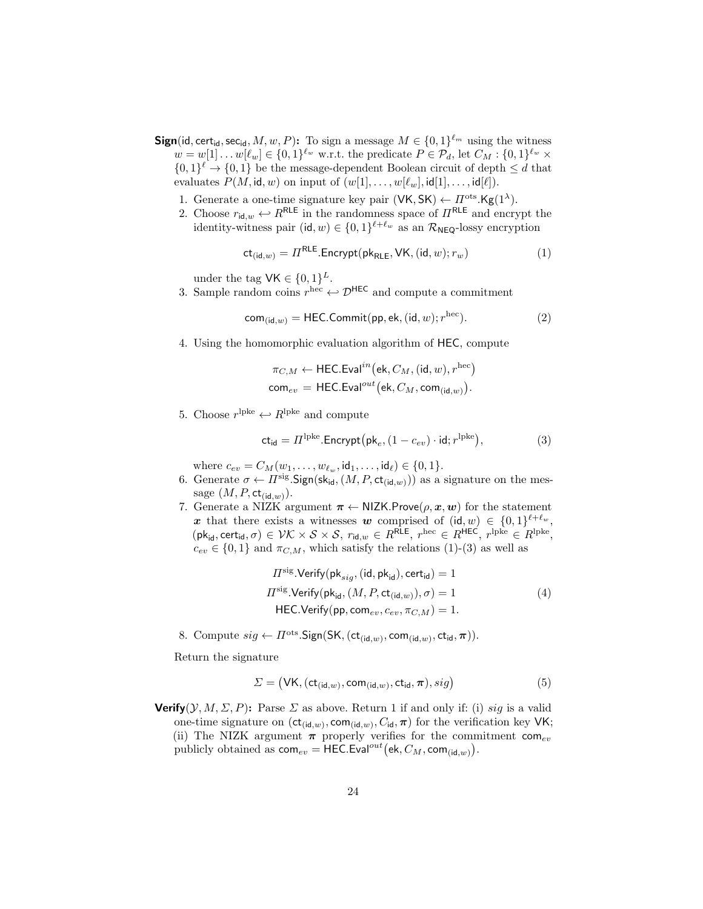- **Sign**(id, cert<sub>id</sub>, sec<sub>id</sub>, M, w, P): To sign a message  $M \in \{0,1\}^{\ell_m}$  using the witness  $w = w[1] \dots w[\ell_w] \in \{0,1\}^{\ell_w}$  w.r.t. the predicate  $P \in \mathcal{P}_d$ , let  $C_M : \{0,1\}^{\ell_w} \times$  $\{0,1\}^{\ell} \to \{0,1\}$  be the message-dependent Boolean circuit of depth  $\leq d$  that evaluates  $P(M, id, w)$  on input of  $(w[1], \ldots, w[\ell_w], id[1], \ldots, id[\ell]).$ 
	- 1. Generate a one-time signature key pair  $(VK, SK) \leftarrow \Pi^{ots} Kg(1^{\lambda}).$
	- 2. Choose  $r_{\text{id},w} \leftarrow R^{\text{RLE}}$  in the randomness space of  $\Pi^{\text{RLE}}$  and encrypt the identity-witness pair  $(\mathsf{id}, w) \in \{0,1\}^{\ell+\ell_w}$  as an  $\mathcal{R}_{\mathsf{NEQ}}$ -lossy encryption

<span id="page-23-0"></span>
$$
\mathsf{ct}_{(\mathsf{id},w)} = \Pi^{\mathsf{RLE}}.\mathsf{Encrypt}(\mathsf{pk}_{\mathsf{RLE}}, \mathsf{VK}, (\mathsf{id},w); r_w)
$$
(1)

under the tag  $\forall K \in \{0,1\}^L$ .

3. Sample random coins  $r^{\text{hec}} \leftrightarrow \mathcal{D}^{\text{HEC}}$  and compute a commitment

$$
com_{(\text{id},w)} = \text{HEC.Commit}(pp, ek, (\text{id}, w); r^{\text{hec}}). \tag{2}
$$

4. Using the homomorphic evaluation algorithm of HEC, compute

$$
\pi_{C,M} \leftarrow \mathsf{HEC}.\mathsf{Eval}^{in}\big(\mathsf{ek}, C_M, (\mathsf{id}, w), r^{\mathsf{hec}}\big) \mathsf{com}_{ev} = \mathsf{HEC}.\mathsf{Eval}^{out}\big(\mathsf{ek}, C_M, \mathsf{com}_{(\mathsf{id},w)}\big).
$$

5. Choose  $r^{\text{lpke}} \leftarrow R^{\text{lpke}}$  and compute

<span id="page-23-1"></span>
$$
\mathsf{ct}_{\mathsf{id}} = \varPi^{\mathrm{lpke}}.\mathsf{Encrypt}\big(\mathsf{pk}_e, (1 - c_{ev}) \cdot \mathsf{id}; r^{\mathrm{lpke}}\big),\tag{3}
$$

where  $c_{ev} = C_M(w_1, \ldots, w_{\ell_w}, \text{id}_1, \ldots, \text{id}_{\ell}) \in \{0, 1\}.$ 

- 6. Generate  $\sigma \leftarrow \Pi^{\text{sig}}$ . Sign(sk<sub>id</sub>,  $(M, P, ct_{(\text{id},w)}))$  as a signature on the message  $(M, P, \text{ct}_{(\text{id},w)})$ .
- 7. Generate a NIZK argument  $\pi \leftarrow \text{NIZK. Prove}(\rho, x, w)$  for the statement x that there exists a witnesses w comprised of  $(\mathsf{id}, w) \in \{0,1\}^{\ell+\ell_w}$ ,  $(\mathsf{pk}_{\mathsf{id}},\mathsf{cert}_{\mathsf{id}},\sigma) \in \mathcal{VK} \times \mathcal{S} \times \mathcal{S}, r_{\mathsf{id},w} \in R^{\mathsf{RLE}}, r^{\mathsf{hec}} \in R^{\mathsf{HEC}}, r^{\mathsf{lpke}} \in R^{\mathsf{lpke}},$  $c_{ev} \in \{0,1\}$  and  $\pi_{C,M}$ , which satisfy the relations [\(1\)](#page-23-0)-[\(3\)](#page-23-1) as well as

$$
H^{\text{sig}}.\text{Verify}(\mathsf{pk}_{sig}, (\text{id}, \mathsf{pk}_{\text{id}}), \text{cert}_{\text{id}}) = 1
$$
  
\n
$$
H^{\text{sig}}.\text{Verify}(\mathsf{pk}_{\text{id}}, (M, P, \text{ct}_{(\text{id}, w)}), \sigma) = 1
$$
  
\n
$$
\text{HEC}.\text{Verify}(\mathsf{pp}, \text{com}_{ev}, c_{ev}, \pi_{C,M}) = 1.
$$
\n(4)

8. Compute  $sig \leftarrow \Pi^{\text{ots}}.\text{Sign}(\text{SK},(\text{ct}_{(\text{id},w)},\text{com}_{(\text{id},w)},\text{ct}_{\text{id}},\pi)).$ 

Return the signature

<span id="page-23-2"></span>
$$
\Sigma = (\mathsf{VK}, (\mathsf{ct}_{(\mathsf{id},w)}, \mathsf{com}_{(\mathsf{id},w)}, \mathsf{ct}_{\mathsf{id}}, \pi), sig) \tag{5}
$$

**Verify**( $\mathcal{Y}, M, \Sigma, P$ ): Parse  $\Sigma$  as above. Return 1 if and only if: (i) sig is a valid one-time signature on  $(\textsf{ct}_{(\textsf{id},w)}, \textsf{com}_{(\textsf{id},w)}, C_{\textsf{id}}, \pi)$  for the verification key VK; (ii) The NIZK argument  $\pi$  properly verifies for the commitment  $com_{ev}$ publicly obtained as  $\mathsf{com}_{ev} = \mathsf{HEC}.\mathsf{Eval}^{out}(\mathsf{ek}, C_M, \mathsf{com}_{(\mathsf{id},w)}).$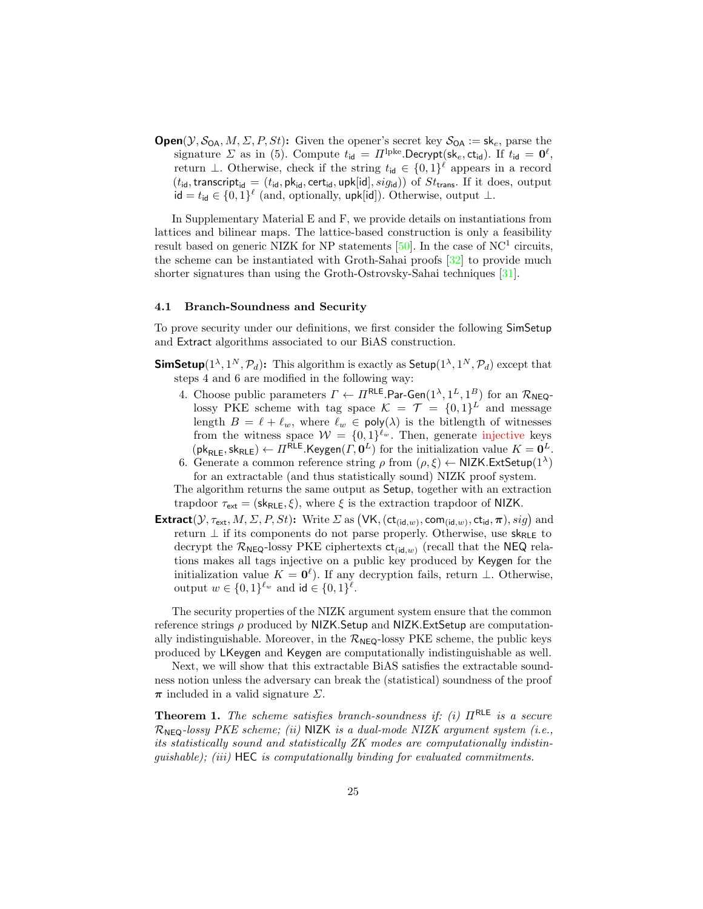**Open**( $\mathcal{Y}, \mathcal{S}_{OA}, M, \Sigma, P, St$ ): Given the opener's secret key  $\mathcal{S}_{OA} := sk_e$ , parse the signature  $\Sigma$  as in [\(5\)](#page-23-2). Compute  $t_{\mathsf{id}} = \Pi^{\text{lpke}}$ . Decrypt(sk<sub>e</sub>, ct<sub>id</sub>). If  $t_{\mathsf{id}} = \mathbf{0}^{\ell}$ , return ⊥. Otherwise, check if the string  $t_{\mathsf{id}} \in \{0,1\}^{\ell}$  appears in a record  $(t_{\text{id}},\text{transcript}_{\text{id}} = (t_{\text{id}}, \text{pk}_{\text{id}}, \text{cert}_{\text{id}}, \text{upk}[\text{id}], sig_{\text{id}}))$  of  $St_{\text{trans}}$ . If it does, output  $\mathsf{id} = t_{\mathsf{id}} \in \{0,1\}^{\ell}$  (and, optionally, upk[id]). Otherwise, output  $\bot$ .

In Supplementary Material [E](#page-37-0) and [F,](#page-44-0) we provide details on instantiations from lattices and bilinear maps. The lattice-based construction is only a feasibility result based on generic NIZK for NP statements  $[50]$ . In the case of NC<sup>1</sup> circuits, the scheme can be instantiated with Groth-Sahai proofs [\[32\]](#page-29-25) to provide much shorter signatures than using the Groth-Ostrovsky-Sahai techniques [\[31\]](#page-29-5).

### 4.1 Branch-Soundness and Security

To prove security under our definitions, we first consider the following SimSetup and Extract algorithms associated to our BiAS construction.

- **SimSetup** $(1^{\lambda}, 1^N, \mathcal{P}_d)$ : This algorithm is exactly as Setup $(1^{\lambda}, 1^N, \mathcal{P}_d)$  except that steps 4 and 6 are modified in the following way:
	- 4. Choose public parameters  $\Gamma \leftarrow \Pi^{\text{RLE}}$ . Par-Gen $(1^{\lambda}, 1^L, 1^B)$  for an  $\mathcal{R}_{\text{NEQ}}$ lossy PKE scheme with tag space  $\mathcal{K} = \mathcal{T} = \{0,1\}^L$  and message length  $B = \ell + \ell_w$ , where  $\ell_w \in \text{poly}(\lambda)$  is the bitlength of witnesses from the witness space  $W = \{0,1\}^{\ell_w}$ . Then, generate injective keys  $(\mathsf{pk}_{\mathsf{RLE}}, \mathsf{sk}_{\mathsf{RLE}}) \leftarrow \Pi^{\mathsf{RLE}}$ . Keygen $(\Gamma, \mathbf{0}^L)$  for the initialization value  $K = \mathbf{0}^L$ .
	- 6. Generate a common reference string  $\rho$  from  $(\rho, \xi) \leftarrow \mathsf{NIZK}$ . ExtSetup $(1^{\lambda})$ for an extractable (and thus statistically sound) NIZK proof system.

The algorithm returns the same output as Setup, together with an extraction trapdoor  $\tau_{\text{ext}} = (\text{sk}_{\text{RLE}}, \xi)$ , where  $\xi$  is the extraction trapdoor of NIZK.

**Extract**( $\mathcal{Y}, \tau_{ext}, M, \Sigma, P, St$ ): Write  $\Sigma$  as ( $\mathsf{VK}, (\mathsf{ct}_{(\mathsf{id},w)}, \mathsf{com}_{(\mathsf{id},w)}, \mathsf{ct}_{\mathsf{id}}, \pi), sig$ ) and return ⊥ if its components do not parse properly. Otherwise, use  $sk_{RLE}$  to decrypt the  $\mathcal{R}_{\text{NEQ}}$ -lossy PKE ciphertexts  $ct_{(id,w)}$  (recall that the NEQ relations makes all tags injective on a public key produced by Keygen for the initialization value  $K = \mathbf{0}^{\ell}$ . If any decryption fails, return  $\perp$ . Otherwise, output  $w \in \{0,1\}^{\ell_w}$  and  $\mathsf{id} \in \{0,1\}^{\ell}$ .

The security properties of the NIZK argument system ensure that the common reference strings  $\rho$  produced by NIZK. Setup and NIZK. ExtSetup are computationally indistinguishable. Moreover, in the  $\mathcal{R}_{\text{NEQ}}$ -lossy PKE scheme, the public keys produced by LKeygen and Keygen are computationally indistinguishable as well.

Next, we will show that this extractable BiAS satisfies the extractable soundness notion unless the adversary can break the (statistical) soundness of the proof  $\pi$  included in a valid signature  $\Sigma$ .

<span id="page-24-0"></span>**Theorem 1.** The scheme satisfies branch-soundness if: (i)  $\Pi^{\text{RLE}}$  is a secure  $\mathcal{R}_{\text{NEQ}}$ -lossy PKE scheme; (ii) NIZK is a dual-mode NIZK argument system (i.e., its statistically sound and statistically ZK modes are computationally indistinquishable); (iii)  $\text{HEC}$  is computationally binding for evaluated commitments.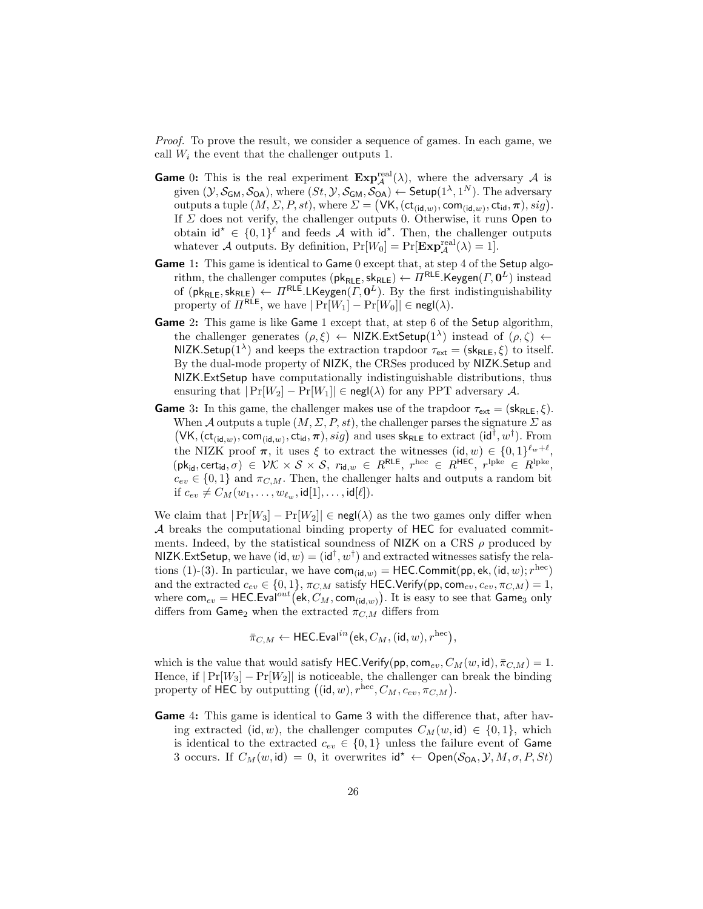Proof. To prove the result, we consider a sequence of games. In each game, we call  $W_i$  the event that the challenger outputs 1.

- **Game** 0: This is the real experiment  $\mathbf{Exp}_{\mathcal{A}}^{\text{real}}(\lambda)$ , where the adversary  $\mathcal{A}$  is given  $(\mathcal{Y},\mathcal{S}_{\mathsf{GM}},\mathcal{S}_{\mathsf{OA}})$ , where  $(St, \mathcal{Y},\mathcal{S}_{\mathsf{GM}},\mathcal{S}_{\mathsf{OA}}) \leftarrow \mathsf{Setup}(1^{\lambda},1^N)$ . The adversary outputs a tuple  $(M, \Sigma, P, st)$ , where  $\Sigma = \big(\mathsf{VK}, (\mathsf{ct}_{(\mathsf{id},w)}, \mathsf{com}_{(\mathsf{id},w)}, \mathsf{ct}_{\mathsf{id}}, \pi), sig \big).$ If  $\Sigma$  does not verify, the challenger outputs 0. Otherwise, it runs Open to obtain  $\mathsf{id}^* \in \{0,1\}^{\ell}$  and feeds  $\mathcal A$  with  $\mathsf{id}^*$ . Then, the challenger outputs whatever A outputs. By definition,  $Pr[W_0] = Pr[\mathbf{Exp}_{\mathcal{A}}^{\text{real}}(\lambda) = 1].$
- Game 1: This game is identical to Game 0 except that, at step 4 of the Setup algorithm, the challenger computes  $(\mathsf{pk}_{\mathsf{RLE}},\mathsf{sk}_{\mathsf{RLE}}) \leftarrow \Pi^{\mathsf{RLE}}.$ Keygen $(\Gamma,\mathbf{0}^L)$  instead of  $(\mathsf{pk}_{\mathsf{RLE}},\mathsf{sk}_{\mathsf{RLE}}) \leftarrow \Pi^{\mathsf{RLE}}$ . LKeygen $(\Gamma,\mathbf{0}^L)$ . By the first indistinguishability property of  $\Pi^{\mathsf{RLE}}$ , we have  $|\Pr[W_1] - \Pr[W_0]| \in \mathsf{negl}(\lambda)$ .
- Game 2: This game is like Game 1 except that, at step 6 of the Setup algorithm, the challenger generates  $(\rho, \xi) \leftarrow \mathsf{NIZK}.\mathsf{ExtSetup}(1^{\lambda})$  instead of  $(\rho, \zeta) \leftarrow$ NIZK.Setup(1<sup> $\lambda$ </sup>) and keeps the extraction trapdoor  $\tau_{ext} = (sk_{RLE}, \xi)$  to itself. By the dual-mode property of NIZK, the CRSes produced by NIZK.Setup and NIZK.ExtSetup have computationally indistinguishable distributions, thus ensuring that  $|\Pr[W_2] - \Pr[W_1]| \in \operatorname{negl}(\lambda)$  for any PPT adversary A.
- **Game** 3: In this game, the challenger makes use of the trapdoor  $\tau_{ext} = (sk_{RLE}, \xi)$ . When A outputs a tuple  $(M, \Sigma, P, st)$ , the challenger parses the signature  $\Sigma$  as  $(VK, (ct_{(id,w)}, com_{(id,w)}, ct_{id}, \pi), sig)$  and uses sk<sub>RLE</sub> to extract  $(id^{\dagger}, w^{\dagger})$ . From the NIZK proof  $\pi$ , it uses  $\xi$  to extract the witnesses  $(id, w) \in \{0, 1\}^{\ell_w + \ell}$ ,  $(\mathsf{pk}_{\mathsf{id}},\mathsf{cert}_{\mathsf{id}},\sigma) \in \mathcal{VK} \times \mathcal{S} \times \mathcal{S}, r_{\mathsf{id},w} \in R^{\mathsf{RLE}}, r^{\mathsf{hec}} \in R^{\mathsf{HEC}}, r^{\mathsf{lpke}} \in R^{\mathsf{lpke}},$  $c_{ev} \in \{0,1\}$  and  $\pi_{C,M}$ . Then, the challenger halts and outputs a random bit if  $c_{ev} \neq C_M(w_1, \ldots, w_{\ell_w}, \text{id}[1], \ldots, \text{id}[\ell]).$

We claim that  $|\Pr[W_3] - \Pr[W_2]| \in \operatorname{negl}(\lambda)$  as the two games only differ when A breaks the computational binding property of HEC for evaluated commitments. Indeed, by the statistical soundness of NIZK on a CRS  $\rho$  produced by NIZK. ExtSetup, we have (id,  $w$ ) = (id<sup>†</sup>,  $w^{\dagger}$ ) and extracted witnesses satisfy the rela-tions [\(1\)](#page-23-0)-[\(3\)](#page-23-1). In particular, we have  $com_{(id,w)} = \textsf{HEC}.Commit(pp, ek, (id, w); r^{\text{hee}})$ and the extracted  $c_{ev} \in \{0, 1\}$ ,  $\pi_{C,M}$  satisfy HEC.Verify(pp, com<sub>ev</sub>,  $c_{ev}$ ,  $\pi_{C,M}$ ) = 1, where  $\mathsf{com}_{ev} = \mathsf{HEC}.\mathsf{Eval}^{out}\big(\mathsf{ek}, C_M, \mathsf{com}_{(\mathsf{id},w)}\big).$  It is easy to see that  $\mathsf{Game}_3$  only differs from  $\mathsf{Game}_2$  when the extracted  $\pi_{C,M}$  differs from

$$
\bar{\pi}_{C,M} \leftarrow \mathsf{HEC}.\mathsf{Eval}^{in}\big(\mathsf{ek}, C_M, (\mathsf{id}, w), r^{\text{hec}}\big),
$$

which is the value that would satisfy HEC.Verify(pp,  $com_{ev}$ ,  $C_M(w, id)$ ,  $\bar{\pi}_{C,M}$ ) = 1. Hence, if  $|\Pr[W_3] - \Pr[W_2]|$  is noticeable, the challenger can break the binding property of HEC by outputting  $((id, w), r^{\text{hec}}, C_M, c_{ev}, \pi_{C,M}).$ 

Game 4: This game is identical to Game 3 with the difference that, after having extracted (id, w), the challenger computes  $C_M(w, id) \in \{0, 1\}$ , which is identical to the extracted  $c_{ev} \in \{0,1\}$  unless the failure event of Game 3 occurs. If  $C_M(w, id) = 0$ , it overwrites  $id^* \leftarrow \text{Open}(\mathcal{S}_{OA}, \mathcal{Y}, M, \sigma, P, St)$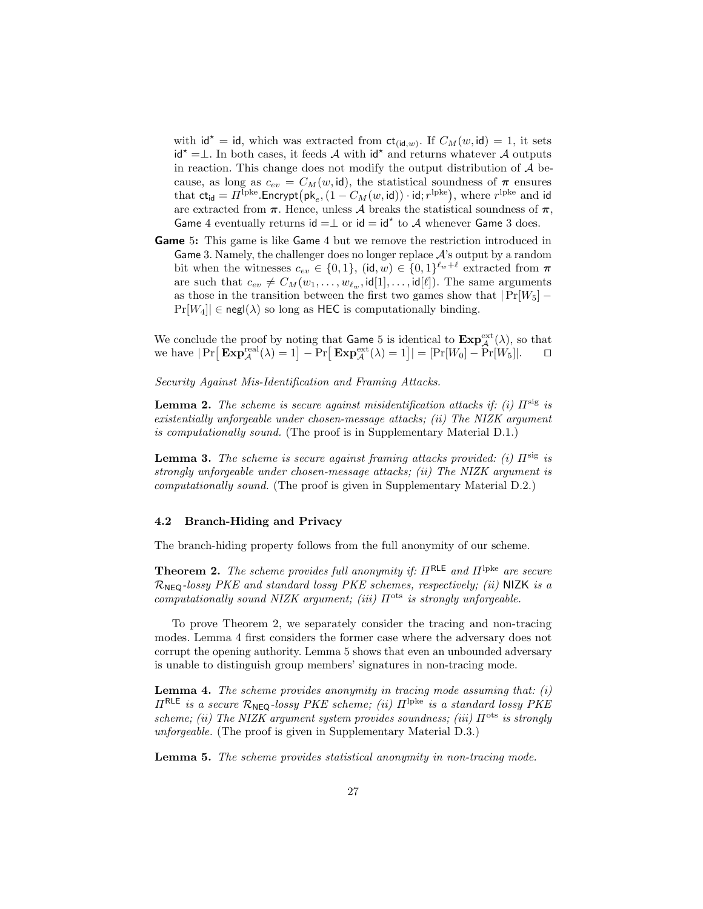with  $\mathsf{id}^* = \mathsf{id}$ , which was extracted from  $\mathsf{ct}_{(\mathsf{id},w)}$ . If  $C_M(w, \mathsf{id}) = 1$ , it sets  $id^* = \perp$ . In both cases, it feeds A with  $id^*$  and returns whatever A outputs in reaction. This change does not modify the output distribution of  $\mathcal A$  because, as long as  $c_{ev} = C_M(w, \text{id})$ , the statistical soundness of  $\pi$  ensures that  $\mathsf{ct}_{\mathsf{id}} = \varPi^{\textup{lpke}}.$  Encrypt $\big(\mathsf{pk}_e, (1 - C_M(w,\mathsf{id})) \cdot \mathsf{id} ; r^{\textup{lpke}}\big),$  where  $r^{\textup{lpke}}$  and  $\mathsf{id}$ are extracted from  $\pi$ . Hence, unless A breaks the statistical soundness of  $\pi$ , Game 4 eventually returns  $id = \perp$  or  $id = id^*$  to A whenever Game 3 does.

Game 5: This game is like Game 4 but we remove the restriction introduced in Game 3. Namely, the challenger does no longer replace  $\mathcal{A}$ 's output by a random bit when the witnesses  $c_{ev} \in \{0,1\}$ , (id,  $w \in \{0,1\}^{\ell_w+\ell}$  extracted from  $\pi$ are such that  $c_{ev} \neq C_M(w_1, \ldots, w_{\ell_w}, \text{id}[1], \ldots, \text{id}[\ell]).$  The same arguments as those in the transition between the first two games show that  $|Pr[W_5]$  –  $Pr[W_4] \in negl(\lambda)$  so long as HEC is computationally binding.

We conclude the proof by noting that Game 5 is identical to  $\mathbf{Exp}_{\mathcal{A}}^{\text{ext}}(\lambda)$ , so that we have  $|\Pr[\mathbf{Exp}_\mathcal{A}^{\text{real}}(\lambda) = 1] - \Pr[\mathbf{Exp}_\mathcal{A}^{\text{ext}}(\lambda) = 1]| = [\Pr[W_0] - \Pr[W_5]].$ 

<span id="page-26-3"></span>Security Against Mis-Identification and Framing Attacks.

**Lemma 2.** The scheme is secure against misidentification attacks if: (i)  $\Pi^{\text{sig}}$  is existentially unforgeable under chosen-message attacks; (ii) The NIZK argument is computationally sound. (The proof is in Supplementary Material [D.1.](#page-33-0))

<span id="page-26-4"></span>**Lemma 3.** The scheme is secure against framing attacks provided: (i)  $\Pi^{\text{sig}}$  is strongly unforgeable under chosen-message attacks; (ii) The NIZK argument is computationally sound. (The proof is given in Supplementary Material [D.2.](#page-34-0))

### 4.2 Branch-Hiding and Privacy

The branch-hiding property follows from the full anonymity of our scheme.

<span id="page-26-1"></span>**Theorem 2.** The scheme provides full anonymity if:  $\Pi^{\text{RLE}}$  and  $\Pi^{\text{lpke}}$  are secure  $\mathcal{R}_{\text{NFO}}$ -lossy PKE and standard lossy PKE schemes, respectively; (ii) NIZK is a computationally sound NIZK argument; (iii)  $\Pi^{\text{ots}}$  is strongly unforgeable.

To prove Theorem [2,](#page-26-1) we separately consider the tracing and non-tracing modes. Lemma [4](#page-26-0) first considers the former case where the adversary does not corrupt the opening authority. Lemma [5](#page-26-2) shows that even an unbounded adversary is unable to distinguish group members' signatures in non-tracing mode.

<span id="page-26-0"></span>**Lemma 4.** The scheme provides anonymity in tracing mode assuming that:  $(i)$  $\Pi^{\text{RLE}}$  is a secure  $\mathcal{R}_{\text{NEQ}}$ -lossy PKE scheme; (ii)  $\Pi^{\text{lpke}}$  is a standard lossy PKE scheme; (ii) The NIZK argument system provides soundness; (iii)  $\Pi^{\text{ots}}$  is strongly unforgeable. (The proof is given in Supplementary Material [D.3.](#page-35-0))

<span id="page-26-2"></span>Lemma 5. The scheme provides statistical anonymity in non-tracing mode.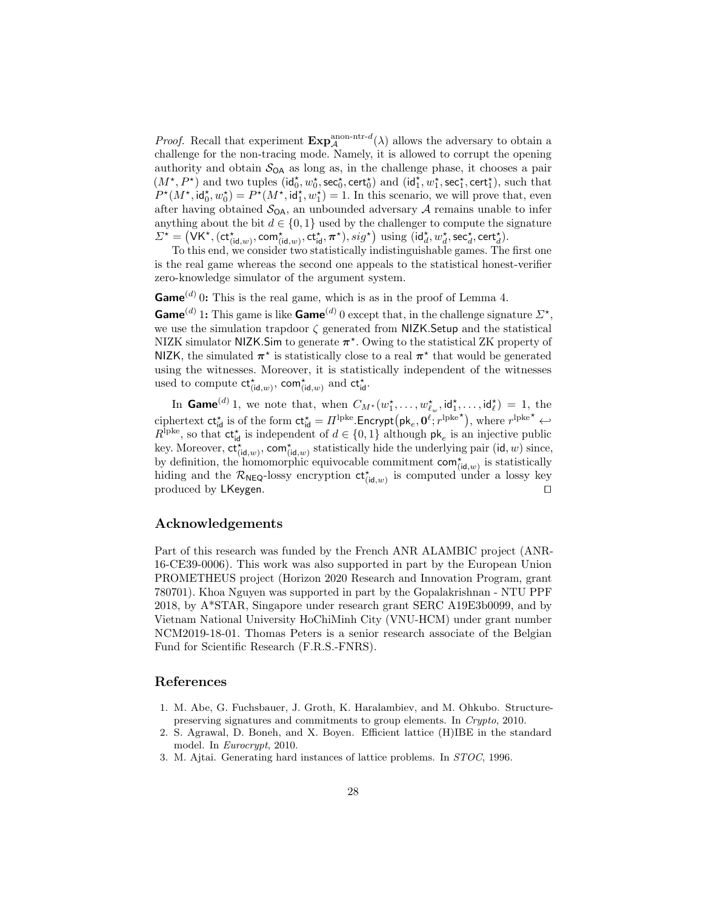*Proof.* Recall that experiment  $\exp_{\mathcal{A}}^{\text{anon-ntr-d}}(\lambda)$  allows the adversary to obtain a challenge for the non-tracing mode. Namely, it is allowed to corrupt the opening authority and obtain  $S_{OA}$  as long as, in the challenge phase, it chooses a pair  $(M^{\star}, P^{\star})$  and two tuples  $(\mathsf{id}_0^{\star}, w_0^{\star}, \mathsf{sec}_0^{\star}, \mathsf{cert}_0^{\star})$  and  $(\mathsf{id}_1^{\star}, w_1^{\star}, \mathsf{sec}_1^{\star}, \mathsf{cert}_1^{\star}),$  such that  $P^{\star}(M^{\star}, id_0^{\star}, w_0^{\star}) = P^{\star}(M^{\star}, id_1^{\star}, w_1^{\star}) = 1$ . In this scenario, we will prove that, even after having obtained  $\mathcal{S}_{OA}$ , an unbounded adversary A remains unable to infer anything about the bit  $d \in \{0, 1\}$  used by the challenger to compute the signature  $\Sigma^{\star} = (\mathsf{V}\mathsf{K}^{\star},(\mathsf{ct}^{\star}_{(\mathsf{id},w)},\mathsf{com}^{\star}_{(\mathsf{id},w)},\mathsf{ct}^{\star}_{\mathsf{id}},\pi^{\star}),sig^{\star})$  using  $(\mathsf{id}^{\star}_d, w^{\star}_d, \mathsf{sec}^{\star}_d, \mathsf{cert}^{\star}_d)$ .

To this end, we consider two statistically indistinguishable games. The first one is the real game whereas the second one appeals to the statistical honest-verifier zero-knowledge simulator of the argument system.

**Game**<sup>(d)</sup> 0: This is the real game, which is as in the proof of Lemma [4.](#page-26-0)

**Game**<sup>(d)</sup> 1: This game is like **Game**<sup>(d)</sup> 0 except that, in the challenge signature  $\Sigma^*$ , we use the simulation trapdoor  $\zeta$  generated from NIZK. Setup and the statistical NIZK simulator NIZK. Sim to generate  $\pi^*$ . Owing to the statistical ZK property of NIZK, the simulated  $\pi^*$  is statistically close to a real  $\pi^*$  that would be generated using the witnesses. Moreover, it is statistically independent of the witnesses used to compute  $\mathsf{ct}^{\star}_{(\mathsf{id},w)}, \mathsf{com}^{\star}_{(\mathsf{id},w)}$  and  $\mathsf{ct}^{\star}_{\mathsf{id}}.$ 

In Game<sup>(d)</sup> 1, we note that, when  $C_{M^*}(w_1^*,...,w_{\ell_w}^*,\mathsf{id}_1^*,..., \mathsf{id}_{\ell}^*) = 1$ , the ciphertext  $ct_{\text{id}}^{\star}$  is of the form  $ct_{\text{id}}^{\star} = \Pi^{\text{lpke}}$ . Encrypt $\left(\mathsf{pk}_{e}, \mathsf{0}^{\ell}, r^{\text{lpke}\star}\right)$ , where  $r^{\text{lpke}\star} \leftarrow$  $R^{\text{lpke}}$ , so that  $ct_{\text{id}}^{\star}$  is independent of  $d \in \{0,1\}$  although  $\mathsf{pk}_e$  is an injective public key. Moreover,  $\mathsf{ct}^{\star}_{(\mathsf{id},w)}$ ,  $\mathsf{com}^{\star}_{(\mathsf{id},w)}$  statistically hide the underlying pair  $(\mathsf{id}, w)$  since, by definition, the homomorphic equivocable commitment  $com_{(id,w)}^{\star}$  is statistically hiding and the  $\mathcal{R}_{\text{NEQ}}$ -lossy encryption  $ct^{\star}_{(id,w)}$  is computed under a lossy key  $p$  produced by LKeygen.  $\Box$ 

## Acknowledgements

Part of this research was funded by the French ANR ALAMBIC project (ANR-16-CE39-0006). This work was also supported in part by the European Union PROMETHEUS project (Horizon 2020 Research and Innovation Program, grant 780701). Khoa Nguyen was supported in part by the Gopalakrishnan - NTU PPF 2018, by A\*STAR, Singapore under research grant SERC A19E3b0099, and by Vietnam National University HoChiMinh City (VNU-HCM) under grant number NCM2019-18-01. Thomas Peters is a senior research associate of the Belgian Fund for Scientific Research (F.R.S.-FNRS).

### References

- <span id="page-27-2"></span>1. M. Abe, G. Fuchsbauer, J. Groth, K. Haralambiev, and M. Ohkubo. Structurepreserving signatures and commitments to group elements. In Crypto, 2010.
- <span id="page-27-1"></span>2. S. Agrawal, D. Boneh, and X. Boyen. Efficient lattice (H)IBE in the standard model. In Eurocrypt, 2010.
- <span id="page-27-0"></span>3. M. Ajtai. Generating hard instances of lattice problems. In STOC, 1996.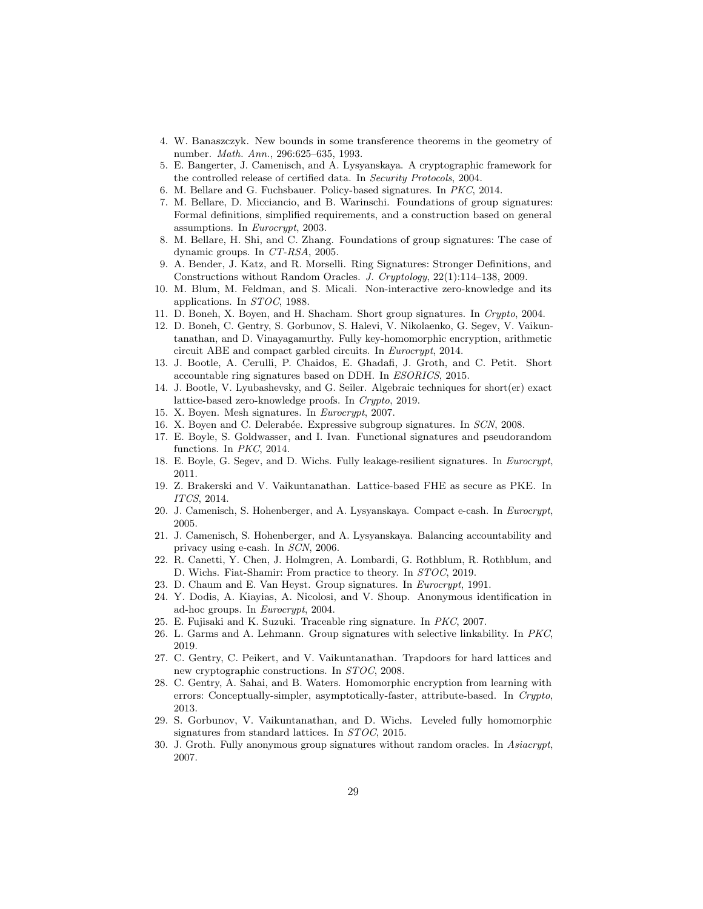- <span id="page-28-22"></span>4. W. Banaszczyk. New bounds in some transference theorems in the geometry of number. Math. Ann., 296:625–635, 1993.
- <span id="page-28-11"></span>5. E. Bangerter, J. Camenisch, and A. Lysyanskaya. A cryptographic framework for the controlled release of certified data. In Security Protocols, 2004.
- <span id="page-28-14"></span>6. M. Bellare and G. Fuchsbauer. Policy-based signatures. In PKC, 2014.
- <span id="page-28-20"></span>7. M. Bellare, D. Micciancio, and B. Warinschi. Foundations of group signatures: Formal definitions, simplified requirements, and a construction based on general assumptions. In Eurocrypt, 2003.
- <span id="page-28-21"></span>8. M. Bellare, H. Shi, and C. Zhang. Foundations of group signatures: The case of dynamic groups. In CT-RSA, 2005.
- <span id="page-28-8"></span>9. A. Bender, J. Katz, and R. Morselli. Ring Signatures: Stronger Definitions, and Constructions without Random Oracles. J. Cryptology, 22(1):114–138, 2009.
- <span id="page-28-15"></span>10. M. Blum, M. Feldman, and S. Micali. Non-interactive zero-knowledge and its applications. In STOC, 1988.
- <span id="page-28-19"></span>11. D. Boneh, X. Boyen, and H. Shacham. Short group signatures. In Crypto, 2004.
- <span id="page-28-23"></span>12. D. Boneh, C. Gentry, S. Gorbunov, S. Halevi, V. Nikolaenko, G. Segev, V. Vaikuntanathan, and D. Vinayagamurthy. Fully key-homomorphic encryption, arithmetic circuit ABE and compact garbled circuits. In Eurocrypt, 2014.
- <span id="page-28-10"></span>13. J. Bootle, A. Cerulli, P. Chaidos, E. Ghadafi, J. Groth, and C. Petit. Short accountable ring signatures based on DDH. In ESORICS, 2015.
- <span id="page-28-7"></span>14. J. Bootle, V. Lyubashevsky, and G. Seiler. Algebraic techniques for short(er) exact lattice-based zero-knowledge proofs. In Crypto, 2019.
- <span id="page-28-2"></span>15. X. Boyen. Mesh signatures. In Eurocrypt, 2007.
- <span id="page-28-12"></span>16. X. Boyen and C. Delerabée. Expressive subgroup signatures. In SCN, 2008.
- <span id="page-28-16"></span>17. E. Boyle, S. Goldwasser, and I. Ivan. Functional signatures and pseudorandom functions. In PKC, 2014.
- <span id="page-28-3"></span>18. E. Boyle, G. Segev, and D. Wichs. Fully leakage-resilient signatures. In Eurocrypt, 2011.
- <span id="page-28-24"></span>19. Z. Brakerski and V. Vaikuntanathan. Lattice-based FHE as secure as PKE. In ITCS, 2014.
- <span id="page-28-17"></span>20. J. Camenisch, S. Hohenberger, and A. Lysyanskaya. Compact e-cash. In Eurocrypt, 2005.
- <span id="page-28-18"></span>21. J. Camenisch, S. Hohenberger, and A. Lysyanskaya. Balancing accountability and privacy using e-cash. In SCN, 2006.
- <span id="page-28-6"></span>22. R. Canetti, Y. Chen, J. Holmgren, A. Lombardi, G. Rothblum, R. Rothblum, and D. Wichs. Fiat-Shamir: From practice to theory. In STOC, 2019.
- <span id="page-28-0"></span>23. D. Chaum and E. Van Heyst. Group signatures. In Eurocrypt, 1991.
- <span id="page-28-1"></span>24. Y. Dodis, A. Kiayias, A. Nicolosi, and V. Shoup. Anonymous identification in ad-hoc groups. In Eurocrypt, 2004.
- <span id="page-28-9"></span>25. E. Fujisaki and K. Suzuki. Traceable ring signature. In PKC, 2007.
- <span id="page-28-13"></span>26. L. Garms and A. Lehmann. Group signatures with selective linkability. In PKC, 2019.
- <span id="page-28-25"></span>27. C. Gentry, C. Peikert, and V. Vaikuntanathan. Trapdoors for hard lattices and new cryptographic constructions. In STOC, 2008.
- <span id="page-28-5"></span>28. C. Gentry, A. Sahai, and B. Waters. Homomorphic encryption from learning with errors: Conceptually-simpler, asymptotically-faster, attribute-based. In Crypto, 2013.
- <span id="page-28-4"></span>29. S. Gorbunov, V. Vaikuntanathan, and D. Wichs. Leveled fully homomorphic signatures from standard lattices. In STOC, 2015.
- <span id="page-28-26"></span>30. J. Groth. Fully anonymous group signatures without random oracles. In Asiacrypt, 2007.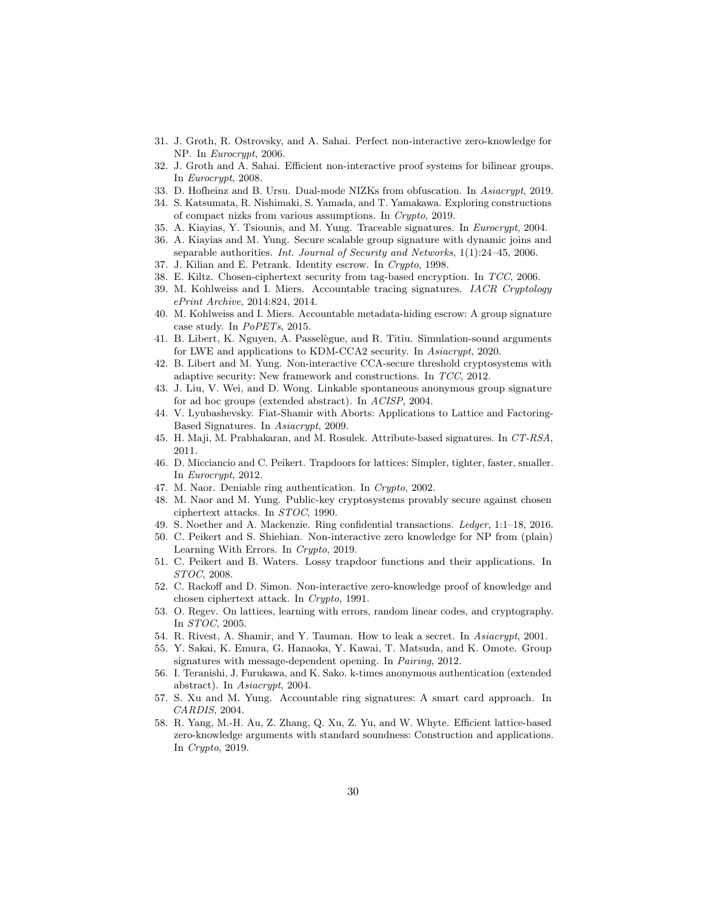- <span id="page-29-5"></span>31. J. Groth, R. Ostrovsky, and A. Sahai. Perfect non-interactive zero-knowledge for NP. In Eurocrypt, 2006.
- <span id="page-29-25"></span>32. J. Groth and A. Sahai. Efficient non-interactive proof systems for bilinear groups. In Eurocrypt, 2008.
- <span id="page-29-7"></span>33. D. Hofheinz and B. Ursu. Dual-mode NIZKs from obfuscation. In Asiacrypt, 2019.
- <span id="page-29-4"></span>34. S. Katsumata, R. Nishimaki, S. Yamada, and T. Yamakawa. Exploring constructions of compact nizks from various assumptions. In Crypto, 2019.
- <span id="page-29-15"></span>35. A. Kiayias, Y. Tsiounis, and M. Yung. Traceable signatures. In Eurocrypt, 2004.
- <span id="page-29-9"></span>36. A. Kiayias and M. Yung. Secure scalable group signature with dynamic joins and separable authorities. Int. Journal of Security and Networks, 1(1):24–45, 2006.
- <span id="page-29-1"></span>37. J. Kilian and E. Petrank. Identity escrow. In Crypto, 1998.
- <span id="page-29-23"></span>38. E. Kiltz. Chosen-ciphertext security from tag-based encryption. In TCC, 2006.
- <span id="page-29-19"></span>39. M. Kohlweiss and I. Miers. Accountable tracing signatures. IACR Cryptology ePrint Archive, 2014:824, 2014.
- <span id="page-29-16"></span>40. M. Kohlweiss and I. Miers. Accountable metadata-hiding escrow: A group signature case study. In PoPETs, 2015.
- <span id="page-29-10"></span>41. B. Libert, K. Nguyen, A. Passelègue, and R. Titiu. Simulation-sound arguments for LWE and applications to KDM-CCA2 security. In Asiacrypt, 2020.
- <span id="page-29-24"></span>42. B. Libert and M. Yung. Non-interactive CCA-secure threshold cryptosystems with adaptive security: New framework and constructions. In TCC, 2012.
- <span id="page-29-17"></span>43. J. Liu, V. Wei, and D. Wong. Linkable spontaneous anonymous group signature for ad hoc groups (extended abstract). In ACISP, 2004.
- <span id="page-29-12"></span>44. V. Lyubashevsky. Fiat-Shamir with Aborts: Applications to Lattice and Factoring-Based Signatures. In Asiacrypt, 2009.
- <span id="page-29-21"></span>45. H. Maji, M. Prabhakaran, and M. Rosulek. Attribute-based signatures. In CT-RSA, 2011.
- <span id="page-29-26"></span>46. D. Micciancio and C. Peikert. Trapdoors for lattices: Simpler, tighter, faster, smaller. In Eurocrypt, 2012.
- <span id="page-29-2"></span>47. M. Naor. Deniable ring authentication. In Crypto, 2002.
- <span id="page-29-11"></span>48. M. Naor and M. Yung. Public-key cryptosystems provably secure against chosen ciphertext attacks. In STOC, 1990.
- <span id="page-29-3"></span>49. S. Noether and A. Mackenzie. Ring confidential transactions. Ledger, 1:1–18, 2016.
- <span id="page-29-6"></span>50. C. Peikert and S. Shiehian. Non-interactive zero knowledge for NP from (plain) Learning With Errors. In Crypto, 2019.
- <span id="page-29-27"></span>51. C. Peikert and B. Waters. Lossy trapdoor functions and their applications. In STOC, 2008.
- <span id="page-29-22"></span>52. C. Rackoff and D. Simon. Non-interactive zero-knowledge proof of knowledge and chosen ciphertext attack. In Crypto, 1991.
- <span id="page-29-8"></span>53. O. Regev. On lattices, learning with errors, random linear codes, and cryptography. In STOC, 2005.
- <span id="page-29-0"></span>54. R. Rivest, A. Shamir, and Y. Tauman. How to leak a secret. In Asiacrypt, 2001.
- <span id="page-29-14"></span>55. Y. Sakai, K. Emura, G. Hanaoka, Y. Kawai, T. Matsuda, and K. Omote. Group signatures with message-dependent opening. In Pairing, 2012.
- <span id="page-29-18"></span>56. I. Teranishi, J. Furukawa, and K. Sako. k-times anonymous authentication (extended abstract). In Asiacrypt, 2004.
- <span id="page-29-20"></span>57. S. Xu and M. Yung. Accountable ring signatures: A smart card approach. In CARDIS, 2004.
- <span id="page-29-13"></span>58. R. Yang, M.-H. Au, Z. Zhang, Q. Xu, Z. Yu, and W. Whyte. Efficient lattice-based zero-knowledge arguments with standard soundness: Construction and applications. In Crypto, 2019.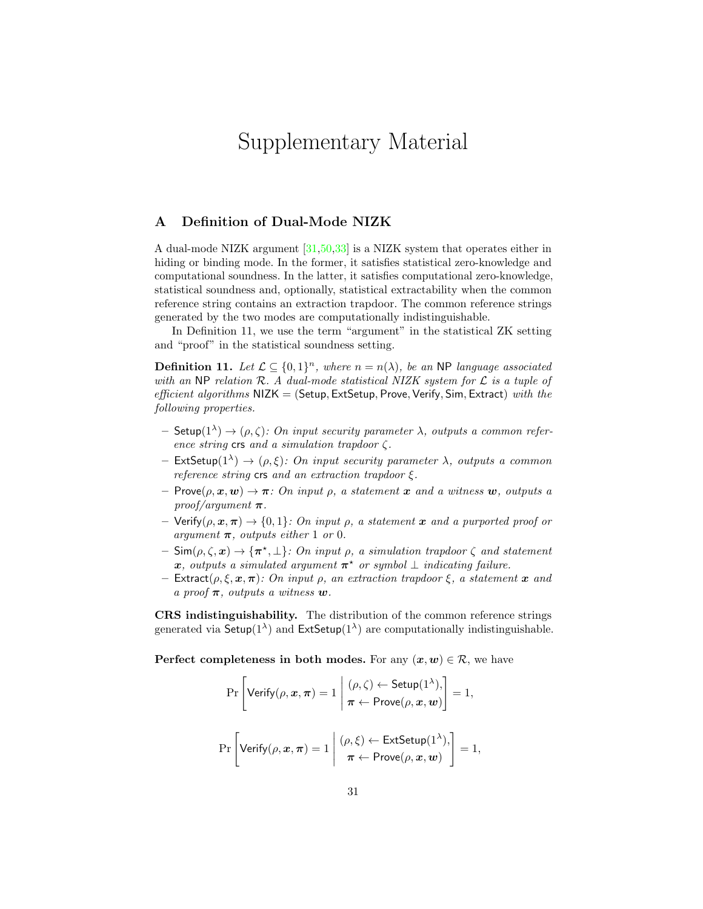# Supplementary Material

## <span id="page-30-0"></span>A Definition of Dual-Mode NIZK

A dual-mode NIZK argument [\[31](#page-29-5)[,50,](#page-29-6)[33\]](#page-29-7) is a NIZK system that operates either in hiding or binding mode. In the former, it satisfies statistical zero-knowledge and computational soundness. In the latter, it satisfies computational zero-knowledge, statistical soundness and, optionally, statistical extractability when the common reference string contains an extraction trapdoor. The common reference strings generated by the two modes are computationally indistinguishable.

In Definition [11,](#page-30-1) we use the term "argument" in the statistical ZK setting and "proof" in the statistical soundness setting.

<span id="page-30-1"></span>**Definition 11.** Let  $\mathcal{L} \subseteq \{0,1\}^n$ , where  $n = n(\lambda)$ , be an NP language associated with an NP relation  $\mathcal R$ . A dual-mode statistical NIZK system for  $\mathcal L$  is a tuple of efficient algorithms  $NIZK = (Setup, ExtSetup, Prove, Verify, Sim, Extract)$  with the following properties.

- $-$  Setup( $1^{\lambda}$ )  $\rightarrow$  ( $\rho$ , $\zeta$ ): On input security parameter  $\lambda$ , outputs a common reference string  $\textsf{crs}$  and a simulation trapdoor  $\zeta$ .
- ExtSetup( $1^{\lambda}$ )  $\rightarrow$  ( $\rho$ , $\xi$ ): On input security parameter  $\lambda$ , outputs a common reference string  $\textsf{crs}$  and an extraction trapdoor  $\xi$ .
- Prove $(\rho, x, w) \rightarrow \pi$ : On input  $\rho$ , a statement x and a witness w, outputs a proof/argument  $\pi$ .
- Verify $(\rho, x, \pi) \rightarrow \{0, 1\}$ : On input  $\rho$ , a statement x and a purported proof or argument  $\pi$ , outputs either 1 or 0.
- $-$  Sim( $\rho, \zeta, x$ )  $\rightarrow \{\pi^*, \perp\}$ : On input  $\rho$ , a simulation trapdoor  $\zeta$  and statement x, outputs a simulated argument  $\pi^*$  or symbol  $\perp$  indicating failure.
- Extract( $ρ, ξ, x, π$ ): On input  $ρ$ , an extraction trapdoor  $ξ$ , a statement x and a proof  $\pi$ , outputs a witness **w**.

CRS indistinguishability. The distribution of the common reference strings generated via Setup( $1^{\lambda}$ ) and ExtSetup( $1^{\lambda}$ ) are computationally indistinguishable.

Perfect completeness in both modes. For any  $(x, w) \in \mathcal{R}$ , we have

$$
\Pr\left[\text{Verify}(\rho, \mathbf{x}, \boldsymbol{\pi}) = 1 \middle| \begin{aligned} (\rho, \zeta) &\leftarrow \text{Setup}(1^{\lambda}), \\ \boldsymbol{\pi} &\leftarrow \text{Prove}(\rho, \mathbf{x}, \mathbf{w}) \end{aligned} \right] = 1,
$$
\n
$$
\Pr\left[\text{Verify}(\rho, \mathbf{x}, \boldsymbol{\pi}) = 1 \middle| \begin{aligned} (\rho, \xi) &\leftarrow \text{ExtSetup}(1^{\lambda}), \\ \boldsymbol{\pi} &\leftarrow \text{Prove}(\rho, \mathbf{x}, \mathbf{w}) \end{aligned} \right] = 1,
$$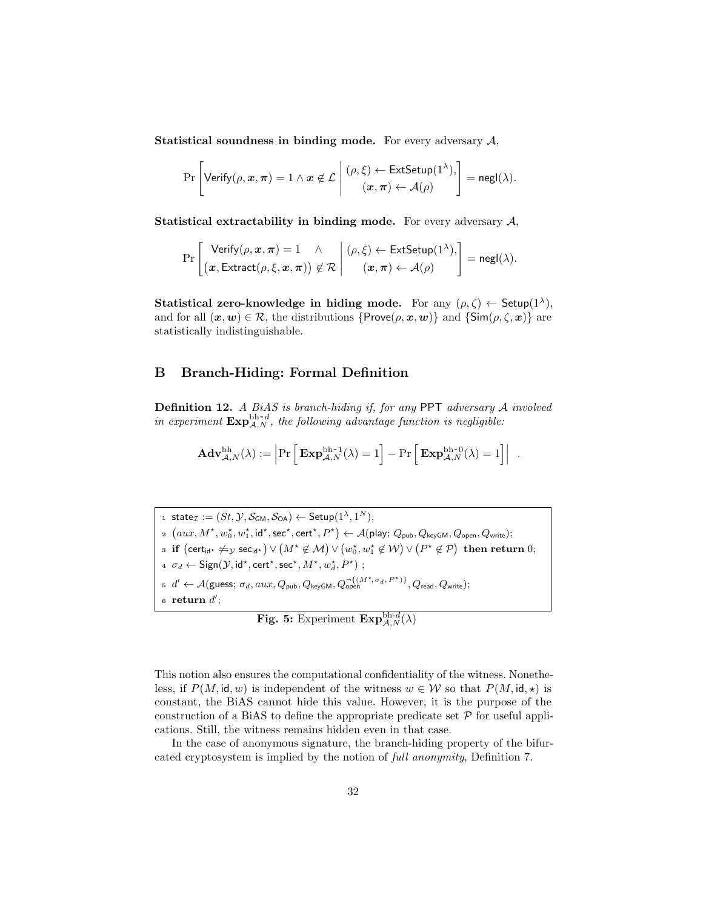**Statistical soundness in binding mode.** For every adversary  $A$ ,

$$
\Pr\left[\mathsf{Verify}(\rho, \boldsymbol{x}, \boldsymbol{\pi}) = 1 \land \boldsymbol{x} \not\in \mathcal{L} \middle| \begin{array}{c} (\rho, \xi) \leftarrow \mathsf{ExtSetup}(1^{\lambda}), \\ (\boldsymbol{x}, \boldsymbol{\pi}) \leftarrow \mathcal{A}(\rho) \end{array} \right] = \mathsf{negl}(\lambda).
$$

Statistical extractability in binding mode. For every adversary  $A$ ,

$$
\Pr\left[\frac{\mathsf{Verify}(\rho, \boldsymbol{x}, \boldsymbol{\pi}) = 1 \quad \wedge \quad}{(\boldsymbol{x}, \mathsf{Extract}(\rho, \xi, \boldsymbol{x}, \boldsymbol{\pi})) \not\in \mathcal{R}} \middle| \begin{array}{c} (\rho, \xi) \leftarrow \mathsf{ExtSetup}(1^{\lambda}), \\ (\boldsymbol{x}, \boldsymbol{\pi}) \leftarrow \mathcal{A}(\rho) \end{array} \right] = \mathsf{negl}(\lambda).
$$

Statistical zero-knowledge in hiding mode. For any  $(\rho, \zeta) \leftarrow$  Setup $(1^{\lambda})$ , and for all  $(x, w) \in \mathcal{R}$ , the distributions {Prove $(\rho, x, w)$ } and {Sim( $\rho, \zeta, x$ } are statistically indistinguishable.

## <span id="page-31-0"></span>B Branch-Hiding: Formal Definition

Definition 12. A BiAS is branch-hiding if, for any PPT adversary A involved in experiment  $\operatorname{Exp}_{A,N}^{\text{bh-d}}$ , the following advantage function is negligible:

$$
\mathbf{Adv}_{\mathcal{A},N}^{\mathrm{bh}}(\lambda) := \left| \Pr \left[ \mathbf{Exp}_{\mathcal{A},N}^{\mathrm{bh-1}}(\lambda) = 1 \right] - \Pr \left[ \mathbf{Exp}_{\mathcal{A},N}^{\mathrm{bh-0}}(\lambda) = 1 \right] \right| .
$$

 $\mathbf{1}_{\mathbf{1}} \ \mathsf{state}_{\mathcal{I}} := (St, \mathcal{Y}, \mathcal{S}_{\mathsf{GM}}, \mathcal{S}_{\mathsf{OA}}) \leftarrow \mathsf{Setup}(1^{\lambda}, 1^N);$  $\mathcal{L} = \left( aux, M^\star, w^\star_0, w^\star_1, \mathsf{id}^\star, \mathsf{sec}^\star, \mathsf{cert}^\star, P^\star \right) \leftarrow \mathcal{A}(\mathsf{play}; \, Q_{\mathsf{pub}}, Q_{\mathsf{keyGM}}, Q_{\mathsf{open}}, Q_{\mathsf{write}});$  $\texttt{is if } \big(\textsf{cert}_\textsf{id*} \neq \textsf{y} \textsf{ sec}_\textsf{id*} \big) \vee \big(M^\star \not\in \mathcal{M} \big) \vee \big(w_0^\star, w_1^\star \not\in \mathcal{W} \big) \vee \big(P^\star \not\in \mathcal{P} \big) \textsf{ then return } 0;$  $a \quad \sigma_d \leftarrow \mathsf{Sign}(\mathcal{Y}, \mathsf{id}^\star, \mathsf{cert}^\star, \mathsf{sec}^\star, M^\star, w_d^\star, P^\star)$ ;  $5 \, d' \leftarrow \mathcal{A}(\mathsf{guess}; \, \sigma_d, aux, Q_{\mathsf{pub}}, Q_{\mathsf{keyGM}}, Q_{\mathsf{open}}^{-\{(M^{\star}, \, \sigma_d, P^{\star})\}}, Q_{\mathsf{read}}, Q_{\mathsf{write}});$  $\epsilon$  return  $d$ ;

**Fig. 5:** Experiment 
$$
\text{Exp}_{\mathcal{A},N}^{\text{bh-}d}(\lambda)
$$

This notion also ensures the computational confidentiality of the witness. Nonetheless, if  $P(M, id, w)$  is independent of the witness  $w \in W$  so that  $P(M, id, \star)$  is constant, the BiAS cannot hide this value. However, it is the purpose of the construction of a BiAS to define the appropriate predicate set  $\mathcal P$  for useful applications. Still, the witness remains hidden even in that case.

In the case of anonymous signature, the branch-hiding property of the bifurcated cryptosystem is implied by the notion of full anonymity, Definition [7.](#page-16-1)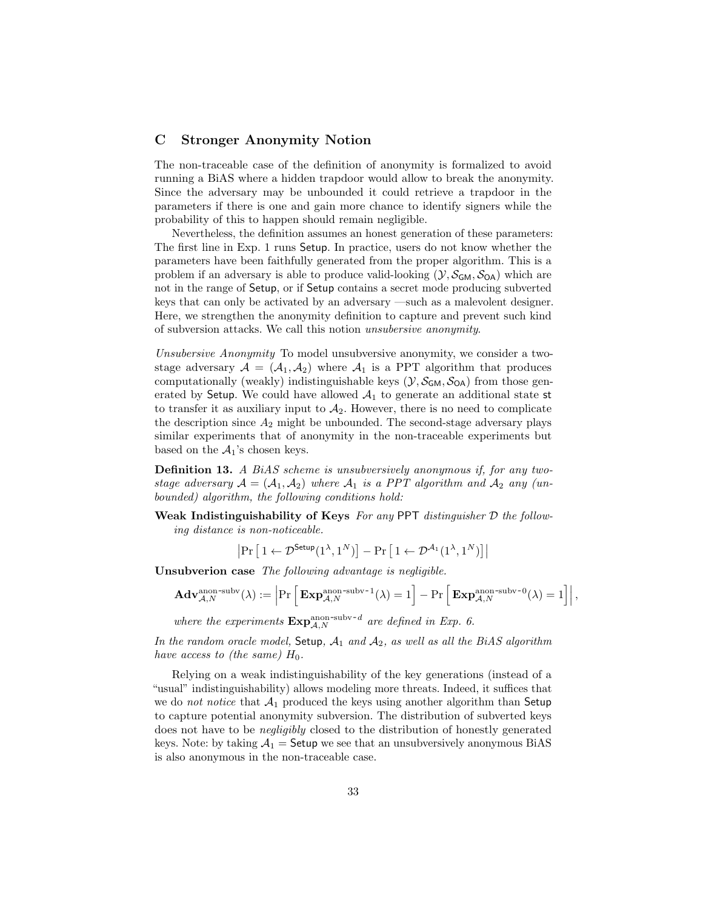### <span id="page-32-0"></span>C Stronger Anonymity Notion

The non-traceable case of the definition of anonymity is formalized to avoid running a BiAS where a hidden trapdoor would allow to break the anonymity. Since the adversary may be unbounded it could retrieve a trapdoor in the parameters if there is one and gain more chance to identify signers while the probability of this to happen should remain negligible.

Nevertheless, the definition assumes an honest generation of these parameters: The first line in Exp. [1](#page-16-0) runs Setup. In practice, users do not know whether the parameters have been faithfully generated from the proper algorithm. This is a problem if an adversary is able to produce valid-looking  $(\mathcal{Y}, \mathcal{S}_{GM}, \mathcal{S}_{OA})$  which are not in the range of Setup, or if Setup contains a secret mode producing subverted keys that can only be activated by an adversary —such as a malevolent designer. Here, we strengthen the anonymity definition to capture and prevent such kind of subversion attacks. We call this notion unsubersive anonymity.

Unsubersive Anonymity To model unsubversive anonymity, we consider a twostage adversary  $A = (A_1, A_2)$  where  $A_1$  is a PPT algorithm that produces computationally (weakly) indistinguishable keys  $(\mathcal{Y}, \mathcal{S}_{GM}, \mathcal{S}_{OA})$  from those generated by Setup. We could have allowed  $A_1$  to generate an additional state st to transfer it as auxiliary input to  $A_2$ . However, there is no need to complicate the description since  $A_2$  might be unbounded. The second-stage adversary plays similar experiments that of anonymity in the non-traceable experiments but based on the  $A_1$ 's chosen keys.

Definition 13. A BiAS scheme is unsubversively anonymous if, for any twostage adversary  $A = (A_1, A_2)$  where  $A_1$  is a PPT algorithm and  $A_2$  any (unbounded) algorithm, the following conditions hold:

Weak Indistinguishability of Keys For any PPT distinguisher D the following distance is non-noticeable.

$$
|\Pr[1 \leftarrow \mathcal{D}^{\mathsf{Setup}}(1^{\lambda}, 1^N)] - \Pr[1 \leftarrow \mathcal{D}^{\mathcal{A}_1}(1^{\lambda}, 1^N)]|
$$

Unsubverion case The following advantage is negligible.

$$
\mathbf{Adv}_{\mathcal{A},N}^{\text{anon-subv}}(\lambda) := \left| \Pr \left[ \mathbf{Exp}_{\mathcal{A},N}^{\text{anon-subv-1}}(\lambda) = 1 \right] - \Pr \left[ \mathbf{Exp}_{\mathcal{A},N}^{\text{anon-subv-0}}(\lambda) = 1 \right] \right|,
$$

where the experiments  $\text{Exp}_{\mathcal{A},N}^{\text{anon-subv-d}}$  are defined in Exp. [6.](#page-32-1)

In the random oracle model, Setup,  $A_1$  and  $A_2$ , as well as all the BiAS algorithm have access to (the same)  $H_0$ .

<span id="page-32-1"></span>Relying on a weak indistinguishability of the key generations (instead of a "usual" indistinguishability) allows modeling more threats. Indeed, it suffices that we do *not notice* that  $A_1$  produced the keys using another algorithm than Setup to capture potential anonymity subversion. The distribution of subverted keys does not have to be negligibly closed to the distribution of honestly generated keys. Note: by taking  $A_1$  = Setup we see that an unsubversively anonymous BiAS is also anonymous in the non-traceable case.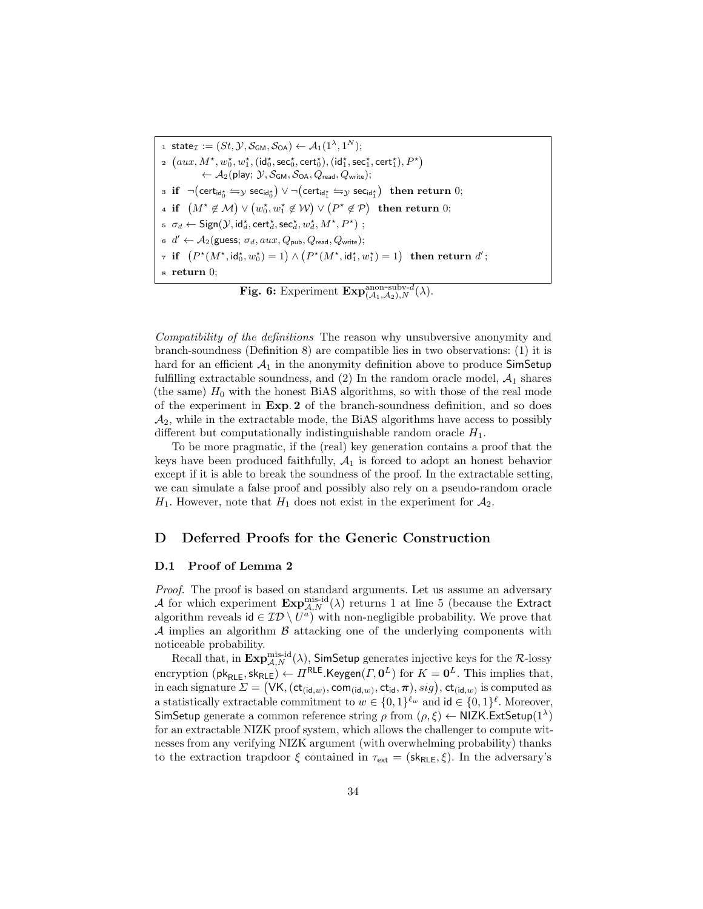1 state $\tau := (St, \mathcal{Y}, \mathcal{S}_{\mathsf{GM}}, \mathcal{S}_{\mathsf{OA}}) \leftarrow \mathcal{A}_1(1^\lambda, 1^N);$  $_2 \ \left( aux, M^\star, w_0^\star, w_1^\star, (\mathsf{id}_0^\star, \mathsf{sec}_0^\star, \mathsf{cert}_0^\star), (\mathsf{id}_1^\star, \mathsf{sec}_1^\star, \mathsf{cert}_1^\star), P^\star \right)$  $\leftarrow \mathcal{A}_2(\text{play}; \, \mathcal{Y}, \mathcal{S}_{\text{GM}}, \mathcal{S}_{\text{OA}}, Q_{\text{read}}, Q_{\text{write}});$  $\begin{array}{r} \text{s} \ \ \text{if} \ \ \neg(\text{cert}_\text{id}_0^\star\leftrightharpoons_{\mathcal{Y}}\text{sec}_\text{id}_0^\star) \vee \neg(\text{cert}_\text{id}_1^\star\leftrightharpoons_{\mathcal{Y}}\text{sec}_\text{id}_1^\star) \ \ \text{then return}\ 0; \end{array}$ 4 if  $(M^{\star} \notin M) \vee (w_0^{\star}, w_1^{\star} \notin W) \vee (P^{\star} \notin \mathcal{P})$  then return 0;  $\sigma_d \leftarrow \mathsf{Sign}(\mathcal{Y}, \mathsf{id}_d^\star, \mathsf{cert}_d^\star, \mathsf{sec}_d^\star, w_d^\star, M^\star, P^\star)$ ; 6  $d' \leftarrow \mathcal{A}_2(\text{guess}; \sigma_d, aux, Q_{pub}, Q_{read}, Q_{write});$  $\tau$  if  $(P^{\star}(M^{\star},\mathsf{id}_0^{\star},w_0^{\star})=1) \wedge (P^{\star}(M^{\star},\mathsf{id}_1^{\star},w_1^{\star})=1)$  then return d'; <sup>8</sup> return 0;

Fig. 6: Experiment  $\text{Exp}_{(\mathcal{A}_1,\mathcal{A}_2),N}^{\text{anon-subv-d}}(\lambda)$ .

Compatibility of the definitions The reason why unsubversive anonymity and branch-soundness (Definition [8\)](#page-17-0) are compatible lies in two observations: (1) it is hard for an efficient  $A_1$  in the anonymity definition above to produce SimSetup fulfilling extractable soundness, and  $(2)$  In the random oracle model,  $\mathcal{A}_1$  shares (the same)  $H_0$  with the honest BiAS algorithms, so with those of the real mode of the experiment in Exp. [2](#page-18-0) of the branch-soundness definition, and so does  $A_2$ , while in the extractable mode, the BiAS algorithms have access to possibly different but computationally indistinguishable random oracle  $H_1$ .

To be more pragmatic, if the (real) key generation contains a proof that the keys have been produced faithfully,  $A_1$  is forced to adopt an honest behavior except if it is able to break the soundness of the proof. In the extractable setting, we can simulate a false proof and possibly also rely on a pseudo-random oracle  $H_1$ . However, note that  $H_1$  does not exist in the experiment for  $\mathcal{A}_2$ .

### D Deferred Proofs for the Generic Construction

### <span id="page-33-0"></span>D.1 Proof of Lemma [2](#page-26-3)

Proof. The proof is based on standard arguments. Let us assume an adversary A for which experiment  $\mathbf{Exp}_{\mathcal{A},N}^{\text{mis-id}}(\lambda)$  returns 1 at line 5 (because the Extract algorithm reveals  $\mathsf{id} \in \mathcal{ID} \setminus U^a$  with non-negligible probability. We prove that  $A$  implies an algorithm  $B$  attacking one of the underlying components with noticeable probability.

Recall that, in  $\mathrm{Exp}_{\mathcal{A},N}^{\text{mis-id}}(\lambda),$  SimSetup generates injective keys for the  $\mathcal{R}\text{-lossy}$ encryption ( $\mathsf{pk}_{\mathsf{RLE}}, \mathsf{sk}_{\mathsf{RLE}} \rangle \leftarrow \Pi^{\mathsf{RLE}}. \mathsf{Keygen}(\Gamma, \mathbf{0}^L)$  for  $K = \mathbf{0}^L.$  This implies that, in each signature  $\mathcal{L} = (\mathsf{VK},(\mathsf{ct}_{(\mathsf{id},w)},\mathsf{com}_{(\mathsf{id},w)},\mathsf{ct}_{\mathsf{id}},\bm{\pi}),sig), \mathsf{ct}_{(\mathsf{id},w)}$  is computed as a statistically extractable commitment to  $w \in \{0,1\}^{\ell_w}$  and  $\mathsf{id} \in \{0,1\}^{\ell}$ . Moreover, SimSetup generate a common reference string  $\rho$  from  $(\rho, \xi) \leftarrow \mathsf{NIZK}$ . ExtSetup $(1^{\lambda})$ for an extractable NIZK proof system, which allows the challenger to compute witnesses from any verifying NIZK argument (with overwhelming probability) thanks to the extraction trapdoor  $\xi$  contained in  $\tau_{ext} = (sk_{RLE}, \xi)$ . In the adversary's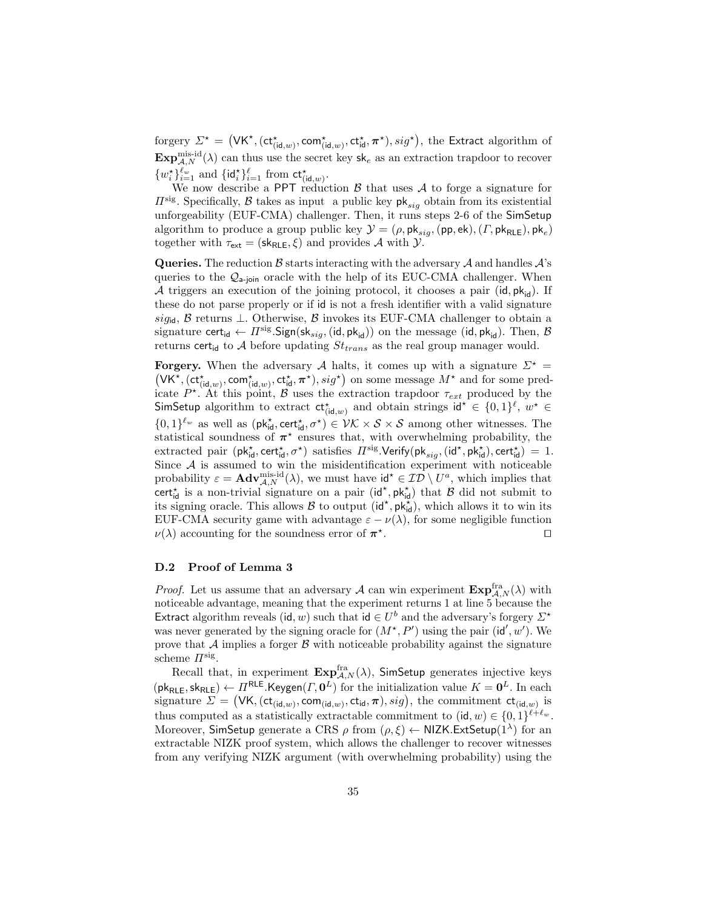forgery  $\Sigma^\star = (\mathsf{V}\mathsf{K}^\star, (\mathsf{ct}^\star_{(\mathsf{id},w)}, \mathsf{com}^\star_{(\mathsf{id},w)}, \mathsf{ct}^\star_{\mathsf{id}}, \pi^\star), sig^\star),$  the Extract algorithm of  $\mathbf{Exp}_{\mathcal{A},N}^{\text{mis-id}}(\lambda)$  can thus use the secret key sk<sub>e</sub> as an extraction trapdoor to recover  $\{w_i^{\star}\}_{i=1}^{\ell_w}$  and  $\{\mathsf{id}_i^{\star}\}_{i=1}^{\ell}$  from  $\mathsf{ct}^{\star}_{(\mathsf{id},w)}$ .

We now describe a PPT reduction  $\beta$  that uses  $\mathcal A$  to forge a signature for  $\Pi^{\text{sig}}$ . Specifically,  $\beta$  takes as input a public key  $\mathsf{pk}_{sig}$  obtain from its existential unforgeability (EUF-CMA) challenger. Then, it runs steps 2-6 of the SimSetup algorithm to produce a group public key  $\mathcal{Y}=(\rho,\mathsf{pk}_{sig},(\mathsf{pp},\mathsf{ek}),(\varGamma,\mathsf{pk}_{\mathsf{RLE}}),\mathsf{pk}_e)$ together with  $\tau_{ext} = (sk_{RLE}, \xi)$  and provides A with  $\mathcal{Y}$ .

Queries. The reduction  $\beta$  starts interacting with the adversary  $\mathcal A$  and handles  $\mathcal A$ 's queries to the  $Q_{a-join}$  oracle with the help of its EUC-CMA challenger. When A triggers an execution of the joining protocol, it chooses a pair (id,  $pk_{id}$ ). If these do not parse properly or if id is not a fresh identifier with a valid signature sig<sub>id</sub>, B returns  $\perp$ . Otherwise, B invokes its EUF-CMA challenger to obtain a signature cert<sub>id</sub>  $\leftarrow \varPi^{\rm sig}$ .Sign(sk $_{sig},$ (id, pk<sub>id</sub>)) on the message (id, pk<sub>id</sub>). Then,  ${\cal B}$ returns cert<sub>id</sub> to A before updating  $St_{trans}$  as the real group manager would.

 $(VK^{\star}, (ct^{\star}_{(id,w)}, com^{\star}_{(id,w)}, ct^{\star}_{id}, \pi^{\star}), sig^{\star})$  on some message  $M^{\star}$  and for some pred-**Forgery.** When the adversary A halts, it comes up with a signature  $\Sigma^*$  = icate  $P^*$ . At this point, B uses the extraction trapdoor  $\tau_{ext}$  produced by the SimSetup algorithm to extract  $ct^{\star}_{(\text{id},w)}$  and obtain strings  $\mathsf{id}^{\star} \in \{0,1\}^{\ell}, w^{\star} \in$  $\{0,1\}^{\ell_w}$  as well as  $(\mathsf{pk}^{\star}_{\mathsf{id}}, \mathsf{cert}^{\star}_{\mathsf{id}}, \sigma^{\star}) \in \mathcal{VK} \times \mathcal{S} \times \mathcal{S}$  among other witnesses. The statistical soundness of  $\pi^*$  ensures that, with overwhelming probability, the  $\text{extracted pair } (\mathsf{pk}^\star_{\mathsf{id}}, \mathsf{cert}^\star_{\mathsf{id}}, \sigma^\star) \text{ satisfies } \varPi^\text{sig}.\mathsf{Verify}(\mathsf{pk}_{sig},(\mathsf{id}^\star, \mathsf{pk}^\star_{\mathsf{id}}), \mathsf{cert}^\star_{\mathsf{id}}) = 1.$ Since  $A$  is assumed to win the misidentification experiment with noticeable probability  $\varepsilon = \mathbf{Adv}_{\mathcal{A},N}^{\text{mis-id}}(\lambda)$ , we must have  $\mathsf{id}^{\star} \in \mathcal{ID} \setminus U^a$ , which implies that cert<sub>id</sub> is a non-trivial signature on a pair (id<sup>\*</sup>,  $pk_{id}^*$ ) that B did not submit to its signing oracle. This allows  $\mathcal B$  to output  $(id^*, \mathsf{pk}^{\star}_{\mathsf{id}})$ , which allows it to win its EUF-CMA security game with advantage  $\varepsilon - \nu(\lambda)$ , for some negligible function  $\nu(\lambda)$  accounting for the soundness error of  $\pi^*$ . The contract of  $\Box$ 

### <span id="page-34-0"></span>D.2 Proof of Lemma [3](#page-26-4)

*Proof.* Let us assume that an adversary  $\mathcal A$  can win experiment  $\mathbf{Exp}_{\mathcal A,N}^{\text{fra}}(\lambda)$  with noticeable advantage, meaning that the experiment returns 1 at line 5 because the Extract algorithm reveals (id, w) such that id  $\in U^b$  and the adversary's forgery  $\Sigma^*$ was never generated by the signing oracle for  $(M^*, P')$  using the pair (id', w'). We prove that  $A$  implies a forger  $B$  with noticeable probability against the signature scheme  $\Pi^{\text{sig}}$ .

Recall that, in experiment  $\mathbf{Exp}_{\mathcal{A},N}^{\text{fra}}(\lambda)$ , SimSetup generates injective keys  $(\mathsf{pk}_{\mathsf{RLE}}, \mathsf{sk}_{\mathsf{RLE}}) \leftarrow \Pi^{\mathsf{RLE}}$ . Keygen $(\Gamma, \mathbf{0}^L)$  for the initialization value  $K = \mathbf{0}^L$ . In each signature  $\Sigma = (VK, (ct_{(id,w)}, com_{(id,w)}, ct_{id}, \pi), sig),$  the commitment  $ct_{(id,w)}$  is thus computed as a statistically extractable commitment to  $(\mathsf{id}, w) \in \{0, 1\}^{\ell + \ell_w}$ . Moreover, SimSetup generate a CRS  $\rho$  from  $(\rho, \xi) \leftarrow \mathsf{NIZK}$ . ExtSetup $(1^{\lambda})$  for an extractable NIZK proof system, which allows the challenger to recover witnesses from any verifying NIZK argument (with overwhelming probability) using the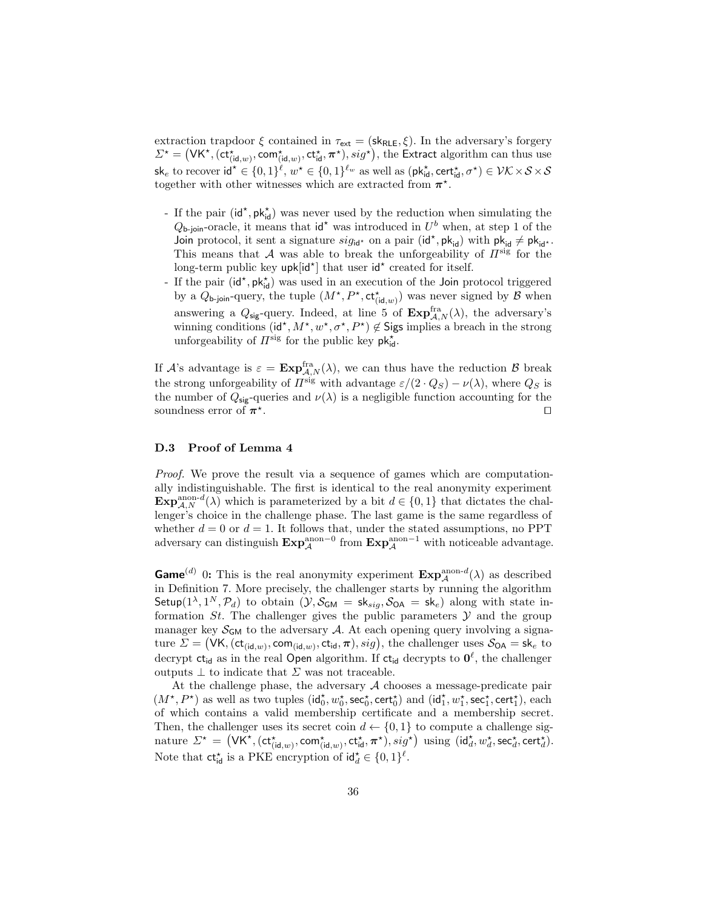extraction trapdoor  $\xi$  contained in  $\tau_{ext} = (sk_{RLE}, \xi)$ . In the adversary's forgery  $\Sigma^{\star} = \left(\mathsf{VK}^{\star}, \left(\mathsf{ct}_{(\mathsf{id},w)}^{\star}, \mathsf{com}_{(\mathsf{id},w)}^{\star}, \mathsf{ct}_{\mathsf{id}}^{\star}, \boldsymbol{\pi}^{\star}\right), sig^{\star}\right),$  the Extract algorithm can thus use  $\mathsf{sk}_e$  to recover  $\mathsf{id}^\star \in \{0,1\}^\ell$ ,  $w^\star \in \{0,1\}^{\ell_w}$  as well as  $(\mathsf{pk}^\star_\mathsf{id},\mathsf{cert}^\star_\mathsf{id},\sigma^\star) \in \mathcal{VK} \times \mathcal{S} \times \mathcal{S}$ together with other witnesses which are extracted from  $\pi^*$ .

- If the pair  $(id^*, pk_{id}^*)$  was never used by the reduction when simulating the  $Q_{\text{b-join}}$ -oracle, it means that id<sup>\*</sup> was introduced in  $U^b$  when, at step 1 of the Join protocol, it sent a signature  $sig_{\mathsf{id}^*}$  on a pair  $(\mathsf{id}^*, \mathsf{pk}_{\mathsf{id}})$  with  $\mathsf{pk}_{\mathsf{id}} \neq \mathsf{pk}_{\mathsf{id}^*}$ . This means that A was able to break the unforgeability of  $\pi^{sig}$  for the long-term public key upk $\left[\mathsf{id}^\star\right]$  that user  $\mathsf{id}^\star$  created for itself.
- If the pair  $(id^*, \mathsf{pk}^*_{id})$  was used in an execution of the Join protocol triggered by a  $Q_{\text{b-join}}$ -query, the tuple  $(M^*, P^*, ct^*_{(\text{id},w)})$  was never signed by  $\mathcal B$  when answering a  $Q_{\text{sig}}$ -query. Indeed, at line 5 of  $\text{Exp}_{A,N}^{\text{fra}}(\lambda)$ , the adversary's winning conditions  $(id^*, M^*, w^*, \sigma^*, P^*) \notin \mathsf{Sigs}$  implies a breach in the strong unforgeability of  $\pi^{\text{sig}}$  for the public key  $\mathsf{pk}^{\star}_{\mathsf{id}}$ .

If  $\mathcal{A}$ 's advantage is  $\varepsilon = \mathbf{Exp}_{\mathcal{A},N}^{\text{fra}}(\lambda)$ , we can thus have the reduction  $\mathcal{B}$  break the strong unforgeability of  $\Pi^{\text{sig}}$  with advantage  $\varepsilon/(2 \cdot Q_S) - \nu(\lambda)$ , where  $Q_S$  is the number of  $Q_{sig}$ -queries and  $\nu(\lambda)$  is a negligible function accounting for the soundness error of  $\pi^*$ . The contract of the contract of the contract of the contract of the contract of the contract of the contract of the contract of the contract of the contract of the contract of the contract of the contract of the contract

### <span id="page-35-0"></span>D.3 Proof of Lemma [4](#page-26-0)

Proof. We prove the result via a sequence of games which are computationally indistinguishable. The first is identical to the real anonymity experiment  $\mathbf{Exp}_{\mathcal{A},N}^{\text{anon-d}}(\lambda)$  which is parameterized by a bit  $d \in \{0,1\}$  that dictates the challenger's choice in the challenge phase. The last game is the same regardless of whether  $d = 0$  or  $d = 1$ . It follows that, under the stated assumptions, no PPT adversary can distinguish  $\text{Exp}_{\mathcal{A}}^{\text{anon}-0}$  from  $\text{Exp}_{\mathcal{A}}^{\text{anon}-1}$  with noticeable advantage.

**Game**<sup>(d)</sup> 0: This is the real anonymity experiment  $\mathbf{Exp}_{\mathcal{A}}^{\text{anon-d}}(\lambda)$  as described in Definition [7.](#page-16-1) More precisely, the challenger starts by running the algorithm Setup( $1^{\lambda}, 1^N, \mathcal{P}_d$ ) to obtain  $(\mathcal{Y}, \mathcal{S}_{GM} = sk_{sig}, \mathcal{S}_{OA} = sk_e)$  along with state information  $St$ . The challenger gives the public parameters  $\mathcal Y$  and the group manager key  $S_{GM}$  to the adversary A. At each opening query involving a signature  $\Sigma=$  (VK, (ct<sub>(id,w)</sub>, com<sub>(id,w)</sub>, ct<sub>id</sub>,  $\pi$ ), sig), the challenger uses  $\mathcal{S}_{OA} =$  sk<sub>e</sub> to decrypt  $ct_{id}$  as in the real Open algorithm. If  $ct_{id}$  decrypts to  $0^{\ell}$ , the challenger outputs  $\perp$  to indicate that  $\Sigma$  was not traceable.

At the challenge phase, the adversary  $A$  chooses a message-predicate pair  $(M^{\star}, P^{\star})$  as well as two tuples  $(\mathsf{id}_0^{\star}, w_0^{\star}, \mathsf{sec}_0^{\star}, \mathsf{cert}_0^{\star})$  and  $(\mathsf{id}_1^{\star}, w_1^{\star}, \mathsf{sec}_1^{\star}, \mathsf{cert}_1^{\star}),$  each of which contains a valid membership certificate and a membership secret. Then, the challenger uses its secret coin  $d \leftarrow \{0, 1\}$  to compute a challenge signature  $\mathcal{L}^{\star} = (\mathsf{V}\mathsf{K}^{\star}, (\mathsf{ct}^{\star}_{(\mathsf{id},w)}, \mathsf{com}^{\star}_{(\mathsf{id},w)}, \mathsf{ct}^{\star}_{\mathsf{id}}, \pi^{\star}), sig^{\star})$  using  $(\mathsf{id}^{\star}_{d}, w^{\star}_{d}, \mathsf{sec}^{\star}_{d}, \mathsf{cert}^{\star}_{d}).$ Note that  $\mathsf{ct}^{\star}_{\mathsf{id}}$  is a PKE encryption of  $\mathsf{id}^{\star}_d \in \{0,1\}^{\ell}$ .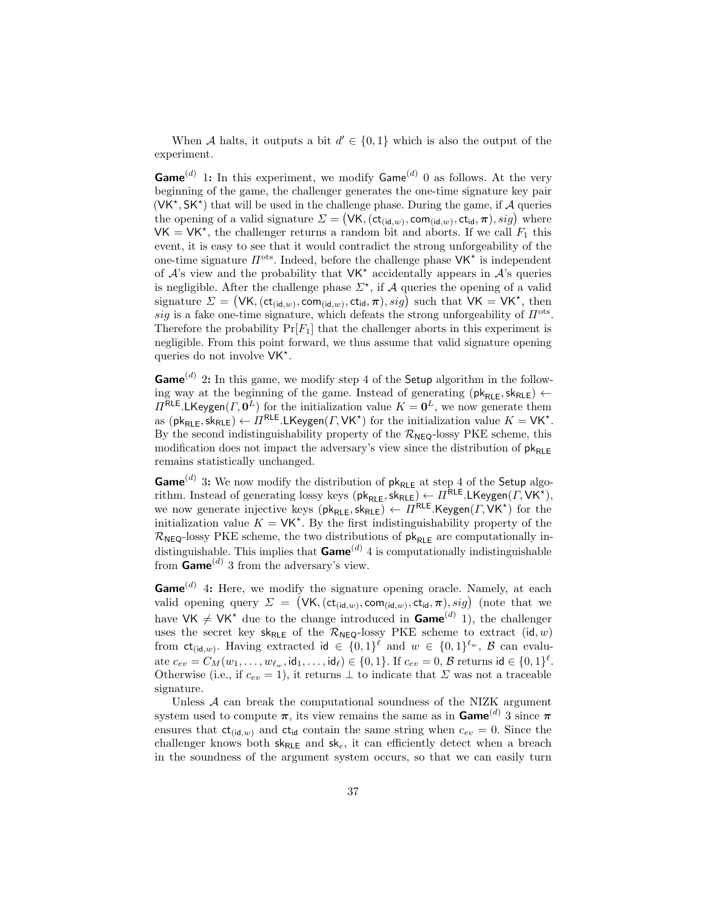When A halts, it outputs a bit  $d' \in \{0,1\}$  which is also the output of the experiment.

**Game**<sup>(d)</sup> 1: In this experiment, we modify **Game**<sup>(d)</sup> 0 as follows. At the very beginning of the game, the challenger generates the one-time signature key pair  $(VK^*, SK^*)$  that will be used in the challenge phase. During the game, if A queries the opening of a valid signature  $\Sigma = (VK, (ct_{(id,w)}, com_{(id,w)}, ct_{id}, \pi), sig)$  where  $VK = VK^*$ , the challenger returns a random bit and aborts. If we call  $F_1$  this event, it is easy to see that it would contradict the strong unforgeability of the one-time signature  $\Pi^{\text{ots}}$ . Indeed, before the challenge phase  $\mathsf{VK}^*$  is independent of  $\mathcal{A}$ 's view and the probability that  $VK^*$  accidentally appears in  $\mathcal{A}$ 's queries is negligible. After the challenge phase  $\Sigma^*$ , if A queries the opening of a valid signature  $\Sigma = (VK, (ct_{(id,w)}, com_{(id,w)}, ct_{id}, \pi), sig)$  such that  $VK = VK^*$ , then sig is a fake one-time signature, which defeats the strong unforgeability of  $\Pi^{\rm obs}$ . Therefore the probability  $Pr[F_1]$  that the challenger aborts in this experiment is negligible. From this point forward, we thus assume that valid signature opening queries do not involve  $VK^*$ .

**Game**<sup>(d)</sup> 2: In this game, we modify step 4 of the Setup algorithm in the following way at the beginning of the game. Instead of generating  $(\mathsf{pk}_{\mathsf{RLE}},\mathsf{sk}_{\mathsf{RLE}})$  ←  $\Pi^{\text{RLE}}$ . LKeygen $(\Gamma, \mathbf{0}^L)$  for the initialization value  $K = \mathbf{0}^L$ , we now generate them as  $(\mathsf{pk}_{\mathsf{RLE}}, \mathsf{sk}_{\mathsf{RLE}}) \leftarrow \Pi^{\mathsf{RLE}}$ . LKeygen $(\Gamma, \mathsf{VK}^*)$  for the initialization value  $K = \mathsf{VK}^*$ . By the second indistinguishability property of the  $\mathcal{R}_{NEQ}$ -lossy PKE scheme, this modification does not impact the adversary's view since the distribution of  $pk_{RIF}$ remains statistically unchanged.

**Game**<sup>(d)</sup> 3: We now modify the distribution of  $pk_{RLE}$  at step 4 of the Setup algorithm. Instead of generating lossy keys  $(\mathsf{pk}_{\mathsf{RLE}}, \mathsf{sk}_{\mathsf{RLE}}) \leftarrow \Pi^{\mathsf{RLE}}$ . LKeygen $(\Gamma, \mathsf{VK}^{\star}),$ we now generate injective keys  $(\mathsf{pk}_{\mathsf{RLE}}, \mathsf{sk}_{\mathsf{RLE}}) \leftarrow \Pi^{\mathsf{RLE}}$ . Keygen $(\Gamma, \mathsf{VK}^{\star})$  for the initialization value  $K = \mathsf{VK}^*$ . By the first indistinguishability property of the  $\mathcal{R}_{\text{NEQ}}$ -lossy PKE scheme, the two distributions of  $pk_{\text{RLE}}$  are computationally indistinguishable. This implies that  $Game<sup>(d)</sup> 4$  is computationally indistinguishable from  $Game<sup>(d)</sup>$  3 from the adversary's view.

**Game**<sup>(d)</sup> 4: Here, we modify the signature opening oracle. Namely, at each valid opening query  $\Sigma = (VK, (ct_{(id,w)}, com_{(id,w)}, ct_{id}, \pi), sig)$  (note that we have  $VK \neq VK^*$  due to the change introduced in **Game**<sup>(d)</sup> 1), the challenger uses the secret key sk<sub>RLE</sub> of the  $\mathcal{R}_{NEQ}$ -lossy PKE scheme to extract (id, w) from  $ct_{(id,w)}$ . Having extracted id  $\in \{0,1\}^{\ell}$  and  $w \in \{0,1\}^{\ell_w}$ ,  $\mathcal{B}$  can evaluate  $c_{ev} = C_M(w_1, \ldots, w_{\ell_w}, \mathsf{id}_1, \ldots, \mathsf{id}_\ell) \in \{0, 1\}.$  If  $c_{ev} = 0$ ,  $\mathcal B$  returns id  $\in \{0, 1\}^\ell$ . Otherwise (i.e., if  $c_{ev} = 1$ ), it returns  $\perp$  to indicate that  $\Sigma$  was not a traceable signature.

Unless  $A$  can break the computational soundness of the NIZK argument system used to compute  $\pi$ , its view remains the same as in **Game**<sup>(d)</sup> 3 since  $\pi$ ensures that  $ct_{(id,w)}$  and  $ct_{id}$  contain the same string when  $c_{ev} = 0$ . Since the challenger knows both  $sk_{RLE}$  and  $sk_e$ , it can efficiently detect when a breach in the soundness of the argument system occurs, so that we can easily turn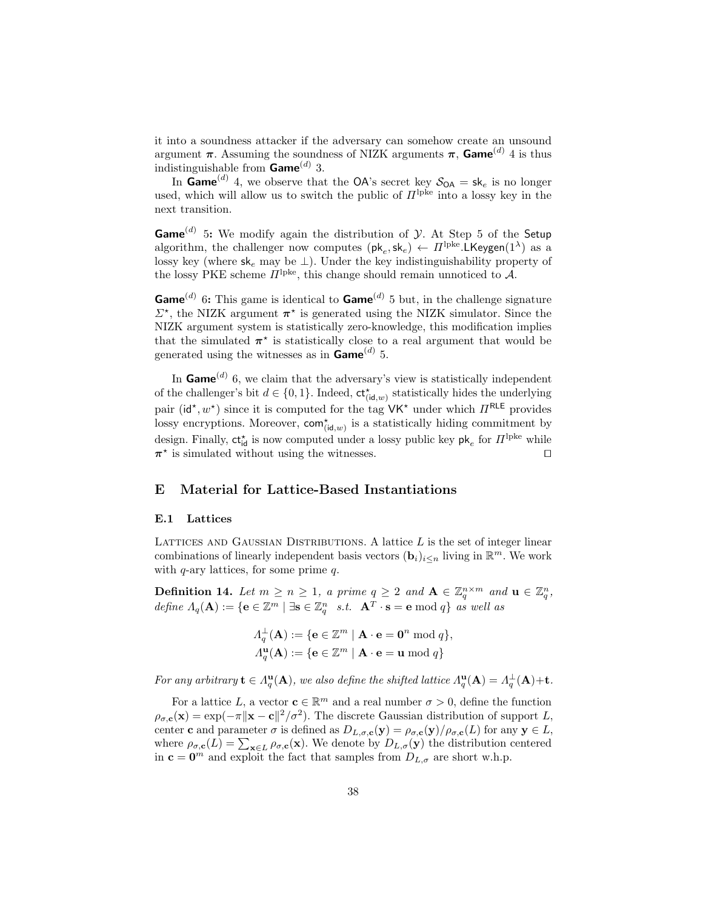it into a soundness attacker if the adversary can somehow create an unsound argument  $\pi$ . Assuming the soundness of NIZK arguments  $\pi$ , Game<sup>(d)</sup> 4 is thus indistinguishable from  $Game<sup>(d)</sup>$  3.

In Game<sup>(d)</sup> 4, we observe that the OA's secret key  $S_{OA} = sk_e$  is no longer used, which will allow us to switch the public of  $\Pi^{\text{lpke}}$  into a lossy key in the next transition.

**Game**<sup>(d)</sup> 5: We modify again the distribution of  $\mathcal{Y}$ . At Step 5 of the Setup algorithm, the challenger now computes  $(\mathsf{pk}_e, \mathsf{sk}_e) \leftarrow \Pi^{\text{lpke}}.\mathsf{LKeygen}(1^\lambda)$  as a lossy key (where  $\mathsf{sk}_e$  may be  $\perp$ ). Under the key indistinguishability property of the lossy PKE scheme  $\Pi^{\text{lpke}}$ , this change should remain unnoticed to A.

**Game**<sup>(d)</sup> 6: This game is identical to **Game**<sup>(d)</sup> 5 but, in the challenge signature  $\Sigma^*$ , the NIZK argument  $\pi^*$  is generated using the NIZK simulator. Since the NIZK argument system is statistically zero-knowledge, this modification implies that the simulated  $\pi^*$  is statistically close to a real argument that would be generated using the witnesses as in  $Game<sup>(d)</sup>$  5.

In  $Game<sup>(d)</sup>$  6, we claim that the adversary's view is statistically independent of the challenger's bit  $d \in \{0, 1\}$ . Indeed,  $\mathsf{ct}^{\star}_{(\mathsf{id},w)}$  statistically hides the underlying pair (id<sup>\*</sup>,  $w^*$ ) since it is computed for the tag  $VK^*$  under which  $\Pi^{\text{RLE}}$  provides lossy encryptions. Moreover,  $com_{(id,w)}^{\star}$  is a statistically hiding commitment by design. Finally,  $ct^*_{id}$  is now computed under a lossy public key  $pk_e$  for  $\Pi^{\text{lpke}}$  while  $\pi^*$  is simulated without using the witnesses.

### <span id="page-37-0"></span>E Material for Lattice-Based Instantiations

### E.1 Lattices

LATTICES AND GAUSSIAN DISTRIBUTIONS. A lattice  $L$  is the set of integer linear combinations of linearly independent basis vectors  $(\mathbf{b}_i)_{i\leq n}$  living in  $\mathbb{R}^m$ . We work with  $q$ -ary lattices, for some prime  $q$ .

**Definition 14.** Let  $m \ge n \ge 1$ , a prime  $q \ge 2$  and  $\mathbf{A} \in \mathbb{Z}_q^{n \times m}$  and  $\mathbf{u} \in \mathbb{Z}_q^n$ , define  $\Lambda_q(\mathbf{A}) := \{ \mathbf{e} \in \mathbb{Z}^m \mid \exists \mathbf{s} \in \mathbb{Z}_q^n \text{ s.t. } \mathbf{A}^T \cdot \mathbf{s} = \mathbf{e} \bmod q \}$  as well as

$$
A_q^{\perp}(\mathbf{A}) := \{ \mathbf{e} \in \mathbb{Z}^m \mid \mathbf{A} \cdot \mathbf{e} = \mathbf{0}^n \bmod q \},
$$
  

$$
A_q^{\mathbf{u}}(\mathbf{A}) := \{ \mathbf{e} \in \mathbb{Z}^m \mid \mathbf{A} \cdot \mathbf{e} = \mathbf{u} \bmod q \}
$$

For any arbitrary  $\mathbf{t} \in \Lambda_q^{\mathbf{u}}(\mathbf{A})$ , we also define the shifted lattice  $\Lambda_q^{\mathbf{u}}(\mathbf{A}) = \Lambda_q^{\perp}(\mathbf{A}) + \mathbf{t}$ .

For a lattice L, a vector  $\mathbf{c} \in \mathbb{R}^m$  and a real number  $\sigma > 0$ , define the function  $\rho_{\sigma, \mathbf{c}}(\mathbf{x}) = \exp(-\pi \|\mathbf{x} - \mathbf{c}\|^2 / \sigma^2)$ . The discrete Gaussian distribution of support L, center **c** and parameter  $\sigma$  is defined as  $D_{L,\sigma,\mathbf{c}}(\mathbf{y}) = \rho_{\sigma,\mathbf{c}}(\mathbf{y})/\rho_{\sigma,\mathbf{c}}(L)$  for any  $\mathbf{y} \in L$ , where  $\rho_{\sigma,\mathbf{c}}(L) = \sum_{\mathbf{x}\in L} \rho_{\sigma,\mathbf{c}}(\mathbf{x})$ . We denote by  $D_{L,\sigma}(\mathbf{y})$  the distribution centered in  $\mathbf{c} = \mathbf{0}^m$  and exploit the fact that samples from  $D_{L,\sigma}$  are short w.h.p.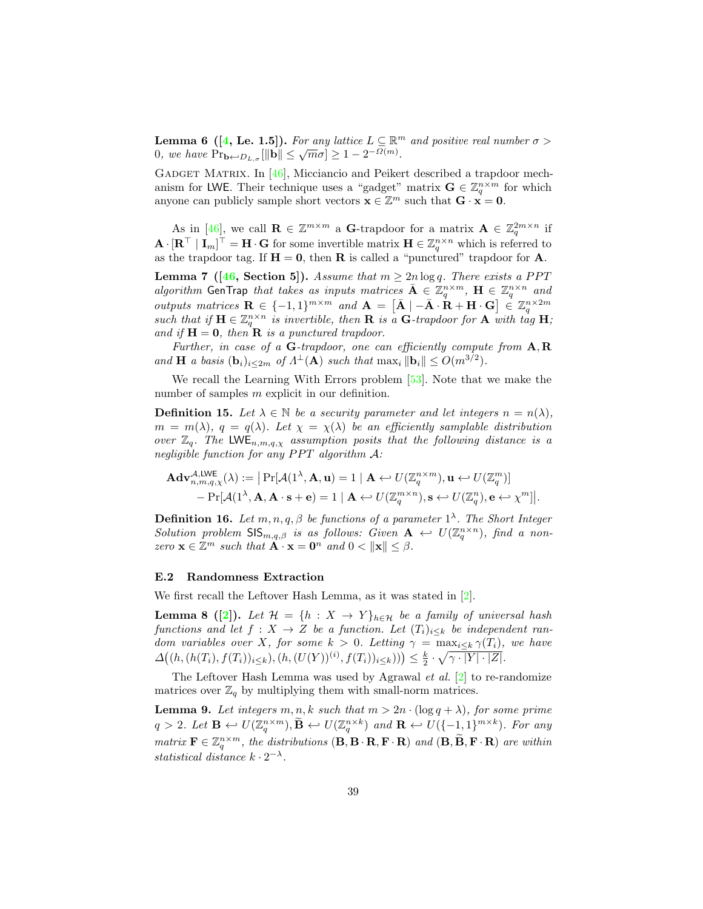**Lemma 6** ([\[4,](#page-28-22) Le. 1.5]). For any lattice  $L \subseteq \mathbb{R}^m$  and positive real number  $\sigma >$ **Definition**  $\mathbf{0} \left( \begin{bmatrix} 4 \\ 4 \end{bmatrix}, \begin{bmatrix} 4 \\ 6 \end{bmatrix}, \begin{bmatrix} 4 \\ 6 \end{bmatrix} \right)$ , *For any lattice*  $E \subseteq \mathbb{R}$ <br>0, we have  $\Pr_{\mathbf{b} \leftarrow D_{L,\sigma}}[\|\mathbf{b}\|] \leq \sqrt{m}\sigma$   $\geq 1 - 2^{-\Omega(m)}$ .

GADGET MATRIX. In  $[46]$ , Micciancio and Peikert described a trapdoor mechanism for LWE. Their technique uses a "gadget" matrix  $\mathbf{G} \in \mathbb{Z}_q^{n \times m}$  for which anyone can publicly sample short vectors  $\mathbf{x} \in \mathbb{Z}^m$  such that  $\mathbf{G} \cdot \mathbf{x} = \mathbf{0}$ .

As in [\[46\]](#page-29-26), we call  $\mathbf{R} \in \mathbb{Z}^{m \times m}$  a G-trapdoor for a matrix  $\mathbf{A} \in \mathbb{Z}_q^{2m \times n}$  if  $\mathbf{A} \cdot [\mathbf{R}^\top \mid \mathbf{I}_m]^\top = \mathbf{H} \cdot \mathbf{G}$  for some invertible matrix  $\mathbf{H} \in \mathbb{Z}_q^{n \times n}$  which is referred to as the trapdoor tag. If  $H = 0$ , then **R** is called a "punctured" trapdoor for **A**.

<span id="page-38-0"></span>**Lemma 7** ([\[46,](#page-29-26) Section 5]). Assume that  $m \ge 2n \log q$ . There exists a PPT algorithm GenTrap that takes as inputs matrices  $\bar{\mathbf{A}} \in \mathbb{Z}_q^{n \times m}$ ,  $\mathbf{H} \in \mathbb{Z}_q^{n \times n}$  and outputs matrices  $\mathbf{R} \in \{-1,1\}^{m \times m}$  and  $\mathbf{A} = \begin{bmatrix} \bar{\mathbf{A}} \mid -\bar{\mathbf{A}} \cdot \bar{\mathbf{R}} + \mathbf{H} \cdot \mathbf{G} \end{bmatrix} \in \mathbb{Z}_q^{n \times 2m}$ such that if  $\mathbf{H} \in \mathbb{Z}_q^{n \times n}$  is invertible, then **R** is a **G**-trapdoor for **A** with tag **H**; and if  $H = 0$ , then **R** is a punctured trapdoor.

Further, in case of a  $G$ -trapdoor, one can efficiently compute from  $A, R$ and **H** a basis  $(\mathbf{b}_i)_{i \leq 2m}$  of  $\Lambda^{\perp}(\mathbf{A})$  such that  $\max_i ||\mathbf{b}_i|| \leq O(m^{3/2})$ .

We recall the Learning With Errors problem [\[53\]](#page-29-8). Note that we make the number of samples m explicit in our definition.

**Definition 15.** Let  $\lambda \in \mathbb{N}$  be a security parameter and let integers  $n = n(\lambda)$ ,  $m = m(\lambda)$ ,  $q = q(\lambda)$ . Let  $\chi = \chi(\lambda)$  be an efficiently samplable distribution over  $\mathbb{Z}_q$ . The LWE<sub>n,m,q,x</sub> assumption posits that the following distance is a negligible function for any  $PPT$  algorithm  $A$ :

$$
\mathbf{Adv}_{n,m,q,\chi}^{\mathcal{A},\mathsf{LWE}}(\lambda) := \left| \Pr[\mathcal{A}(1^{\lambda}, \mathbf{A}, \mathbf{u}) = 1 \mid \mathbf{A} \leftrightarrow U(\mathbb{Z}_q^{n \times m}), \mathbf{u} \leftrightarrow U(\mathbb{Z}_q^{m}) \right|
$$
  
-  $\Pr[\mathcal{A}(1^{\lambda}, \mathbf{A}, \mathbf{A} \cdot \mathbf{s} + \mathbf{e}) = 1 \mid \mathbf{A} \leftrightarrow U(\mathbb{Z}_q^{m \times n}), \mathbf{s} \leftrightarrow U(\mathbb{Z}_q^{n}), \mathbf{e} \leftrightarrow \chi^m] \right|.$ 

**Definition 16.** Let  $m, n, q, \beta$  be functions of a parameter  $1^{\lambda}$ . The Short Integer Solution problem  $\text{SIS}_{m,q,\beta}$  is as follows: Given  $\mathbf{A} \leftarrow U(\mathbb{Z}_q^{n \times n})$ , find a nonzero  $\mathbf{x} \in \mathbb{Z}^m$  such that  $\mathbf{A} \cdot \mathbf{x} = \mathbf{0}^n$  and  $0 < ||\mathbf{x}|| \leq \beta$ .

#### E.2 Randomness Extraction

We first recall the Leftover Hash Lemma, as it was stated in [\[2\]](#page-27-1).

**Lemma 8** ([\[2\]](#page-27-1)). Let  $\mathcal{H} = \{h : X \to Y\}_{h \in \mathcal{H}}$  be a family of universal hash functions and let  $f : X \to Z$  be a function. Let  $(T_i)_{i \leq k}$  be independent random variables over X, for some  $k > 0$ . Letting  $\gamma = \max_{i \leq k} \gamma(T_i)$ , we have  $\Delta((h, (h(T_i), f(T_i))_{i \leq k}), (h, (U(Y))^{(i)}, f(T_i))_{i \leq k})) \leq \frac{k}{2} \cdot \sqrt{\gamma \cdot |Y| \cdot |Z|}.$ 

The Leftover Hash Lemma was used by Agrawal et al. [\[2\]](#page-27-1) to re-randomize matrices over  $\mathbb{Z}_q$  by multiplying them with small-norm matrices.

**Lemma 9.** Let integers  $m, n, k$  such that  $m > 2n \cdot (\log q + \lambda)$ , for some prime  $q > 2$ . Let  $\mathbf{B} \leftrightarrow U(\mathbb{Z}_q^{n \times m}), \widetilde{\mathbf{B}} \leftrightarrow U(\mathbb{Z}_q^{n \times k})$  and  $\mathbf{R} \leftrightarrow U(\{-1, 1\}^{m \times k})$ . For any  $matrix \ \mathbf{F} \in \mathbb{Z}_q^{n \times m}$ , the distributions  $(\mathbf{B}, \mathbf{B} \cdot \mathbf{R}, \mathbf{F} \cdot \mathbf{R})$  and  $(\mathbf{B}, \widetilde{\mathbf{B}}, \mathbf{F} \cdot \mathbf{R})$  are within statistical distance  $k \cdot 2^{-\lambda}$ .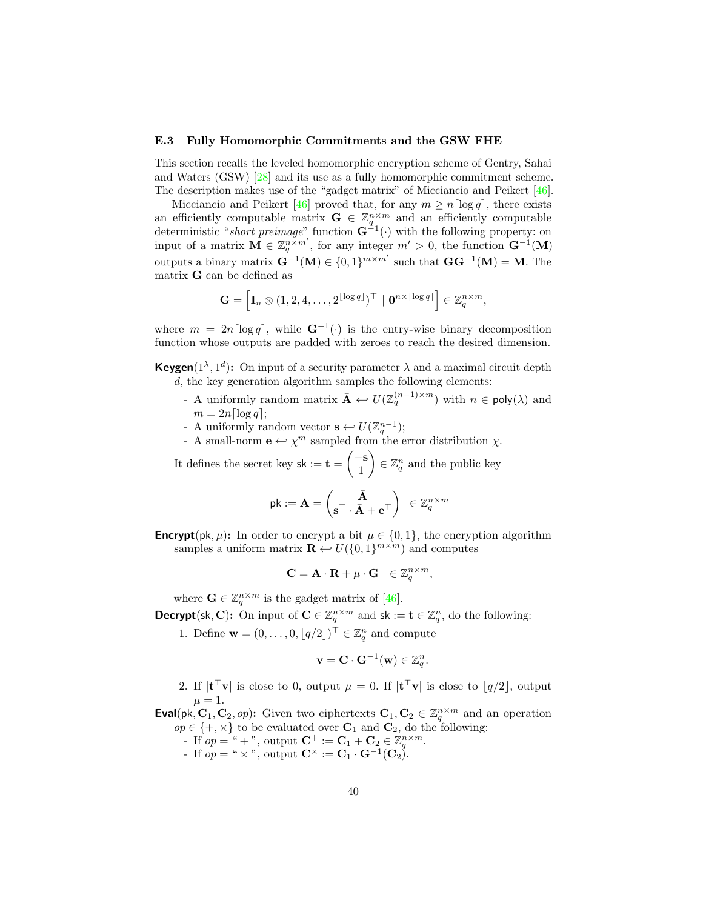### <span id="page-39-0"></span>E.3 Fully Homomorphic Commitments and the GSW FHE

This section recalls the leveled homomorphic encryption scheme of Gentry, Sahai and Waters (GSW) [\[28\]](#page-28-5) and its use as a fully homomorphic commitment scheme. The description makes use of the "gadget matrix" of Micciancio and Peikert [\[46\]](#page-29-26).

Micciancio and Peikert [\[46\]](#page-29-26) proved that, for any  $m \geq n \lceil \log q \rceil$ , there exists an efficiently computable matrix  $\mathbf{G} \in \mathbb{Z}_q^{n \times m}$  and an efficiently computable deterministic "short preimage" function  $G^{-1}(\cdot)$  with the following property: on input of a matrix  $\mathbf{M} \in \mathbb{Z}_q^{n \times m'}$ , for any integer  $m' > 0$ , the function  $\mathbf{G}^{-1}(\mathbf{M})$ outputs a binary matrix  $\mathbf{G}^{-1}(\mathbf{M}) \in \{0,1\}^{m \times m'}$  such that  $\mathbf{G} \mathbf{G}^{-1}(\mathbf{M}) = \mathbf{M}$ . The matrix G can be defined as

$$
\mathbf{G} = \left[\mathbf{I}_n \otimes (1, 2, 4, \dots, 2^{\lfloor \log q \rfloor})^\top \mid \mathbf{0}^{n \times \lceil \log q \rceil} \right] \in \mathbb{Z}_q^{n \times m},
$$

where  $m = 2n \lceil \log q \rceil$ , while  $\mathbf{G}^{-1}(\cdot)$  is the entry-wise binary decomposition function whose outputs are padded with zeroes to reach the desired dimension.

**Keygen**( $1^{\lambda}$ ,  $1^d$ ): On input of a security parameter  $\lambda$  and a maximal circuit depth  $d$ , the key generation algorithm samples the following elements:

- A uniformly random matrix  $\bar{\mathbf{A}} \leftarrow U(\mathbb{Z}_q^{(n-1)\times m})$  with  $n \in \mathsf{poly}(\lambda)$  and  $m = 2n \lceil \log q \rceil;$
- A uniformly random vector  $\mathbf{s} \leftarrow U(\mathbb{Z}_q^{n-1});$
- A small-norm  $\mathbf{e} \leftrightarrow \chi^m$  sampled from the error distribution  $\chi$ .

It defines the secret key  $sk := t = \begin{pmatrix} -s \\ 1 \end{pmatrix}$ 1  $\Big) \in \mathbb{Z}_q^n$  and the public key

$$
\mathsf{pk} := \mathbf{A} = \begin{pmatrix} \bar{\mathbf{A}} \\ \mathbf{s}^\top \cdot \bar{\mathbf{A}} + \mathbf{e}^\top \end{pmatrix} \ \in \mathbb{Z}_q^{n \times m}
$$

**Encrypt**(pk,  $\mu$ ): In order to encrypt a bit  $\mu \in \{0, 1\}$ , the encryption algorithm samples a uniform matrix  $\mathbf{R} \leftarrow U(\{0, 1\}^{m \times m})$  and computes

$$
\mathbf{C} = \mathbf{A} \cdot \mathbf{R} + \mu \cdot \mathbf{G} \quad \in \mathbb{Z}_q^{n \times m},
$$

where  $\mathbf{G} \in \mathbb{Z}_q^{n \times m}$  is the gadget matrix of [\[46\]](#page-29-26).

**Decrypt**(sk, C): On input of  $C \in \mathbb{Z}_q^{n \times m}$  and  $sk := \mathbf{t} \in \mathbb{Z}_q^n$ , do the following:

1. Define  $\mathbf{w} = (0, \ldots, 0, \lfloor q/2 \rfloor)^\top \in \mathbb{Z}_q^n$  and compute

$$
\mathbf{v} = \mathbf{C} \cdot \mathbf{G}^{-1}(\mathbf{w}) \in \mathbb{Z}_q^n.
$$

2. If  $|\mathbf{t}^\top \mathbf{v}|$  is close to 0, output  $\mu = 0$ . If  $|\mathbf{t}^\top \mathbf{v}|$  is close to  $|q/2|$ , output  $\mu = 1.$ 

**Eval**(pk,  $C_1$ ,  $C_2$ , *op*): Given two ciphertexts  $C_1$ ,  $C_2 \in \mathbb{Z}_q^{n \times m}$  and an operation  $op \in \{+, \times\}$  to be evaluated over  $C_1$  and  $C_2$ , do the following:

- If  $op =$  "+", output  $\mathbf{C}^+ := \mathbf{C}_1 + \mathbf{C}_2 \in \mathbb{Z}_q^{n \times m}$ .

- If  $op = " \times",$  output  $\mathbf{C}^{\times} := \mathbf{C}_1 \cdot \mathbf{G}^{-1}(\mathbf{C}_2).$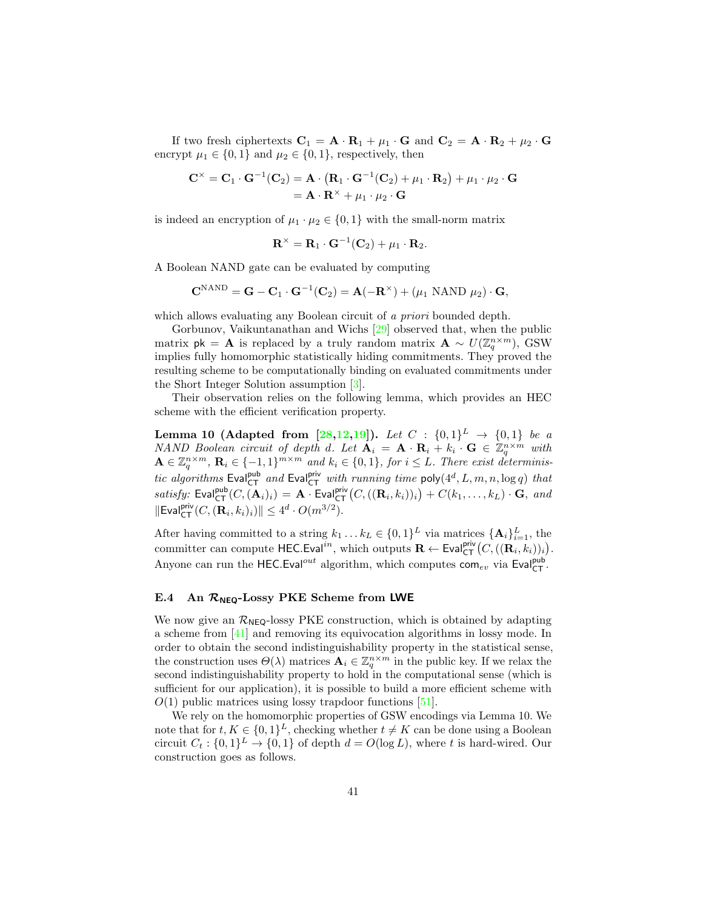If two fresh ciphertexts  $C_1 = A \cdot R_1 + \mu_1 \cdot G$  and  $C_2 = A \cdot R_2 + \mu_2 \cdot G$ encrypt  $\mu_1 \in \{0, 1\}$  and  $\mu_2 \in \{0, 1\}$ , respectively, then

$$
\mathbf{C}^{\times} = \mathbf{C}_{1} \cdot \mathbf{G}^{-1}(\mathbf{C}_{2}) = \mathbf{A} \cdot (\mathbf{R}_{1} \cdot \mathbf{G}^{-1}(\mathbf{C}_{2}) + \mu_{1} \cdot \mathbf{R}_{2}) + \mu_{1} \cdot \mu_{2} \cdot \mathbf{G}
$$

$$
= \mathbf{A} \cdot \mathbf{R}^{\times} + \mu_{1} \cdot \mu_{2} \cdot \mathbf{G}
$$

is indeed an encryption of  $\mu_1 \cdot \mu_2 \in \{0, 1\}$  with the small-norm matrix

$$
\mathbf{R}^{\times} = \mathbf{R}_1 \cdot \mathbf{G}^{-1}(\mathbf{C}_2) + \mu_1 \cdot \mathbf{R}_2.
$$

A Boolean NAND gate can be evaluated by computing

$$
\mathbf{C}^{\text{NAND}} = \mathbf{G} - \mathbf{C}_1 \cdot \mathbf{G}^{-1}(\mathbf{C}_2) = \mathbf{A}(-\mathbf{R}^{\times}) + (\mu_1 \text{ NAND } \mu_2) \cdot \mathbf{G},
$$

which allows evaluating any Boolean circuit of a priori bounded depth.

Gorbunov, Vaikuntanathan and Wichs [\[29\]](#page-28-4) observed that, when the public matrix  $\mathsf{pk} = \mathbf{A}$  is replaced by a truly random matrix  $\mathbf{A} \sim U(\mathbb{Z}_q^{n \times m})$ , GSW implies fully homomorphic statistically hiding commitments. They proved the resulting scheme to be computationally binding on evaluated commitments under the Short Integer Solution assumption [\[3\]](#page-27-0).

Their observation relies on the following lemma, which provides an HEC scheme with the efficient verification property.

<span id="page-40-1"></span>Lemma 10 (Adapted from [\[28,](#page-28-5)[12,](#page-28-23)[19\]](#page-28-24)). Let  $C : \{0,1\}^L \to \{0,1\}$  be a NAND Boolean circuit of depth d. Let  $\mathbf{A}_i = \mathbf{A} \cdot \mathbf{R}_i + k_i \cdot \mathbf{G} \in \mathbb{Z}_q^{n \times m}$  with  $\mathbf{A} \in \mathbb{Z}_q^{n \times m}$ ,  $\mathbf{R}_i \in \{-1,1\}^{m \times m}$  and  $k_i \in \{0,1\}$ , for  $i \leq L$ . There exist deterministic algorithms  $\text{Eval}_{\text{CT}}^{\text{pub}}$  and  $\text{Eval}_{\text{CT}}^{\text{priv}}$  with running time  $\text{poly}(4^d, L, m, n, \log q)$  that satisfy:  $\text{Eval}_{\text{CT}}^{\text{pub}}(C, (\mathbf{A}_i)_i) = \mathbf{A} \cdot \text{Eval}_{\text{CT}}^{\text{priv}}(C, ((\mathbf{R}_i, k_i))_i) + C(k_1, \ldots, k_L) \cdot \mathbf{G}, \text{ and}$  $\|\mathsf{Eval}_{\mathsf{CT}}^{\mathsf{priv}}(C,(\mathbf{R}_i,k_i)_i)\| \leq 4^d \cdot O(m^{3/2}).$ 

After having committed to a string  $k_1 \dots k_L \in \{0,1\}^L$  via matrices  $\{\mathbf{A}_i\}_{i=1}^L$ , the committer can compute HEC.Eval<sup>in</sup>, which outputs  $\mathbf{R} \leftarrow \mathsf{Eval}_{\mathsf{CT}}^{\mathsf{priv}}(C, ((\mathbf{R}_i, k_i))_i).$ Anyone can run the HEC.Eval<sup>out</sup> algorithm, which computes  $\mathsf{com}_{ev}$  via Eval<sup>pub</sup><sub>CT</sub>.

### <span id="page-40-0"></span>E.4 An  $\mathcal{R}_{NEQ}$ -Lossy PKE Scheme from LWE

We now give an  $\mathcal{R}_{\text{NEO}}$ -lossy PKE construction, which is obtained by adapting a scheme from [\[41\]](#page-29-10) and removing its equivocation algorithms in lossy mode. In order to obtain the second indistinguishability property in the statistical sense, the construction uses  $\Theta(\lambda)$  matrices  $\mathbf{A}_i \in \mathbb{Z}_q^{n \times m}$  in the public key. If we relax the second indistinguishability property to hold in the computational sense (which is sufficient for our application), it is possible to build a more efficient scheme with  $O(1)$  public matrices using lossy trapdoor functions [\[51\]](#page-29-27).

We rely on the homomorphic properties of GSW encodings via Lemma [10.](#page-40-1) We note that for  $t, K \in \{0,1\}^L$ , checking whether  $t \neq K$  can be done using a Boolean circuit  $C_t: \{0,1\}^L \to \{0,1\}$  of depth  $d = O(\log L)$ , where t is hard-wired. Our construction goes as follows.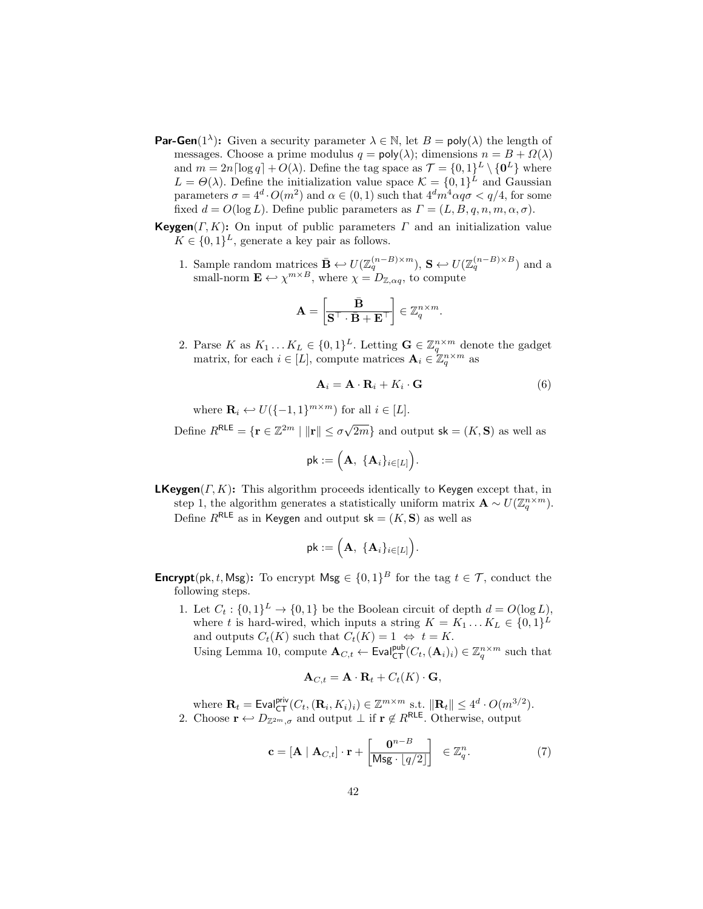- **Par-Gen**(1<sup> $\lambda$ </sup>): Given a security parameter  $\lambda \in \mathbb{N}$ , let  $B = \text{poly}(\lambda)$  the length of messages. Choose a prime modulus  $q = \text{poly}(\lambda)$ ; dimensions  $n = B + \Omega(\lambda)$ and  $m = 2n \lceil \log q \rceil + O(\lambda)$ . Define the tag space as  $\mathcal{T} = \{0, 1\}^L \setminus {\mathbf{0}^L}$  where  $L = \Theta(\lambda)$ . Define the initialization value space  $\mathcal{K} = \{0, 1\}^L$  and Gaussian parameters  $\sigma = 4^d \cdot O(m^2)$  and  $\alpha \in (0, 1)$  such that  $4^d m^4 \alpha q \sigma < q/4$ , for some fixed  $d = O(\log L)$ . Define public parameters as  $\Gamma = (L, B, q, n, m, \alpha, \sigma)$ .
- **Keygen** $(\Gamma, K)$ : On input of public parameters  $\Gamma$  and an initialization value  $K \in \{0,1\}^L$ , generate a key pair as follows.
	- 1. Sample random matrices  $\bar{\mathbf{B}} \leftarrow U(\mathbb{Z}_q^{(n-B)\times m})$ ,  $\mathbf{S} \leftarrow U(\mathbb{Z}_q^{(n-B)\times B})$  and a small-norm  $\mathbf{E} \leftrightarrow \chi^{m \times B}$ , where  $\chi = D_{\mathbb{Z}, \alpha q}$ , to compute

$$
\mathbf{A} = \begin{bmatrix} \mathbf{\bar{B}} \\ \mathbf{S}^\top \cdot \mathbf{\bar{B}} + \mathbf{E}^\top \end{bmatrix} \in \mathbb{Z}_q^{n \times m}.
$$

2. Parse K as  $K_1 \dots K_L \in \{0,1\}^L$ . Letting  $\mathbf{G} \in \mathbb{Z}_q^{n \times m}$  denote the gadget matrix, for each  $i \in [L]$ , compute matrices  $\mathbf{A}_i \in \mathbb{Z}_q^{n \times m}$  as

$$
\mathbf{A}_i = \mathbf{A} \cdot \mathbf{R}_i + K_i \cdot \mathbf{G} \tag{6}
$$

where  $\mathbf{R}_i \leftrightarrow U([-1, 1]^{m \times m})$  for all  $i \in [L]$ .

Define  $R^{\text{RLE}} = {\mathbf{r} \in \mathbb{Z}^{2m} \mid \|\mathbf{r}\| \leq \sigma \sqrt{\mathbf{r}}$  $2m$  and output  $sk = (K, S)$  as well as

$$
\mathsf{pk} := \Big(\mathbf{A}, \ \{\mathbf{A}_i\}_{i \in [L]}\Big).
$$

**LKeygen**( $\Gamma$ , K): This algorithm proceeds identically to Keygen except that, in step 1, the algorithm generates a statistically uniform matrix  $\mathbf{A} \sim U(\mathbb{Z}_q^{n \times m})$ . Define  $R^{\text{RLE}}$  as in Keygen and output  $sk = (K, S)$  as well as

$$
\mathsf{pk} := \Big(\mathbf{A}, \ \{\mathbf{A}_i\}_{i \in [L]}\Big).
$$

- **Encrypt**(pk, t, Msg): To encrypt Msg  $\in \{0,1\}^B$  for the tag  $t \in \mathcal{T}$ , conduct the following steps.
	- 1. Let  $C_t: \{0,1\}^L \to \{0,1\}$  be the Boolean circuit of depth  $d = O(\log L)$ , where t is hard-wired, which inputs a string  $K = K_1 \dots K_L \in \{0,1\}^L$ and outputs  $C_t(K)$  such that  $C_t(K) = 1 \Leftrightarrow t = K$ . Using Lemma [10,](#page-40-1) compute  $\mathbf{A}_{C,t} \leftarrow \text{Eval}_{\text{CT}}^{\text{pub}}(C_t, (\mathbf{A}_i)_i) \in \mathbb{Z}_q^{n \times m}$  such that

$$
C_1 \leftarrow C_1 \leftarrow C_2 \leftarrow C_3
$$

$$
\mathbf{A}_{C,t} = \mathbf{A} \cdot \mathbf{R}_t + C_t(K) \cdot \mathbf{G},
$$

where  $\mathbf{R}_t = \text{Eval}_{\text{CT}}^{\text{priv}}(C_t, (\mathbf{R}_i, K_i)_i) \in \mathbb{Z}^{m \times m} \text{ s.t. } \|\mathbf{R}_t\| \leq 4^d \cdot O(m^{3/2}).$ 2. Choose  $\mathbf{r} \leftarrow D_{\mathbb{Z}^{2m},\sigma}$  and output  $\perp$  if  $\mathbf{r} \notin R^{\text{RLE}}$ . Otherwise, output

$$
\mathbf{c} = [\mathbf{A} \mid \mathbf{A}_{C,t}] \cdot \mathbf{r} + \begin{bmatrix} \mathbf{0}^{n-B} \\ \overline{\mathsf{Msg} \cdot \lfloor q/2 \rfloor} \end{bmatrix} \in \mathbb{Z}_q^n. \tag{7}
$$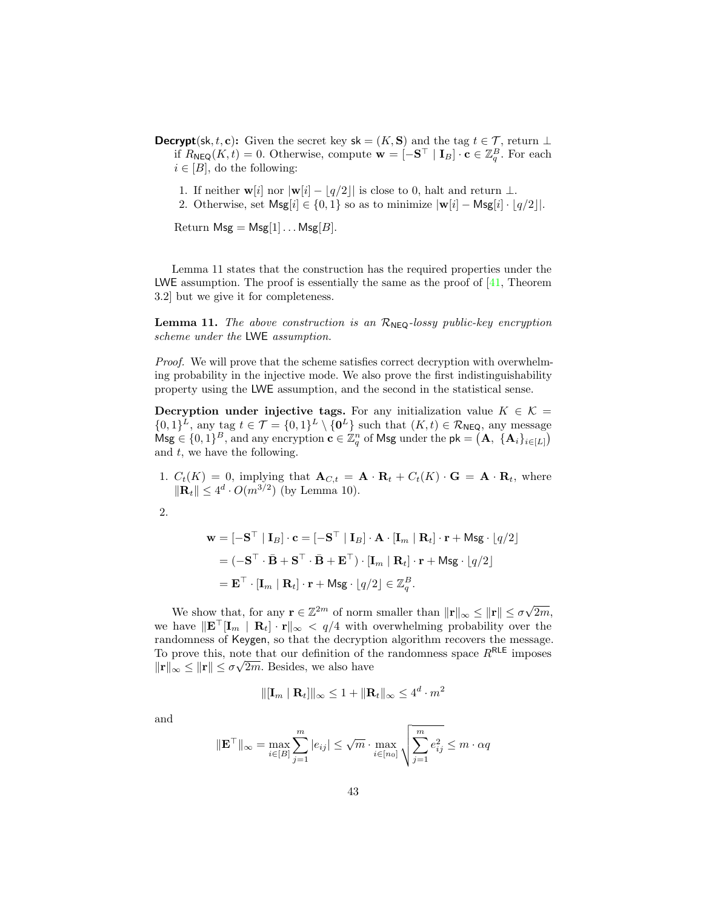- **Decrypt**(sk, t, c): Given the secret key sk =  $(K, S)$  and the tag  $t \in \mathcal{T}$ , return  $\perp$ if  $R_{\mathsf{NEQ}}(K,t) = 0$ . Otherwise, compute  $\mathbf{w} = [-\mathbf{S}^\top \mid \mathbf{I}_B] \cdot \mathbf{c} \in \mathbb{Z}_q^B$ . For each  $i \in [B]$ , do the following:
	- 1. If neither  $\mathbf{w}[i]$  nor  $|\mathbf{w}[i] |q/2|$  is close to 0, halt and return ⊥.
	- 2. Otherwise, set  $\textsf{Msg}[i] \in \{0,1\}$  so as to minimize  $|\mathbf{w}[i] \textsf{Msg}[i] \cdot |q/2|$ .

Return  $Msg = Msg[1] \dots Msg[B]$ .

Lemma [11](#page-42-0) states that the construction has the required properties under the LWE assumption. The proof is essentially the same as the proof of  $[41,$  Theorem 3.2] but we give it for completeness.

<span id="page-42-0"></span>**Lemma 11.** The above construction is an  $\mathcal{R}_{\text{NEQ}}$ -lossy public-key encryption scheme under the LWE assumption.

*Proof.* We will prove that the scheme satisfies correct decryption with overwhelming probability in the injective mode. We also prove the first indistinguishability property using the LWE assumption, and the second in the statistical sense.

Decryption under injective tags. For any initialization value  $K \in \mathcal{K}$  =  $\{0,1\}^L$ , any tag  $t \in \mathcal{T} = \{0,1\}^L \setminus \{\mathbf{0}^L\}$  such that  $(K, t) \in \mathcal{R}_{\mathsf{NEQ}}$ , any message  $\mathsf{Msg} \in \{0,1\}^B$ , and any encryption  $\mathbf{c} \in \mathbb{Z}_q^n$  of  $\mathsf{Msg}$  under the  $\mathsf{pk} = (\mathbf{A}, \ \{\mathbf{A}_i\}_{i \in [L]})$ and  $t$ , we have the following.

1.  $C_t(K) = 0$ , implying that  $\mathbf{A}_{C,t} = \mathbf{A} \cdot \mathbf{R}_t + C_t(K) \cdot \mathbf{G} = \mathbf{A} \cdot \mathbf{R}_t$ , where  $\|\mathbf{R}_t\| \leq 4^d \cdot O(m^{3/2})$  (by Lemma [10\)](#page-40-1).

2.

$$
\mathbf{w} = [-\mathbf{S}^\top \mid \mathbf{I}_B] \cdot \mathbf{c} = [-\mathbf{S}^\top \mid \mathbf{I}_B] \cdot \mathbf{A} \cdot [\mathbf{I}_m \mid \mathbf{R}_t] \cdot \mathbf{r} + \mathsf{Msg} \cdot \lfloor q/2 \rfloor
$$
  
=  $(-\mathbf{S}^\top \cdot \bar{\mathbf{B}} + \mathbf{S}^\top \cdot \bar{\mathbf{B}} + \mathbf{E}^\top) \cdot [\mathbf{I}_m \mid \mathbf{R}_t] \cdot \mathbf{r} + \mathsf{Msg} \cdot \lfloor q/2 \rfloor$   
=  $\mathbf{E}^\top \cdot [\mathbf{I}_m \mid \mathbf{R}_t] \cdot \mathbf{r} + \mathsf{Msg} \cdot \lfloor q/2 \rfloor \in \mathbb{Z}_q^B.$ 

We show that, for any  $\mathbf{r} \in \mathbb{Z}^{2m}$  of norm smaller than  $\|\mathbf{r}\|_{\infty} \leq \|\mathbf{r}\| \leq \sigma \sqrt{\sigma}$ 2m, we have  $\|\mathbf{E}^\top[\mathbf{I}_m \mid \mathbf{R}_t] \cdot \mathbf{r}\|_{\infty} < q/4$  with overwhelming probability over the randomness of Keygen, so that the decryption algorithm recovers the message. To prove this, note that our definition of the randomness space  $R^{\text{RLE}}$  imposes  $\|\mathbf{r}\|_{\infty} \leq \|\mathbf{r}\| \leq \sigma\sqrt{2m}$ . Besides, we also have

$$
\|\left[\mathbf{I}_m \mid \mathbf{R}_t\right]\|_{\infty} \leq 1 + \|\mathbf{R}_t\|_{\infty} \leq 4^d \cdot m^2
$$

and

$$
\|\mathbf{E}^{\top}\|_{\infty} = \max_{i \in [B]} \sum_{j=1}^{m} |e_{ij}| \leq \sqrt{m} \cdot \max_{i \in [n_0]} \sqrt{\sum_{j=1}^{m} e_{ij}^2} \leq m \cdot \alpha q
$$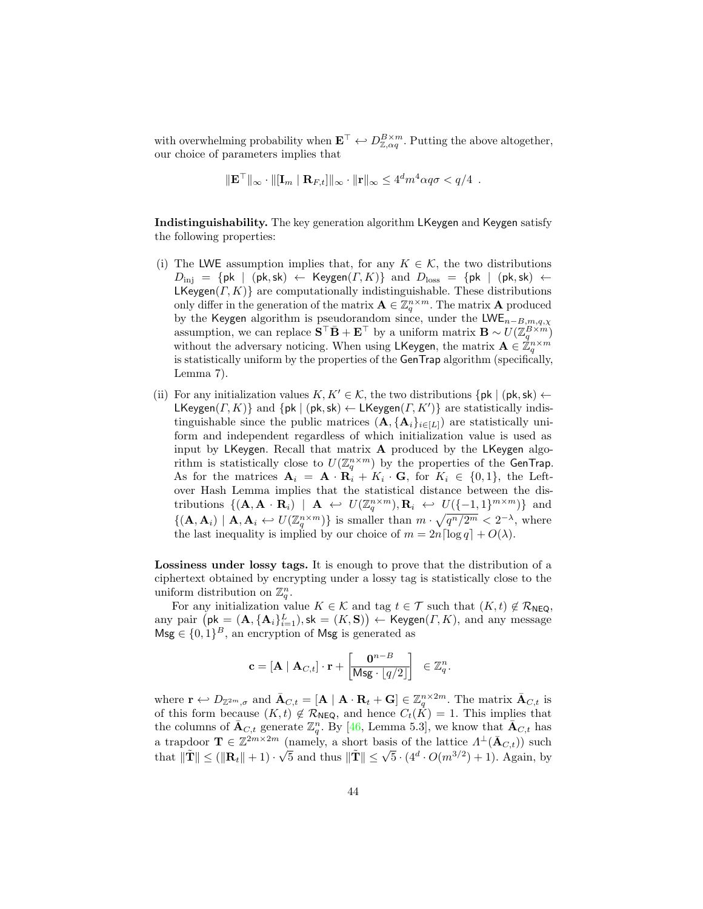with overwhelming probability when  $\mathbf{E}^{\top} \leftrightarrow D_{\mathbb{Z}, \alpha q}^{B \times m}$ . Putting the above altogether, our choice of parameters implies that

$$
\|\mathbf{E}^\top\|_{\infty} \cdot \|\[\mathbf{I}_m \mid \mathbf{R}_{F,t}]\|_{\infty} \cdot \|\mathbf{r}\|_{\infty} \leq 4^d m^4 \alpha q \sigma < q/4.
$$

Indistinguishability. The key generation algorithm LKeygen and Keygen satisfy the following properties:

- (i) The LWE assumption implies that, for any  $K \in \mathcal{K}$ , the two distributions  $D_{\text{inj}} = \{\textsf{pk} \mid (\textsf{pk}, \textsf{sk}) \leftarrow \textsf{Keygen}(\Gamma, K)\}\ \text{and}\ D_{\text{loss}} = \{\textsf{pk} \mid (\textsf{pk}, \textsf{sk}) \leftarrow \text{Keygen}(\Gamma, K)\}$ **LKeygen** $(T, K)$ } are computationally indistinguishable. These distributions only differ in the generation of the matrix  $\mathbf{A} \in \mathbb{Z}_q^{n \times m}$ . The matrix  $\mathbf{A}$  produced by the Keygen algorithm is pseudorandom since, under the LWE<sub>n−B,m,q, $\chi$ </sub> assumption, we can replace  $\dot{\mathbf{S}}^{\top} \bar{\mathbf{B}} + \mathbf{E}^{\top}$  by a uniform matrix  $\mathbf{B} \sim U(\mathbb{Z}_q^{B \times m})$ without the adversary noticing. When using LKeygen, the matrix  $\mathbf{A} \in \mathbb{Z}_q^{n \times m}$ is statistically uniform by the properties of the GenTrap algorithm (specifically, Lemma [7\)](#page-38-0).
- (ii) For any initialization values  $K, K' \in \mathcal{K}$ , the two distributions  $\{pk \mid (pk, sk) \leftarrow$ LKeygen( $\Gamma$ , K) and {pk | (pk, sk)  $\leftarrow$  LKeygen( $\Gamma$ , K')} are statistically indistinguishable since the public matrices  $(\mathbf{A}, {\{\mathbf{A}_i\}_{i\in[L]}})$  are statistically uniform and independent regardless of which initialization value is used as input by LKeygen. Recall that matrix A produced by the LKeygen algorithm is statistically close to  $U(\mathbb{Z}_q^{n \times m})$  by the properties of the GenTrap. As for the matrices  $A_i = A \cdot R_i + K_i \cdot G$ , for  $K_i \in \{0,1\}$ , the Leftover Hash Lemma implies that the statistical distance between the distributions  $\{(\mathbf{A}, \mathbf{A} \cdot \mathbf{R}_i) \mid \mathbf{A} \leftarrow U(\mathbb{Z}_q^{n \times m}), \mathbf{R}_i \leftarrow U(\{-1, 1\}^{m \times m})\}$  and  $\{(\mathbf{A}, \mathbf{A}_i) \mid \mathbf{A}, \mathbf{A}_i \leftarrow U(\mathbb{Z}_q^{n \times m})\}$  is smaller than  $m \cdot \sqrt{q^n/2^m} < 2^{-\lambda}$ , where the last inequality is implied by our choice of  $m = 2n \lceil \log q \rceil + O(\lambda)$ .

Lossiness under lossy tags. It is enough to prove that the distribution of a ciphertext obtained by encrypting under a lossy tag is statistically close to the uniform distribution on  $\mathbb{Z}_q^n$ .

For any initialization value  $K \in \mathcal{K}$  and tag  $t \in \mathcal{T}$  such that  $(K, t) \notin \mathcal{R}_{\text{NEQ}}$ , any pair  $(\mathsf{pk} = (\mathbf{A}, {\{\mathbf{A}_i\}}_{i=1}^L), \mathsf{sk} = (K, \mathbf{S})) \leftarrow \mathsf{Keygen}(\Gamma, K),$  and any message  $\mathsf{Msg} \in \{0,1\}^B$ , an encryption of  $\mathsf{Msg}$  is generated as

$$
\mathbf{c} = [\mathbf{A} \mid \mathbf{A}_{C,t}] \cdot \mathbf{r} + \begin{bmatrix} \mathbf{0}^{n-B} \\ \overline{\mathsf{Msg} \cdot [q/2]} \end{bmatrix} \in \mathbb{Z}_q^n.
$$

where  $\mathbf{r} \leftarrow D_{\mathbb{Z}^{2m},\sigma}$  and  $\bar{\mathbf{A}}_{C,t} = [\mathbf{A} \mid \mathbf{A} \cdot \mathbf{R}_t + \mathbf{G}] \in \mathbb{Z}_q^{n \times 2m}$ . The matrix  $\bar{\mathbf{A}}_{C,t}$  is of this form because  $(K, t) \notin \mathcal{R}_{\mathsf{NEQ}}$ , and hence  $C_t(K) = 1$ . This implies that the columns of  $\bar{\mathbf{A}}_{C,t}$  generate  $\mathbb{Z}_q^n$ . By [\[46,](#page-29-26) Lemma 5.3], we know that  $\bar{\mathbf{A}}_{C,t}$  has a trapdoor  $\mathbf{T} \in \mathbb{Z}^{2m \times 2m}$  (namely, a short basis of the lattice  $\Lambda^{\perp}(\mathbf{A}_{C,t})$ ) such a trapabol  $\mathbf{I} \in \mathbb{Z}$  (halongly, a short basis of the lattice  $\Lambda^-(\mathbf{A}_{C,t})$ ) such that  $\|\tilde{\mathbf{T}}\| \leq (\|\mathbf{R}_t\| + 1) \cdot \sqrt{5}$  and thus  $\|\tilde{\mathbf{T}}\| \leq \sqrt{5} \cdot (4^d \cdot O(m^{3/2}) + 1)$ . Again, by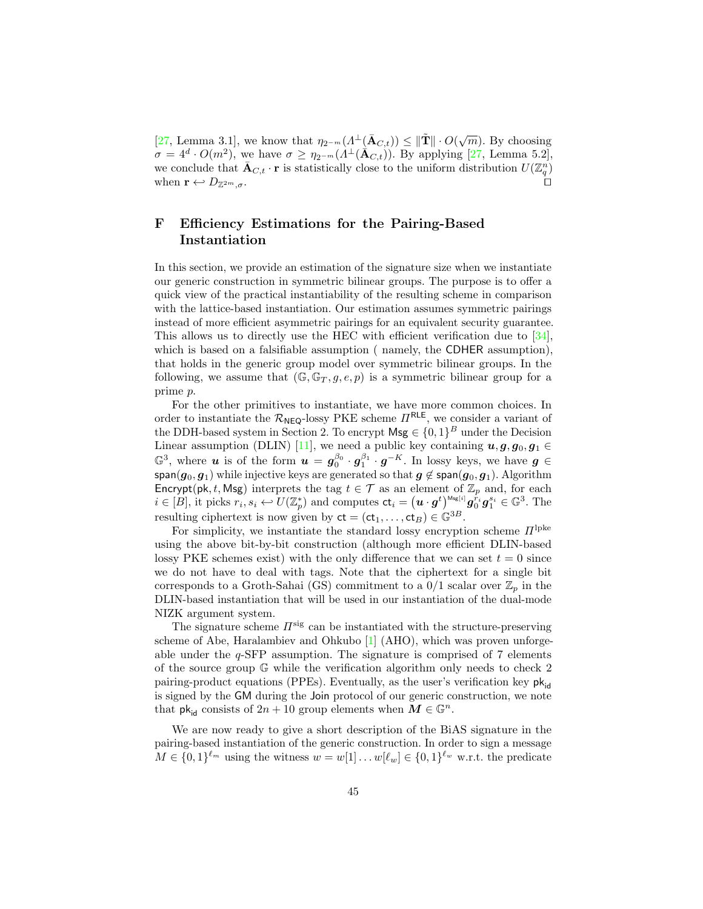[\[27,](#page-28-25) Lemma 3.1], we know that  $\eta_{2^{-m}}(\Lambda^{\perp}(\bar{\mathbf{A}}_{C,t})) \leq ||\tilde{\mathbf{T}}|| \cdot O(\sqrt{m})$ . By choosing  $\sigma = 4^d \cdot O(m^2)$ , we have  $\sigma \ge \eta_{2^{-m}}(A^{\perp}(\mathbf{A}_{C,t}))$ . By applying [\[27,](#page-28-25) Lemma 5.2], we conclude that  $\bar{\mathbf{A}}_{C,t} \cdot \mathbf{r}$  is statistically close to the uniform distribution  $U(\mathbb{Z}_q^n)$ when  $\mathbf{r} \leftrightarrow D_{\mathbb{Z}^{2m},\sigma}$ .

## <span id="page-44-0"></span>F Efficiency Estimations for the Pairing-Based Instantiation

In this section, we provide an estimation of the signature size when we instantiate our generic construction in symmetric bilinear groups. The purpose is to offer a quick view of the practical instantiability of the resulting scheme in comparison with the lattice-based instantiation. Our estimation assumes symmetric pairings instead of more efficient asymmetric pairings for an equivalent security guarantee. This allows us to directly use the HEC with efficient verification due to [\[34\]](#page-29-4), which is based on a falsifiable assumption ( namely, the CDHER assumption), that holds in the generic group model over symmetric bilinear groups. In the following, we assume that  $(\mathbb{G}, \mathbb{G}_T, g, e, p)$  is a symmetric bilinear group for a prime p.

For the other primitives to instantiate, we have more common choices. In order to instantiate the  $\mathcal{R}_{\text{NEO}}$ -lossy PKE scheme  $\Pi^{\text{RLE}}$ , we consider a variant of the DDH-based system in Section [2.](#page-8-0) To encrypt  $\mathsf{Msg} \in \{0,1\}^B$  under the Decision Linear assumption (DLIN) [\[11\]](#page-28-19), we need a public key containing  $u, g, g_0, g_1 \in$  $\mathbb{G}^3$ , where **u** is of the form  $u = g_0^{\beta_0} \cdot g_1^{\beta_1} \cdot g^{-K}$ . In lossy keys, we have  $g \in$ span $(g_0, g_1)$  while injective keys are generated so that  $g \notin \text{span}(g_0, g_1)$ . Algorithm Encrypt(pk, t, Msg) interprets the tag  $t \in \mathcal{T}$  as an element of  $\mathbb{Z}_p$  and, for each  $i \in [B]$ , it picks  $r_i, s_i \leftarrow U(\mathbb{Z}_p^*)$  and computes  $\mathsf{ct}_i = (\boldsymbol{u} \cdot \boldsymbol{g}^t)^{\mathsf{Msg}[i]} \boldsymbol{g}_0^{r_i} \boldsymbol{g}_1^{s_i} \in \mathbb{G}^3$ . The resulting ciphertext is now given by  $ct = (ct_1, \ldots, ct_B) \in \mathbb{G}^{3B}$ .

For simplicity, we instantiate the standard lossy encryption scheme  $\Pi^{\rm lpke}$ using the above bit-by-bit construction (although more efficient DLIN-based lossy PKE schemes exist) with the only difference that we can set  $t = 0$  since we do not have to deal with tags. Note that the ciphertext for a single bit corresponds to a Groth-Sahai (GS) commitment to a  $0/1$  scalar over  $\mathbb{Z}_p$  in the DLIN-based instantiation that will be used in our instantiation of the dual-mode NIZK argument system.

The signature scheme  $\Pi^{\text{sig}}$  can be instantiated with the structure-preserving scheme of Abe, Haralambiev and Ohkubo [\[1\]](#page-27-2) (AHO), which was proven unforgeable under the  $q$ -SFP assumption. The signature is comprised of  $7$  elements of the source group G while the verification algorithm only needs to check 2 pairing-product equations (PPEs). Eventually, as the user's verification key  $pk_{id}$ is signed by the GM during the Join protocol of our generic construction, we note that pk<sub>id</sub> consists of  $2n + 10$  group elements when  $M \in \mathbb{G}^n$ .

We are now ready to give a short description of the BiAS signature in the pairing-based instantiation of the generic construction. In order to sign a message  $M \in \{0,1\}^{\ell_m}$  using the witness  $w = w[1] \dots w[\ell_w] \in \{0,1\}^{\ell_w}$  w.r.t. the predicate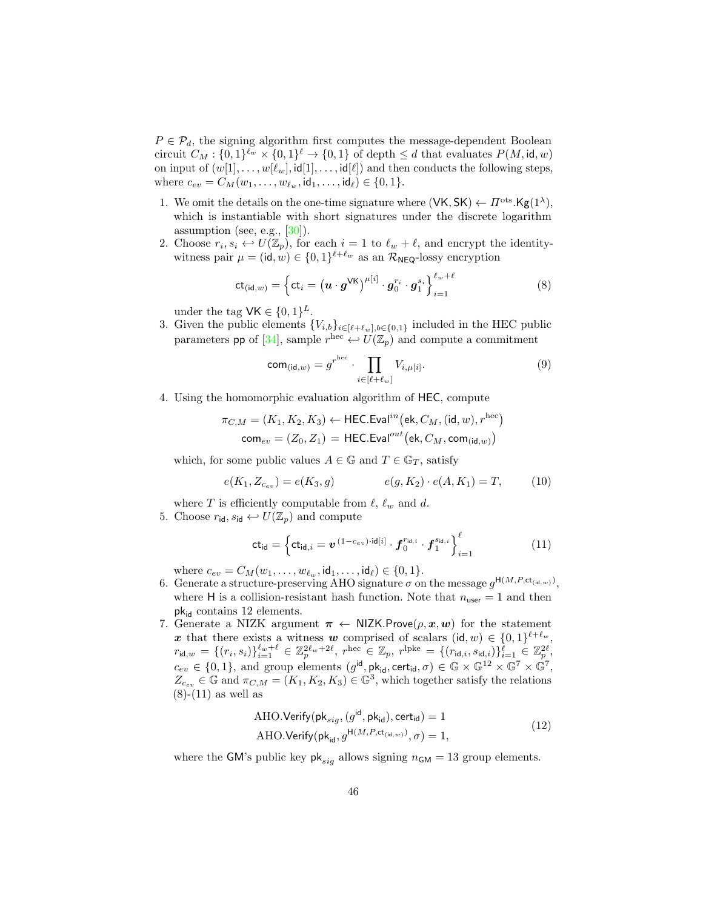$P \in \mathcal{P}_d$ , the signing algorithm first computes the message-dependent Boolean circuit  $C_M: \{0,1\}^{\ell_w} \times \{0,1\}^{\ell} \to \{0,1\}$  of depth  $\leq d$  that evaluates  $P(M, id, w)$ on input of  $(w[1], \ldots, w[\ell_w], \text{id}[1], \ldots, \text{id}[\ell])$  and then conducts the following steps, where  $c_{ev} = C_M(w_1, \dots, w_{\ell_w}, \text{id}_1, \dots, \text{id}_\ell) \in \{0, 1\}.$ 

- 1. We omit the details on the one-time signature where  $(VK, SK) \leftarrow \Pi^{ots} Kg(1^{\lambda}),$ which is instantiable with short signatures under the discrete logarithm assumption (see, e.g.,  $[30]$ ).
- 2. Choose  $r_i, s_i \leftrightarrow U(\mathbb{Z}_p)$ , for each  $i = 1$  to  $\ell_w + \ell$ , and encrypt the identitywitness pair  $\mu = (\mathsf{id}, w) \in \{0, 1\}^{\ell + \ell_w}$  as an  $\mathcal{R}_{\mathsf{NEQ}}$ -lossy encryption

<span id="page-45-0"></span>
$$
\mathsf{ct}_{(\mathsf{id},w)} = \left\{ \mathsf{ct}_i = \left( \boldsymbol{u} \cdot \boldsymbol{g}^{\mathsf{VK}} \right)^{\mu[i]} \cdot \boldsymbol{g}_0^{r_i} \cdot \boldsymbol{g}_1^{s_i} \right\}_{i=1}^{\ell_w + \ell} \tag{8}
$$

under the tag  $\forall K \in \{0,1\}^L$ .

3. Given the public elements  ${V_{i,b}}_{i\in[\ell+\ell_w],b\in\{0,1\}}$  included in the HEC public parameters **pp** of [\[34\]](#page-29-4), sample  $r^{\text{hec}} \leftarrow U(\mathbb{Z}_p)$  and compute a commitment

<span id="page-45-3"></span><span id="page-45-2"></span>
$$
\mathsf{com}_{(\mathsf{id},w)} = g^{r^{\text{hec}}} \cdot \prod_{i \in [\ell + \ell_w]} V_{i,\mu[i]}.\tag{9}
$$

4. Using the homomorphic evaluation algorithm of HEC, compute

$$
\pi_{C,M} = (K_1, K_2, K_3) \leftarrow \text{HEC.Eval}^{in} \left(\text{ek}, C_M, (\text{id}, w), r^{\text{hee}}\right)
$$

$$
\text{com}_{ev} = (Z_0, Z_1) = \text{HEC.Eval}^{out} \left(\text{ek}, C_M, \text{com}_{(\text{id}, w)}\right)
$$

which, for some public values  $A \in \mathbb{G}$  and  $T \in \mathbb{G}_T$ , satisfy

$$
e(K_1, Z_{c_{ev}}) = e(K_3, g) \qquad \qquad e(g, K_2) \cdot e(A, K_1) = T, \qquad (10)
$$

where T is efficiently computable from  $\ell$ ,  $\ell_w$  and d.

5. Choose  $r_{\mathsf{id}}, s_{\mathsf{id}} \leftrightarrow U(\mathbb{Z}_p)$  and compute

<span id="page-45-1"></span>
$$
ct_{\mathsf{id}} = \left\{ ct_{\mathsf{id},i} = \bm{v}^{(1-c_{ev}) \cdot \mathsf{id}[i]} \cdot \bm{f}_0^{r_{\mathsf{id},i}} \cdot \bm{f}_1^{s_{\mathsf{id},i}} \right\}_{i=1}^{\ell} \tag{11}
$$

where  $c_{ev} = C_M(w_1, \ldots, w_{\ell_w}, \text{id}_1, \ldots, \text{id}_{\ell}) \in \{0, 1\}.$ 

- 6. Generate a structure-preserving AHO signature  $\sigma$  on the message  $g^{\mathsf{H}(M,P,\mathsf{ct}_{(\mathsf{id},w)})}$ , where H is a collision-resistant hash function. Note that  $n_{\text{user}} = 1$  and then  $pk_{id}$  contains 12 elements.
- 7. Generate a NIZK argument  $\pi \leftarrow \text{NIZK. Prove}(\rho, x, w)$  for the statement x that there exists a witness w comprised of scalars  $(id, w) \in \{0, 1\}^{\ell + \ell_w},$  $r_{\mathsf{id},w} \,=\, \{(r_i,s_i)\}_{i=1}^{\ell_w+\ell} \,\in\, \mathbb{Z}_p^{2\ell_w+2\ell},\ r^{\text{hec}} \,\in\, \mathbb{Z}_p,\ r^{\text{lpke}} \,=\, \{(r_{\mathsf{id},i},s_{\mathsf{id},i})\}_{i=1}^{\widetilde{\ell}} \,\in\, \mathbb{Z}_p^{2\ell},$  $c_{ev} \in \{0,1\}$ , and group elements  $(g^{\mathsf{id}}, \mathsf{pk}_{\mathsf{id}}, \mathsf{cert}_{\mathsf{id}}, \sigma) \in \mathbb{G} \times \mathbb{G}^{12} \times \mathbb{G}^7 \times \mathbb{G}^7$ ,  $Z_{c_{ev}} \in \mathbb{G}$  and  $\pi_{C,M} = (K_1, K_2, K_3) \in \mathbb{G}^3$ , which together satisfy the relations  $(8)-(11)$  $(8)-(11)$  $(8)-(11)$  as well as

<span id="page-45-4"></span>
$$
\text{AHO.Verify}(\text{pk}_{sig}, (g^{\text{id}}, \text{pk}_{\text{id}}), \text{cert}_{\text{id}}) = 1
$$
\n
$$
\text{AHO.Verify}(\text{pk}_{\text{id}}, g^{\text{H}(M, P, \text{ct}_{(\text{id}, w)})}, \sigma) = 1,
$$
\n
$$
(12)
$$

where the GM's public key  $pk_{sig}$  allows signing  $n_{GM} = 13$  group elements.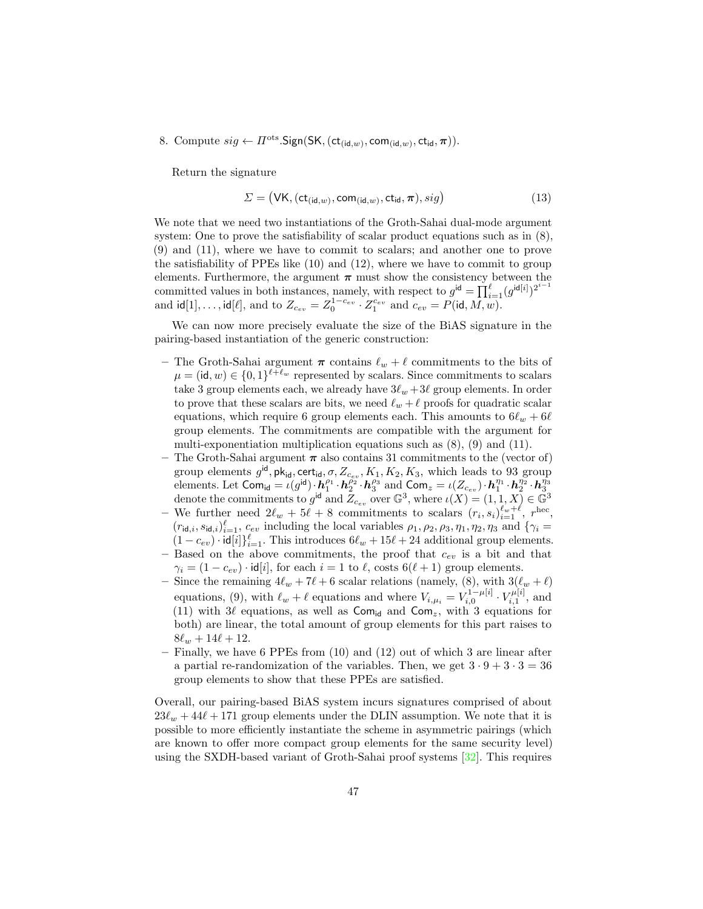8. Compute  $sig \leftarrow \Pi^{\text{ots}}.\text{Sign}(\text{SK},(\text{ct}_{(\text{id},w)},\text{com}_{(\text{id},w)},\text{ct}_{\text{id}},\pi)).$ 

Return the signature

$$
\Sigma = (\mathsf{VK}, (\mathsf{ct}_{(\mathsf{id},w)}, \mathsf{com}_{(\mathsf{id},w)}, \mathsf{ct}_{\mathsf{id}}, \boldsymbol{\pi}), sig) \tag{13}
$$

We note that we need two instantiations of the Groth-Sahai dual-mode argument system: One to prove the satisfiability of scalar product equations such as in [\(8\)](#page-45-0), [\(9\)](#page-45-2) and [\(11\)](#page-45-1), where we have to commit to scalars; and another one to prove the satisfiability of PPEs like [\(10\)](#page-45-3) and [\(12\)](#page-45-4), where we have to commit to group elements. Furthermore, the argument  $\pi$  must show the consistency between the committed values in both instances, namely, with respect to  $g^{id} = \prod_{i=1}^{e} (g^{id[i]})^{2^{i-1}}$ and  $\mathsf{id}[1], \ldots, \mathsf{id}[\ell],$  and to  $Z_{c_{ev}} = Z_0^{1-c_{ev}} \cdot Z_1^{c_{ev}}$  and  $c_{ev} = P(\mathsf{id}, M, w)$ .

We can now more precisely evaluate the size of the BiAS signature in the pairing-based instantiation of the generic construction:

- The Groth-Sahai argument  $\pi$  contains  $\ell_w + \ell$  commitments to the bits of  $\mu = (\mathsf{id}, w) \in \{0,1\}^{\ell+\ell_w}$  represented by scalars. Since commitments to scalars take 3 group elements each, we already have  $3\ell_w + 3\ell$  group elements. In order to prove that these scalars are bits, we need  $\ell_w + \ell$  proofs for quadratic scalar equations, which require 6 group elements each. This amounts to  $6\ell_w + 6\ell$ group elements. The commitments are compatible with the argument for multi-exponentiation multiplication equations such as [\(8\)](#page-45-0), [\(9\)](#page-45-2) and [\(11\)](#page-45-1).
- The Groth-Sahai argument  $\pi$  also contains 31 commitments to the (vector of) group elements  $g^{\mathsf{id}},\mathsf{pk}_{\mathsf{id}},\mathsf{cert}_{\mathsf{id}}, \sigma, Z_{c_{ev}}, K_1, K_2, K_3, \text{ which leads to } 93 \text{ group}$ elements. Let  $\mathsf{Com}_{\mathsf{id}} = \iota(g^{\mathsf{id}}) \cdot \mathbf{h}_1^{\rho_1} \cdot \mathbf{h}_2^{\rho_2} \cdot \mathbf{h}_3^{\rho_3}$  and  $\mathsf{Com}_z = \iota(Z_{c_{ev}}) \cdot \mathbf{h}_1^{\eta_1} \cdot \mathbf{h}_2^{\eta_2} \cdot \mathbf{h}_3^{\eta_3}$ denote the commitments to  $g^{\text{id}}$  and  $\bar{Z}_{c_{ev}}$  over  $\mathbb{G}^3$ , where  $\iota(X) = (1, 1, X) \in \mathbb{G}^3$
- We further need  $2\ell_w + 5\ell + 8$  commitments to scalars  $(r_i, s_i)_{i=1}^{\ell_w+\ell}, r^{\text{hec}}$ ,  $(r_{\mathsf{id},i}, s_{\mathsf{id},i})_{i=1}^{\ell}, c_{ev}$  including the local variables  $\rho_1, \rho_2, \rho_3, \eta_1, \eta_2, \eta_3$  and  $\{\gamma_i =$  $(1 - c_{ev}) \cdot \mathsf{id}[i] \}_{i=1}^{\ell}$ . This introduces  $6\ell_w + 15\ell + 24$  additional group elements.
- Based on the above commitments, the proof that  $c_{ev}$  is a bit and that  $\gamma_i = (1 - c_{ev}) \cdot id[i],$  for each  $i = 1$  to  $\ell$ , costs  $6(\ell + 1)$  group elements.
- Since the remaining  $4\ell_w + 7\ell + 6$  scalar relations (namely, [\(8\)](#page-45-0), with  $3(\ell_w + \ell)$ equations, [\(9\)](#page-45-2), with  $\ell_w + \ell$  equations and where  $V_{i,\mu_i} = V_{i,0}^{1-\mu[i]} \cdot V_{i,1}^{\mu[i]}$ , and [\(11\)](#page-45-1) with  $3\ell$  equations, as well as  $\textsf{Com}_{id}$  and  $\textsf{Com}_z$ , with 3 equations for both) are linear, the total amount of group elements for this part raises to  $8\ell_w + 14\ell + 12.$
- Finally, we have 6 PPEs from [\(10\)](#page-45-3) and [\(12\)](#page-45-4) out of which 3 are linear after a partial re-randomization of the variables. Then, we get  $3 \cdot 9 + 3 \cdot 3 = 36$ group elements to show that these PPEs are satisfied.

Overall, our pairing-based BiAS system incurs signatures comprised of about  $23\ell_w + 44\ell + 171$  group elements under the DLIN assumption. We note that it is possible to more efficiently instantiate the scheme in asymmetric pairings (which are known to offer more compact group elements for the same security level) using the SXDH-based variant of Groth-Sahai proof systems [\[32\]](#page-29-25). This requires